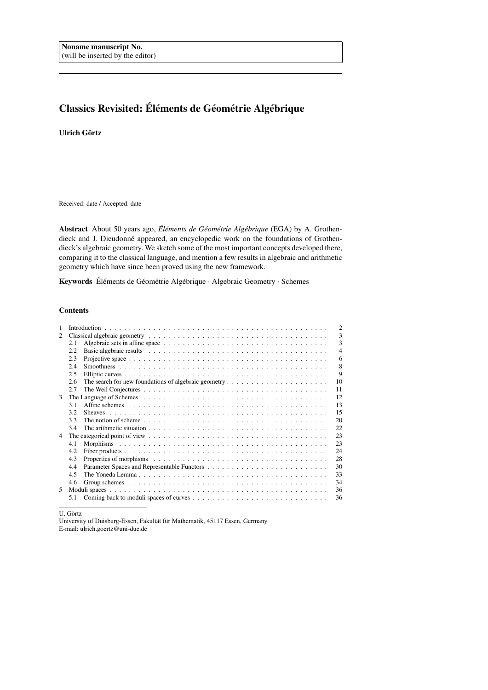# Classics Revisited: Éléments de Géométrie Algébrique

Ulrich Görtz

Received: date / Accepted: date

Abstract About 50 years ago, Éléments de Géométrie Algébrique (EGA) by A. Grothendieck and J. Dieudonné appeared, an encyclopedic work on the foundations of Grothendieck's algebraic geometry. We sketch some of the most important concepts developed there, comparing it to the classical language, and mention a few results in algebraic and arithmetic geometry which have since been proved using the new framework.

Keywords Éléments de Géométrie Algébrique · Algebraic Geometry · Schemes

# Contents

|                | $\overline{c}$<br>Introduction                                                                                                |             |  |  |  |  |
|----------------|-------------------------------------------------------------------------------------------------------------------------------|-------------|--|--|--|--|
| 2              |                                                                                                                               | 3           |  |  |  |  |
|                | 2.1                                                                                                                           | 3           |  |  |  |  |
|                | 2.2                                                                                                                           | 4           |  |  |  |  |
|                | 2.3                                                                                                                           | 6           |  |  |  |  |
|                | 2.4                                                                                                                           | 8           |  |  |  |  |
|                | 2.5                                                                                                                           | $\mathbf Q$ |  |  |  |  |
|                | 2.6                                                                                                                           | 10          |  |  |  |  |
|                | 2.7                                                                                                                           | 11          |  |  |  |  |
| 3              |                                                                                                                               | 12          |  |  |  |  |
|                | 3.1                                                                                                                           | 13          |  |  |  |  |
|                | 32                                                                                                                            | 15          |  |  |  |  |
|                | 3.3<br>The notion of scheme $\dots \dots \dots \dots \dots \dots \dots \dots \dots \dots \dots \dots \dots \dots \dots \dots$ | 20          |  |  |  |  |
|                | 3.4                                                                                                                           | 22          |  |  |  |  |
| $\overline{4}$ |                                                                                                                               | 23          |  |  |  |  |
|                | 4.1                                                                                                                           | 23          |  |  |  |  |
|                | 4.2                                                                                                                           | 24          |  |  |  |  |
|                | 4.3                                                                                                                           | 28          |  |  |  |  |
|                | 44                                                                                                                            | 30          |  |  |  |  |
|                | 4.5                                                                                                                           | 33          |  |  |  |  |
|                | 4.6                                                                                                                           | 34          |  |  |  |  |
| 5              |                                                                                                                               | 36          |  |  |  |  |
|                | 5.1                                                                                                                           | 36          |  |  |  |  |

U. Görtz

University of Duisburg-Essen, Fakultät für Mathematik, 45117 Essen, Germany E-mail: ulrich.goertz@uni-due.de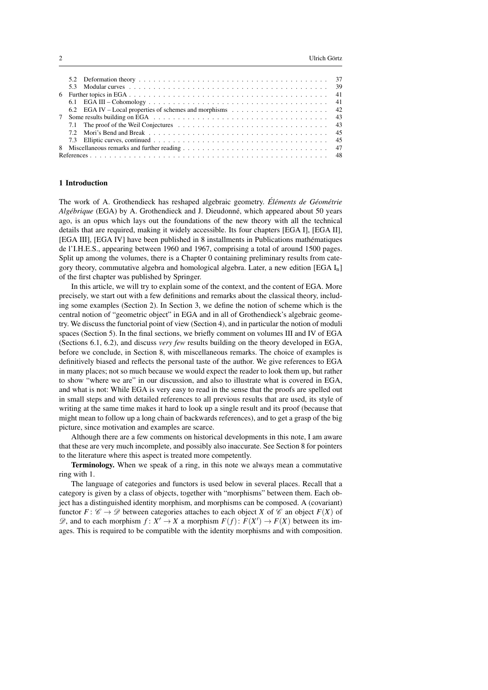#### 1 Introduction

The work of A. Grothendieck has reshaped algebraic geometry. Éléments de Géométrie *Algébrique* (EGA) by A. Grothendieck and J. Dieudonné, which appeared about 50 years ago, is an opus which lays out the foundations of the new theory with all the technical details that are required, making it widely accessible. Its four chapters [EGA I], [EGA II], [EGA III], [EGA IV] have been published in 8 installments in Publications mathematiques ´ de l'I.H.E.S., appearing between 1960 and 1967, comprising a total of around 1500 pages. Split up among the volumes, there is a Chapter 0 containing preliminary results from category theory, commutative algebra and homological algebra. Later, a new edition [EGA In] of the first chapter was published by Springer.

In this article, we will try to explain some of the context, and the content of EGA. More precisely, we start out with a few definitions and remarks about the classical theory, including some examples (Section 2). In Section 3, we define the notion of scheme which is the central notion of "geometric object" in EGA and in all of Grothendieck's algebraic geometry. We discuss the functorial point of view (Section 4), and in particular the notion of moduli spaces (Section 5). In the final sections, we briefly comment on volumes III and IV of EGA (Sections 6.1, 6.2), and discuss *very few* results building on the theory developed in EGA, before we conclude, in Section 8, with miscellaneous remarks. The choice of examples is definitively biased and reflects the personal taste of the author. We give references to EGA in many places; not so much because we would expect the reader to look them up, but rather to show "where we are" in our discussion, and also to illustrate what is covered in EGA, and what is not: While EGA is very easy to read in the sense that the proofs are spelled out in small steps and with detailed references to all previous results that are used, its style of writing at the same time makes it hard to look up a single result and its proof (because that might mean to follow up a long chain of backwards references), and to get a grasp of the big picture, since motivation and examples are scarce.

Although there are a few comments on historical developments in this note, I am aware that these are very much incomplete, and possibly also inaccurate. See Section 8 for pointers to the literature where this aspect is treated more competently.

Terminology. When we speak of a ring, in this note we always mean a commutative ring with 1.

The language of categories and functors is used below in several places. Recall that a category is given by a class of objects, together with "morphisms" between them. Each object has a distinguished identity morphism, and morphisms can be composed. A (covariant) functor  $F: \mathcal{C} \to \mathcal{D}$  between categories attaches to each object *X* of  $\mathcal{C}$  an object  $F(X)$  of  $\mathscr{D}$ , and to each morphism  $f: X' \to X$  a morphism  $F(f): F(X') \to F(X)$  between its images. This is required to be compatible with the identity morphisms and with composition.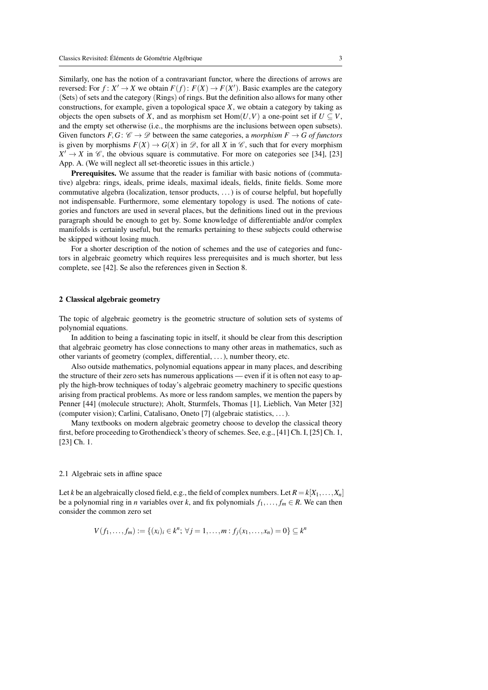Similarly, one has the notion of a contravariant functor, where the directions of arrows are reversed: For  $f: X' \to X$  we obtain  $F(f): F(X) \to F(X')$ . Basic examples are the category (Sets) of sets and the category (Rings) of rings. But the definition also allows for many other constructions, for example, given a topological space *X*, we obtain a category by taking as objects the open subsets of *X*, and as morphism set Hom $(U, V)$  a one-point set if  $U \subseteq V$ , and the empty set otherwise (i.e., the morphisms are the inclusions between open subsets). Given functors  $F, G: \mathscr{C} \to \mathscr{D}$  between the same categories, a *morphism*  $F \to G$  of functors is given by morphisms  $F(X) \to G(X)$  in  $\mathscr{D}$ , for all X in  $\mathscr{C}$ , such that for every morphism  $X' \to X$  in  $\mathcal{C}$ , the obvious square is commutative. For more on categories see [34], [23] App. A. (We will neglect all set-theoretic issues in this article.)

Prerequisites. We assume that the reader is familiar with basic notions of (commutative) algebra: rings, ideals, prime ideals, maximal ideals, fields, finite fields. Some more commutative algebra (localization, tensor products, . . . ) is of course helpful, but hopefully not indispensable. Furthermore, some elementary topology is used. The notions of categories and functors are used in several places, but the definitions lined out in the previous paragraph should be enough to get by. Some knowledge of differentiable and/or complex manifolds is certainly useful, but the remarks pertaining to these subjects could otherwise be skipped without losing much.

For a shorter description of the notion of schemes and the use of categories and functors in algebraic geometry which requires less prerequisites and is much shorter, but less complete, see [42]. Se also the references given in Section 8.

# 2 Classical algebraic geometry

The topic of algebraic geometry is the geometric structure of solution sets of systems of polynomial equations.

In addition to being a fascinating topic in itself, it should be clear from this description that algebraic geometry has close connections to many other areas in mathematics, such as other variants of geometry (complex, differential, . . . ), number theory, etc.

Also outside mathematics, polynomial equations appear in many places, and describing the structure of their zero sets has numerous applications — even if it is often not easy to apply the high-brow techniques of today's algebraic geometry machinery to specific questions arising from practical problems. As more or less random samples, we mention the papers by Penner [44] (molecule structure); Aholt, Sturmfels, Thomas [1], Lieblich, Van Meter [32] (computer vision); Carlini, Catalisano, Oneto [7] (algebraic statistics, . . . ).

Many textbooks on modern algebraic geometry choose to develop the classical theory first, before proceeding to Grothendieck's theory of schemes. See, e.g., [41] Ch. I, [25] Ch. 1, [23] Ch. 1.

# 2.1 Algebraic sets in affine space

Let *k* be an algebraically closed field, e.g., the field of complex numbers. Let  $R = k[X_1, \ldots, X_n]$ be a polynomial ring in *n* variables over *k*, and fix polynomials  $f_1, \ldots, f_m \in R$ . We can then consider the common zero set

$$
V(f_1,\ldots,f_m):=\{(x_i)_i\in k^n;\,\forall j=1,\ldots,m:f_j(x_1,\ldots,x_n)=0\}\subseteq k^n
$$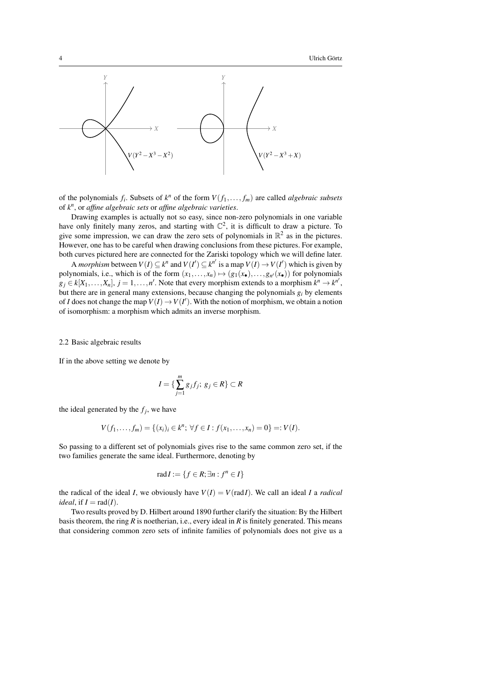

of the polynomials  $f_i$ . Subsets of  $k^n$  of the form  $V(f_1, \ldots, f_m)$  are called *algebraic subsets* of *k n* , or *affine algebraic sets* or *affine algebraic varieties*.

Drawing examples is actually not so easy, since non-zero polynomials in one variable have only finitely many zeros, and starting with  $\mathbb{C}^2$ , it is difficult to draw a picture. To give some impression, we can draw the zero sets of polynomials in  $\mathbb{R}^2$  as in the pictures. However, one has to be careful when drawing conclusions from these pictures. For example, both curves pictured here are connected for the Zariski topology which we will define later.

A *morphism* between  $V(I) \subseteq k^n$  and  $V(I') \subseteq k^{n'}$  is a map  $V(I) \to V(I')$  which is given by polynomials, i.e., which is of the form  $(x_1,...,x_n) \mapsto (g_1(x_{\bullet}),...,g_{n'}(x_{\bullet}))$  for polynomials  $g_j \in k[X_1, \ldots, X_n]$ ,  $j = 1, \ldots, n'$ . Note that every morphism extends to a morphism  $k^n \to k^{n'}$ , but there are in general many extensions, because changing the polynomials  $g_i$  by elements of *I* does not change the map  $V(I) \to V(I')$ . With the notion of morphism, we obtain a notion of isomorphism: a morphism which admits an inverse morphism.

2.2 Basic algebraic results

If in the above setting we denote by

$$
I = \{\sum_{j=1}^{m} g_j f_j; \ g_j \in R\} \subset R
$$

the ideal generated by the  $f_j$ , we have

$$
V(f_1,\ldots,f_m) = \{(x_i)_i \in k^n; \,\forall f \in I : f(x_1,\ldots,x_n) = 0\} =: V(I).
$$

So passing to a different set of polynomials gives rise to the same common zero set, if the two families generate the same ideal. Furthermore, denoting by

$$
\text{rad}\,I := \{f \in R; \exists n : f^n \in I\}
$$

the radical of the ideal *I*, we obviously have  $V(I) = V(\text{rad }I)$ . We call an ideal *I* a *radical ideal*, if  $I = rad(I)$ .

Two results proved by D. Hilbert around 1890 further clarify the situation: By the Hilbert basis theorem, the ring *R* is noetherian, i.e., every ideal in *R* is finitely generated. This means that considering common zero sets of infinite families of polynomials does not give us a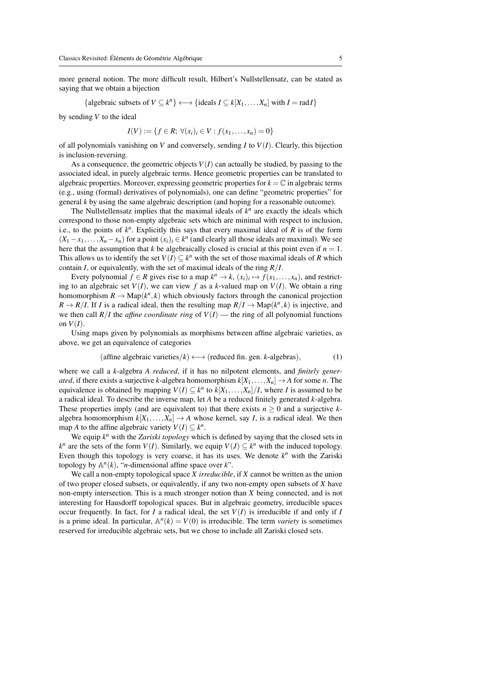more general notion. The more difficult result, Hilbert's Nullstellensatz, can be stated as saying that we obtain a bijection

{algebraic subsets of  $V \subseteq k^n$ }  $\longleftrightarrow$  {ideals  $I \subseteq k[X_1, ..., X_n]$  with  $I = \text{rad } I$ }

by sending *V* to the ideal

 $I(V) := \{ f \in R; \ \forall (x_i)_i \in V : f(x_1, \ldots, x_n) = 0 \}$ 

of all polynomials vanishing on *V* and conversely, sending *I* to *V*(*I*). Clearly, this bijection is inclusion-reversing.

As a consequence, the geometric objects  $V(I)$  can actually be studied, by passing to the associated ideal, in purely algebraic terms. Hence geometric properties can be translated to algebraic properties. Moreover, expressing geometric properties for  $k = \mathbb{C}$  in algebraic terms (e.g., using (formal) derivatives of polynomials), one can define "geometric properties" for general *k* by using the same algebraic description (and hoping for a reasonable outcome).

The Nullstellensatz implies that the maximal ideals of  $k^n$  are exactly the ideals which correspond to those non-empty algebraic sets which are minimal with respect to inclusion, i.e., to the points of  $k^n$ . Explicitly this says that every maximal ideal of  $R$  is of the form  $(X_1 - x_1, \ldots, X_n - x_n)$  for a point  $(x_i)_i \in k^n$  (and clearly all those ideals are maximal). We see here that the assumption that *k* be algebraically closed is crucial at this point even if  $n = 1$ . This allows us to identify the set  $V(I) \subseteq k^n$  with the set of those maximal ideals of *R* which contain *I*, or equivalently, with the set of maximal ideals of the ring *R*/*I*.

Every polynomial  $f \in R$  gives rise to a map  $k^n \to k$ ,  $(x_i)_i \mapsto f(x_1, \ldots, x_n)$ , and restricting to an algebraic set  $V(I)$ , we can view f as a *k*-valued map on  $V(I)$ . We obtain a ring homomorphism  $R \to \text{Map}(k^n, k)$  which obviously factors through the canonical projection  $R \rightarrow R/I$ . If *I* is a radical ideal, then the resulting map  $R/I \rightarrow \text{Map}(k^n, k)$  is injective, and we then call  $R/I$  the *affine coordinate ring* of  $V(I)$  — the ring of all polynomial functions on  $V(I)$ .

Using maps given by polynomials as morphisms between affine algebraic varieties, as above, we get an equivalence of categories

(affine algebraic varieties/k) 
$$
\longleftrightarrow
$$
 (reduced fin. gen. k-algebras), (1)

where we call a *k*-algebra *A reduced*, if it has no nilpotent elements, and *finitely generated*, if there exists a surjective *k*-algebra homomorphism  $k[X_1, \ldots, X_n] \rightarrow A$  for some *n*. The equivalence is obtained by mapping  $V(I) \subseteq k^n$  to  $k[X_1, \ldots, X_n]/I$ , where *I* is assumed to be a radical ideal. To describe the inverse map, let *A* be a reduced finitely generated *k*-algebra. These properties imply (and are equivalent to) that there exists  $n > 0$  and a surjective  $k$ algebra homomorphism  $k[X_1,...,X_n] \to A$  whose kernel, say *I*, is a radical ideal. We then map *A* to the affine algebraic variety  $V(I) \subseteq k^n$ .

We equip  $k^n$  with the *Zariski topology* which is defined by saying that the closed sets in  $k^n$  are the sets of the form *V*(*I*). Similarly, we equip  $V(J) \subseteq k^n$  with the induced topology. Even though this topology is very coarse, it has its uses. We denote  $k^n$  with the Zariski topology by  $\mathbb{A}^n(k)$ , "*n*-dimensional affine space over *k*".

We call a non-empty topological space *X irreducible*, if *X* cannot be written as the union of two proper closed subsets, or equivalently, if any two non-empty open subsets of *X* have non-empty intersection. This is a much stronger notion than *X* being connected, and is not interesting for Hausdorff topological spaces. But in algebraic geometry, irreducible spaces occur frequently. In fact, for *I* a radical ideal, the set  $V(I)$  is irreducible if and only if *I* is a prime ideal. In particular,  $\mathbb{A}^n(k) = V(0)$  is irreducible. The term *variety* is sometimes reserved for irreducible algebraic sets, but we chose to include all Zariski closed sets.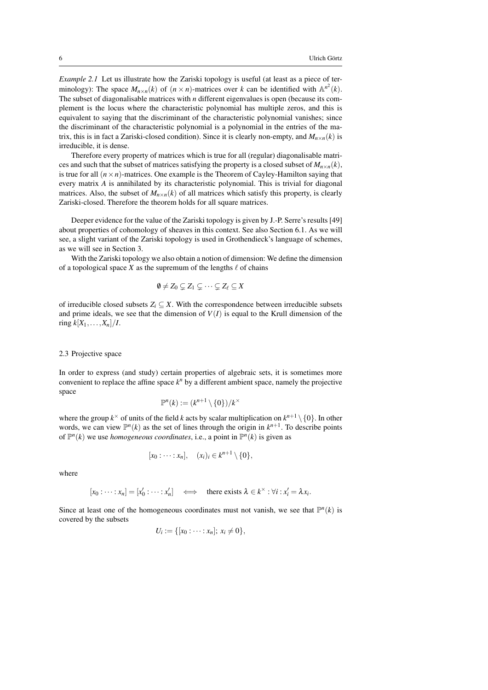*Example 2.1* Let us illustrate how the Zariski topology is useful (at least as a piece of terminology): The space  $M_{n \times n}(k)$  of  $(n \times n)$ -matrices over *k* can be identified with  $\mathbb{A}^{n^2}(k)$ . The subset of diagonalisable matrices with *n* different eigenvalues is open (because its complement is the locus where the characteristic polynomial has multiple zeros, and this is equivalent to saying that the discriminant of the characteristic polynomial vanishes; since the discriminant of the characteristic polynomial is a polynomial in the entries of the matrix, this is in fact a Zariski-closed condition). Since it is clearly non-empty, and  $M_{n \times n}(k)$  is irreducible, it is dense.

Therefore every property of matrices which is true for all (regular) diagonalisable matrices and such that the subset of matrices satisfying the property is a closed subset of  $M_{n\times n}(k)$ , is true for all  $(n \times n)$ -matrices. One example is the Theorem of Cayley-Hamilton saying that every matrix *A* is annihilated by its characteristic polynomial. This is trivial for diagonal matrices. Also, the subset of  $M_{n \times n}(k)$  of all matrices which satisfy this property, is clearly Zariski-closed. Therefore the theorem holds for all square matrices.

Deeper evidence for the value of the Zariski topology is given by J.-P. Serre's results [49] about properties of cohomology of sheaves in this context. See also Section 6.1. As we will see, a slight variant of the Zariski topology is used in Grothendieck's language of schemes, as we will see in Section 3.

With the Zariski topology we also obtain a notion of dimension: We define the dimension of a topological space *X* as the supremum of the lengths  $\ell$  of chains

$$
\emptyset \neq Z_0 \subsetneq Z_1 \subsetneq \cdots \subsetneq Z_\ell \subseteq X
$$

of irreducible closed subsets  $Z_i \subseteq X$ . With the correspondence between irreducible subsets and prime ideals, we see that the dimension of  $V(I)$  is equal to the Krull dimension of the ring  $k[X_1, \ldots, X_n]/I$ .

2.3 Projective space

In order to express (and study) certain properties of algebraic sets, it is sometimes more convenient to replace the affine space  $k^n$  by a different ambient space, namely the projective space

$$
\mathbb{P}^n(k) := (k^{n+1} \setminus \{0\})/k^\times
$$

where the group  $k^{\times}$  of units of the field *k* acts by scalar multiplication on  $k^{n+1} \setminus \{0\}$ . In other words, we can view  $\mathbb{P}^{n}(k)$  as the set of lines through the origin in  $k^{n+1}$ . To describe points of  $\mathbb{P}^n(k)$  we use *homogeneous coordinates*, i.e., a point in  $\mathbb{P}^n(k)$  is given as

$$
[x_0:\cdots:x_n],\quad (x_i)_i\in k^{n+1}\setminus\{0\},\quad
$$

where

$$
[x_0:\cdots:x_n]=[x'_0:\cdots:x'_n] \iff \text{there exists } \lambda \in k^{\times}:\forall i: x'_i=\lambda x_i.
$$

Since at least one of the homogeneous coordinates must not vanish, we see that  $\mathbb{P}^n(k)$  is covered by the subsets

$$
U_i := \{ [x_0 : \cdots : x_n]; \ x_i \neq 0 \},\
$$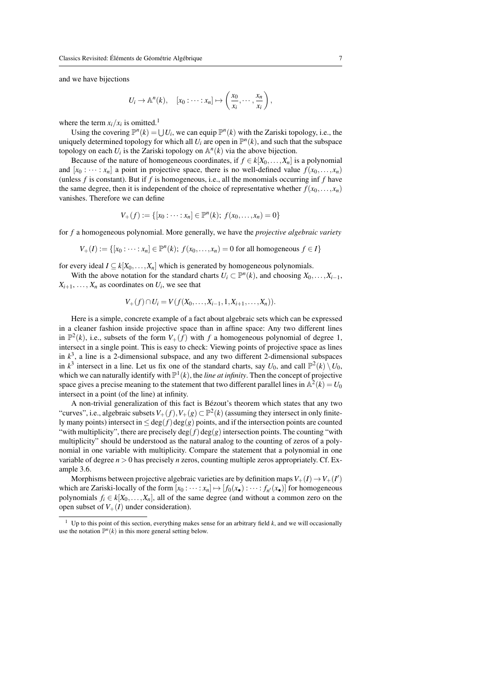and we have bijections

$$
U_i \to \mathbb{A}^n(k), \quad [x_0: \cdots : x_n] \mapsto \left(\frac{x_0}{x_i}, \cdots, \frac{x_n}{x_i}\right),
$$

where the term  $x_i/x_i$  is omitted.<sup>1</sup>

Using the covering  $\mathbb{P}^n(k) = \bigcup U_i$ , we can equip  $\mathbb{P}^n(k)$  with the Zariski topology, i.e., the uniquely determined topology for which all  $U_i$  are open in  $\mathbb{P}^n(k)$ , and such that the subspace topology on each  $U_i$  is the Zariski topology on  $\mathbb{A}^n(k)$  via the above bijection.

Because of the nature of homogeneous coordinates, if  $f \in k[X_0, \ldots, X_n]$  is a polynomial and  $[x_0 : \cdots : x_n]$  a point in projective space, there is no well-defined value  $f(x_0, \ldots, x_n)$ (unless *f* is constant). But if *f* is homogeneous, i.e., all the monomials occurring inf *f* have the same degree, then it is independent of the choice of representative whether  $f(x_0,...,x_n)$ vanishes. Therefore we can define

$$
V_{+}(f):=\{[x_{0}:\cdots:x_{n}]\in\mathbb{P}^{n}(k); f(x_{0},...,x_{n})=0\}
$$

for *f* a homogeneous polynomial. More generally, we have the *projective algebraic variety*

*V*<sub>+</sub>(*I*) := { $[x_0: \cdots : x_n]$  ∈  $\mathbb{P}^n(k)$ ; *f*(*x*<sub>0</sub>,..., *x<sub>n</sub>*) = 0 for all homogeneous *f* ∈ *I*}

for every ideal  $I \subseteq k[X_0, \ldots, X_n]$  which is generated by homogeneous polynomials.

With the above notation for the standard charts  $U_i \subset \mathbb{P}^n(k)$ , and choosing  $X_0, \ldots, X_{i-1}$ ,  $X_{i+1}, \ldots, X_n$  as coordinates on  $U_i$ , we see that

$$
V_{+}(f) \cap U_{i} = V(f(X_{0},...,X_{i-1},1,X_{i+1},...,X_{n})).
$$

Here is a simple, concrete example of a fact about algebraic sets which can be expressed in a cleaner fashion inside projective space than in affine space: Any two different lines in  $\mathbb{P}^2(k)$ , i.e., subsets of the form  $V_+(f)$  with *f* a homogeneous polynomial of degree 1, intersect in a single point. This is easy to check: Viewing points of projective space as lines in  $k^3$ , a line is a 2-dimensional subspace, and any two different 2-dimensional subspaces in  $k^3$  intersect in a line. Let us fix one of the standard charts, say  $U_0$ , and call  $\mathbb{P}^2(k) \setminus U_0$ , which we can naturally identify with  $\mathbb{P}^1(k)$ , the *line at infinity*. Then the concept of projective space gives a precise meaning to the statement that two different parallel lines in  $\mathbb{A}^2(k) = U_0$ intersect in a point (of the line) at infinity.

A non-trivial generalization of this fact is Bézout's theorem which states that any two "curves", i.e., algebraic subsets  $V_+(f)$ ,  $V_+(g) \subset \mathbb{P}^2(k)$  (assuming they intersect in only finitely many points) intersect in  $\leq$  deg( $f$ ) deg( $g$ ) points, and if the intersection points are counted "with multiplicity", there are precisely  $deg(f)deg(g)$  intersection points. The counting "with" multiplicity" should be understood as the natural analog to the counting of zeros of a polynomial in one variable with multiplicity. Compare the statement that a polynomial in one variable of degree *n* > 0 has precisely *n* zeros, counting multiple zeros appropriately. Cf. Example 3.6.

Morphisms between projective algebraic varieties are by definition maps  $V_+(I) \to V_+(I')$ which are Zariski-locally of the form  $[x_0 : \cdots : x_n] \mapsto [f_0(x_\bullet) : \cdots : f_{n'}(x_\bullet)]$  for homogeneous polynomials  $f_i \in k[X_0, \ldots, X_n]$ , all of the same degree (and without a common zero on the open subset of  $V_+(I)$  under consideration).

<sup>1</sup> Up to this point of this section, everything makes sense for an arbitrary field *k*, and we will occasionally use the notation  $\mathbb{P}^n(k)$  in this more general setting below.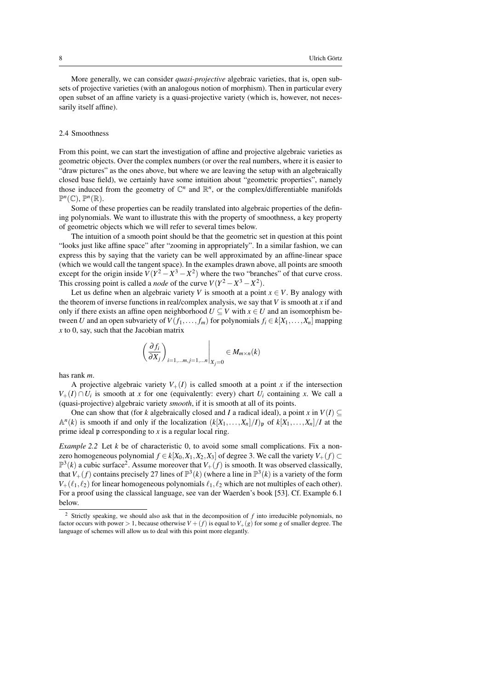More generally, we can consider *quasi-projective* algebraic varieties, that is, open subsets of projective varieties (with an analogous notion of morphism). Then in particular every open subset of an affine variety is a quasi-projective variety (which is, however, not necessarily itself affine).

## 2.4 Smoothness

From this point, we can start the investigation of affine and projective algebraic varieties as geometric objects. Over the complex numbers (or over the real numbers, where it is easier to "draw pictures" as the ones above, but where we are leaving the setup with an algebraically closed base field), we certainly have some intuition about "geometric properties", namely those induced from the geometry of  $\mathbb{C}^n$  and  $\mathbb{R}^n$ , or the complex/differentiable manifolds  $\mathbb{P}^n(\mathbb{C}), \mathbb{P}^n(\mathbb{R}).$ 

Some of these properties can be readily translated into algebraic properties of the defining polynomials. We want to illustrate this with the property of smoothness, a key property of geometric objects which we will refer to several times below.

The intuition of a smooth point should be that the geometric set in question at this point "looks just like affine space" after "zooming in appropriately". In a similar fashion, we can express this by saying that the variety can be well approximated by an affine-linear space (which we would call the tangent space). In the examples drawn above, all points are smooth except for the origin inside  $V(Y^2 - X^3 - X^2)$  where the two "branches" of that curve cross. This crossing point is called a *node* of the curve  $V(Y^2 - X^3 - X^2)$ .

Let us define when an algebraic variety *V* is smooth at a point  $x \in V$ . By analogy with the theorem of inverse functions in real/complex analysis, we say that *V* is smooth at *x* if and only if there exists an affine open neighborhood  $U \subseteq V$  with  $x \in U$  and an isomorphism between *U* and an open subvariety of  $V(f_1, \ldots, f_m)$  for polynomials  $f_i \in k[X_1, \ldots, X_n]$  mapping *x* to 0, say, such that the Jacobian matrix

$$
\left(\frac{\partial f_i}{\partial X_j}\right)_{i=1,\dots m, j=1,\dots n} \bigg|_{X_j=0} \in M_{m \times n}(k)
$$

has rank *m*.

A projective algebraic variety  $V_+(I)$  is called smooth at a point *x* if the intersection  $V_+(I) \cap U_i$  is smooth at *x* for one (equivalently: every) chart  $U_i$  containing *x*. We call a (quasi-projective) algebraic variety *smooth*, if it is smooth at all of its points.

One can show that (for *k* algebraically closed and *I* a radical ideal), a point *x* in  $V(I) \subseteq$  $\mathbb{A}^n(k)$  is smooth if and only if the localization  $(k[X_1,\ldots,X_n]/I)_{\mathfrak{p}}$  of  $k[X_1,\ldots,X_n]/I$  at the prime ideal p corresponding to *x* is a regular local ring.

*Example 2.2* Let *k* be of characteristic 0, to avoid some small complications. Fix a nonzero homogeneous polynomial  $f \in k[X_0, X_1, X_2, X_3]$  of degree 3. We call the variety  $V_+(f)$  $\mathbb{P}^3(k)$  a cubic surface<sup>2</sup>. Assume moreover that  $V_+(f)$  is smooth. It was observed classically, that  $V_+(f)$  contains precisely 27 lines of  $\mathbb{P}^3(k)$  (where a line in  $\mathbb{P}^3(k)$  is a variety of the form  $V_+(\ell_1, \ell_2)$  for linear homogeneous polynomials  $\ell_1, \ell_2$  which are not multiples of each other). For a proof using the classical language, see van der Waerden's book [53]. Cf. Example 6.1 below.

<sup>&</sup>lt;sup>2</sup> Strictly speaking, we should also ask that in the decomposition of  $f$  into irreducible polynomials, no factor occurs with power  $> 1$ , because otherwise  $V + (f)$  is equal to  $V_{+}(g)$  for some *g* of smaller degree. The language of schemes will allow us to deal with this point more elegantly.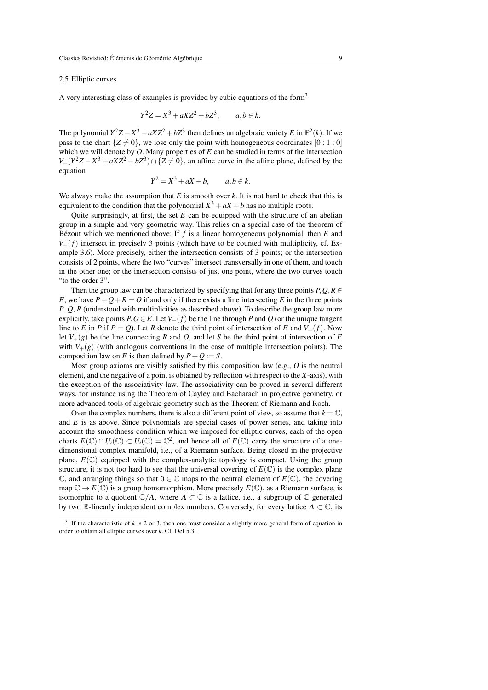#### 2.5 Elliptic curves

A very interesting class of examples is provided by cubic equations of the form<sup>3</sup>

$$
Y^2Z = X^3 + aXZ^2 + bZ^3, \qquad a, b \in k.
$$

The polynomial  $Y^2Z - X^3 + aXZ^2 + bZ^3$  then defines an algebraic variety *E* in  $\mathbb{P}^2(k)$ . If we pass to the chart  $\{Z \neq 0\}$ , we lose only the point with homogeneous coordinates  $[0:1:0]$ which we will denote by *O*. Many properties of *E* can be studied in terms of the intersection  $V_+(Y^2Z - X^3 + aXZ^2 + bZ^3) \cap \{Z \neq 0\}$ , an affine curve in the affine plane, defined by the equation

$$
Y^2 = X^3 + aX + b, \qquad a, b \in k.
$$

We always make the assumption that *E* is smooth over *k*. It is not hard to check that this is equivalent to the condition that the polynomial  $X^3 + aX + b$  has no multiple roots.

Quite surprisingly, at first, the set  $E$  can be equipped with the structure of an abelian group in a simple and very geometric way. This relies on a special case of the theorem of Bézout which we mentioned above: If  $f$  is a linear homogeneous polynomial, then  $E$  and  $V_{+}(f)$  intersect in precisely 3 points (which have to be counted with multiplicity, cf. Example 3.6). More precisely, either the intersection consists of 3 points; or the intersection consists of 2 points, where the two "curves" intersect transversally in one of them, and touch in the other one; or the intersection consists of just one point, where the two curves touch "to the order 3".

Then the group law can be characterized by specifying that for any three points  $P, Q, R \in$ *E*, we have  $P + Q + R = O$  if and only if there exists a line intersecting *E* in the three points *P*, *Q*, *R* (understood with multiplicities as described above). To describe the group law more explicitly, take points  $P, Q \in E$ . Let  $V_+(f)$  be the line through *P* and *Q* (or the unique tangent line to *E* in *P* if  $P = Q$ ). Let *R* denote the third point of intersection of *E* and  $V_{+}(f)$ . Now let  $V_{+}(g)$  be the line connecting *R* and *O*, and let *S* be the third point of intersection of *E* with  $V_{+}(g)$  (with analogous conventions in the case of multiple intersection points). The composition law on *E* is then defined by  $P + Q := S$ .

Most group axioms are visibly satisfied by this composition law (e.g., *O* is the neutral element, and the negative of a point is obtained by reflection with respect to the *X*-axis), with the exception of the associativity law. The associativity can be proved in several different ways, for instance using the Theorem of Cayley and Bacharach in projective geometry, or more advanced tools of algebraic geometry such as the Theorem of Riemann and Roch.

Over the complex numbers, there is also a different point of view, so assume that  $k = \mathbb{C}$ , and *E* is as above. Since polynomials are special cases of power series, and taking into account the smoothness condition which we imposed for elliptic curves, each of the open charts  $E(\mathbb{C}) \cap U_i(\mathbb{C}) \subset U_i(\mathbb{C}) = \mathbb{C}^2$ , and hence all of  $E(\mathbb{C})$  carry the structure of a onedimensional complex manifold, i.e., of a Riemann surface. Being closed in the projective plane,  $E(\mathbb{C})$  equipped with the complex-analytic topology is compact. Using the group structure, it is not too hard to see that the universal covering of  $E(\mathbb{C})$  is the complex plane  $\mathbb C$ , and arranging things so that  $0 \in \mathbb C$  maps to the neutral element of  $E(\mathbb C)$ , the covering map  $\mathbb{C} \to E(\mathbb{C})$  is a group homomorphism. More precisely  $E(\mathbb{C})$ , as a Riemann surface, is isomorphic to a quotient  $\mathbb{C}/\Lambda$ , where  $\Lambda \subset \mathbb{C}$  is a lattice, i.e., a subgroup of  $\mathbb{C}$  generated by two R-linearly independent complex numbers. Conversely, for every lattice  $\Lambda \subset \mathbb{C}$ , its

<sup>&</sup>lt;sup>3</sup> If the characteristic of  $k$  is 2 or 3, then one must consider a slightly more general form of equation in order to obtain all elliptic curves over *k*. Cf. Def 5.3.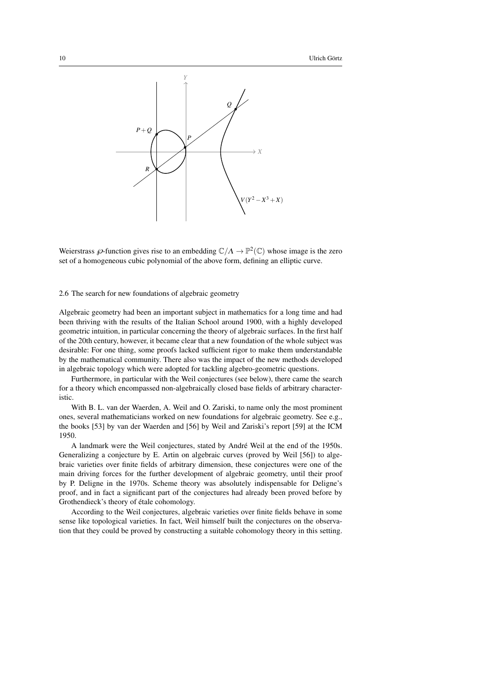

Weierstrass  $\wp$ -function gives rise to an embedding  $\mathbb{C}/\Lambda \to \mathbb{P}^2(\mathbb{C})$  whose image is the zero set of a homogeneous cubic polynomial of the above form, defining an elliptic curve.

# 2.6 The search for new foundations of algebraic geometry

Algebraic geometry had been an important subject in mathematics for a long time and had been thriving with the results of the Italian School around 1900, with a highly developed geometric intuition, in particular concerning the theory of algebraic surfaces. In the first half of the 20th century, however, it became clear that a new foundation of the whole subject was desirable: For one thing, some proofs lacked sufficient rigor to make them understandable by the mathematical community. There also was the impact of the new methods developed in algebraic topology which were adopted for tackling algebro-geometric questions.

Furthermore, in particular with the Weil conjectures (see below), there came the search for a theory which encompassed non-algebraically closed base fields of arbitrary characteristic.

With B. L. van der Waerden, A. Weil and O. Zariski, to name only the most prominent ones, several mathematicians worked on new foundations for algebraic geometry. See e.g., the books [53] by van der Waerden and [56] by Weil and Zariski's report [59] at the ICM 1950.

A landmark were the Weil conjectures, stated by Andre Weil at the end of the 1950s. ´ Generalizing a conjecture by E. Artin on algebraic curves (proved by Weil [56]) to algebraic varieties over finite fields of arbitrary dimension, these conjectures were one of the main driving forces for the further development of algebraic geometry, until their proof by P. Deligne in the 1970s. Scheme theory was absolutely indispensable for Deligne's proof, and in fact a significant part of the conjectures had already been proved before by Grothendieck's theory of étale cohomology.

According to the Weil conjectures, algebraic varieties over finite fields behave in some sense like topological varieties. In fact, Weil himself built the conjectures on the observation that they could be proved by constructing a suitable cohomology theory in this setting.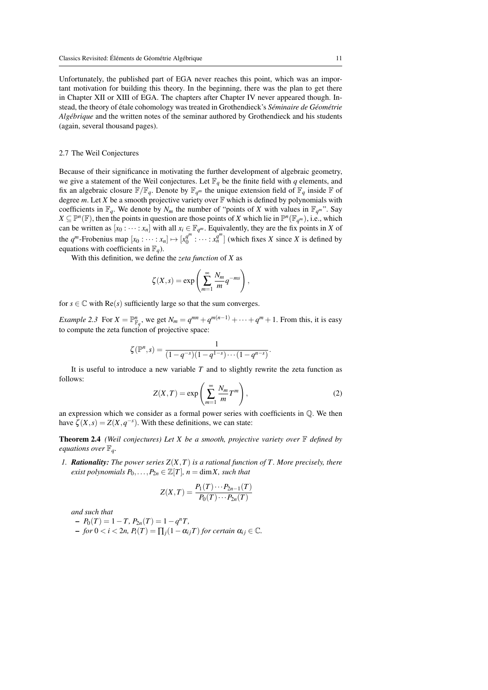Unfortunately, the published part of EGA never reaches this point, which was an important motivation for building this theory. In the beginning, there was the plan to get there in Chapter XII or XIII of EGA. The chapters after Chapter IV never appeared though. Instead, the theory of étale cohomology was treated in Grothendieck's Séminaire de Géométrie Algébrique and the written notes of the seminar authored by Grothendieck and his students (again, several thousand pages).

#### 2.7 The Weil Conjectures

Because of their significance in motivating the further development of algebraic geometry, we give a statement of the Weil conjectures. Let  $\mathbb{F}_q$  be the finite field with  $q$  elements, and fix an algebraic closure  $\mathbb{F}/\mathbb{F}_q$ . Denote by  $\mathbb{F}_{q^m}$  the unique extension field of  $\mathbb{F}_q$  inside  $\mathbb F$  of degree *m*. Let *X* be a smooth projective variety over F which is defined by polynomials with coefficients in  $\mathbb{F}_q$ . We denote by  $N_m$  the number of "points of X with values in  $\mathbb{F}_{q^m}$ ". Say  $X \subseteq \mathbb{P}^n(\mathbb{F})$ , then the points in question are those points of *X* which lie in  $\mathbb{P}^n(\mathbb{F}_{q^m})$ , i.e., which can be written as  $[x_0 : \cdots : x_n]$  with all  $x_i \in \mathbb{F}_{q^m}$ . Equivalently, they are the fix points in *X* of the  $q^m$ -Frobenius map  $[x_0 : \cdots : x_n] \mapsto [x_0^{q^m}]$  $\left[ q^m \right] : \cdots : x_n^{q^m}$  (which fixes *X* since *X* is defined by equations with coefficients in  $\mathbb{F}_q$ ).

With this definition, we define the *zeta function* of *X* as

$$
\zeta(X,s) = \exp\left(\sum_{m=1}^{\infty} \frac{N_m}{m} q^{-ms}\right),\,
$$

for  $s \in \mathbb{C}$  with  $\text{Re}(s)$  sufficiently large so that the sum converges.

*Example 2.3* For  $X = \mathbb{P}_{\mathbb{F}_q}^n$ , we get  $N_m = q^{mn} + q^{m(n-1)} + \cdots + q^m + 1$ . From this, it is easy to compute the zeta function of projective space:

$$
\zeta(\mathbb{P}^n,s)=\frac{1}{(1-q^{-s})(1-q^{1-s})\cdots(1-q^{n-s})}.
$$

It is useful to introduce a new variable *T* and to slightly rewrite the zeta function as follows:

$$
Z(X,T) = \exp\left(\sum_{m=1}^{\infty} \frac{N_m}{m} T^m\right),\tag{2}
$$

an expression which we consider as a formal power series with coefficients in  $\mathbb{Q}$ . We then have  $\zeta(X,s) = Z(X,q^{-s})$ . With these definitions, we can state:

Theorem 2.4 *(Weil conjectures) Let X be a smooth, projective variety over* F *defined by equations over*  $\mathbb{F}_q$ *.* 

*1.* **Rationality:** The power series  $Z(X,T)$  is a rational function of T. More precisely, there *exist polynomials*  $P_0, \ldots, P_{2n} \in \mathbb{Z}[T]$ *, n* = dim*X, such that* 

$$
Z(X,T) = \frac{P_1(T) \cdots P_{2n-1}(T)}{P_0(T) \cdots P_{2n}(T)}
$$

*and such that*

$$
- P_0(T) = 1 - T, P_{2n}(T) = 1 - q^n T,
$$

 $f$  *or* 0 < *i* < 2*n*,  $P_i(T) = \prod_j (1 - \alpha_{ij}T)$  *for certain*  $\alpha_{ij}$  ∈ ℂ.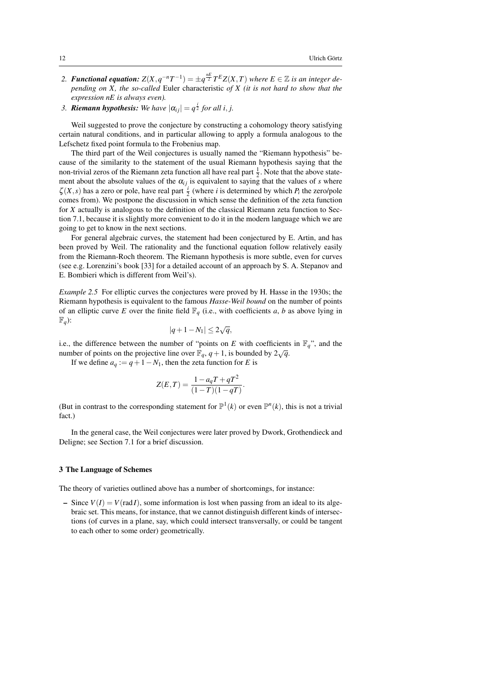- 2. *Functional equation:*  $Z(X, q^{-n}T^{-1}) = \pm q^{\frac{nE}{2}}T^{E}Z(X, T)$  where  $E \in \mathbb{Z}$  is an integer de*pending on X, the so-called* Euler characteristic *of X (it is not hard to show that the expression nE is always even).*
- *3.* **Riemann hypothesis:** We have  $|\alpha_{ij}| = q^{\frac{i}{2}}$  for all i, j.

Weil suggested to prove the conjecture by constructing a cohomology theory satisfying certain natural conditions, and in particular allowing to apply a formula analogous to the Lefschetz fixed point formula to the Frobenius map.

The third part of the Weil conjectures is usually named the "Riemann hypothesis" because of the similarity to the statement of the usual Riemann hypothesis saying that the non-trivial zeros of the Riemann zeta function all have real part  $\frac{1}{2}$ . Note that the above statement about the absolute values of the  $\alpha_{ij}$  is equivalent to saying that the values of *s* where  $\zeta(X,s)$  has a zero or pole, have real part  $\frac{i}{2}$  (where *i* is determined by which  $P_i$  the zero/pole comes from). We postpone the discussion in which sense the definition of the zeta function for *X* actually is analogous to the definition of the classical Riemann zeta function to Section 7.1, because it is slightly more convenient to do it in the modern language which we are going to get to know in the next sections.

For general algebraic curves, the statement had been conjectured by E. Artin, and has been proved by Weil. The rationality and the functional equation follow relatively easily from the Riemann-Roch theorem. The Riemann hypothesis is more subtle, even for curves (see e.g. Lorenzini's book [33] for a detailed account of an approach by S. A. Stepanov and E. Bombieri which is different from Weil's).

*Example 2.5* For elliptic curves the conjectures were proved by H. Hasse in the 1930s; the Riemann hypothesis is equivalent to the famous *Hasse-Weil bound* on the number of points of an elliptic curve *E* over the finite field  $\mathbb{F}_q$  (i.e., with coefficients *a*, *b* as above lying in  $\mathbb{F}_q$ ): √

$$
|q+1-N_1|\leq 2\sqrt{q},
$$

i.e., the difference between the number of "points on *E* with coefficients in  $\mathbb{F}_q$ ", and the number of points on the projective line over  $\mathbb{F}_q$ ,  $q+1$ , is bounded by  $2\sqrt{q}$ .

If we define  $a_q := q + 1 - N_1$ , then the zeta function for *E* is

$$
Z(E,T) = \frac{1 - a_q T + qT^2}{(1 - T)(1 - qT)}.
$$

(But in contrast to the corresponding statement for  $\mathbb{P}^1(k)$  or even  $\mathbb{P}^n(k)$ , this is not a trivial fact.)

In the general case, the Weil conjectures were later proved by Dwork, Grothendieck and Deligne; see Section 7.1 for a brief discussion.

# 3 The Language of Schemes

The theory of varieties outlined above has a number of shortcomings, for instance:

– Since  $V(I) = V(\text{rad }I)$ , some information is lost when passing from an ideal to its algebraic set. This means, for instance, that we cannot distinguish different kinds of intersections (of curves in a plane, say, which could intersect transversally, or could be tangent to each other to some order) geometrically.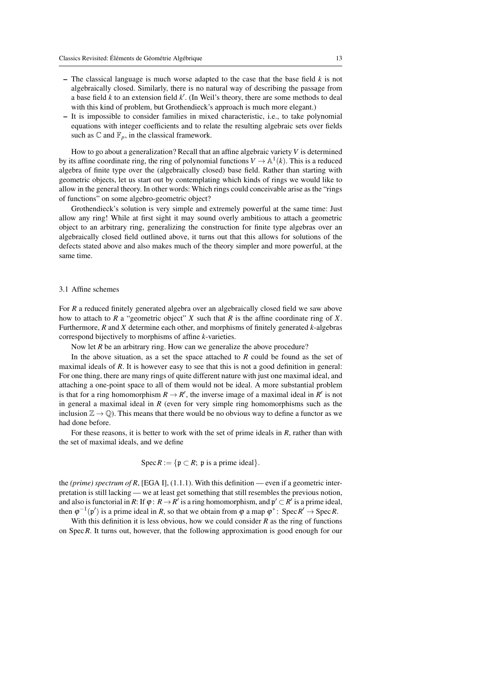- The classical language is much worse adapted to the case that the base field *k* is not algebraically closed. Similarly, there is no natural way of describing the passage from a base field  $k$  to an extension field  $k'$ . (In Weil's theory, there are some methods to deal with this kind of problem, but Grothendieck's approach is much more elegant.)
- It is impossible to consider families in mixed characteristic, i.e., to take polynomial equations with integer coefficients and to relate the resulting algebraic sets over fields such as  $\mathbb C$  and  $\mathbb F_p$ , in the classical framework.

How to go about a generalization? Recall that an affine algebraic variety *V* is determined by its affine coordinate ring, the ring of polynomial functions  $V \to \mathbb{A}^1(k)$ . This is a reduced algebra of finite type over the (algebraically closed) base field. Rather than starting with geometric objects, let us start out by contemplating which kinds of rings we would like to allow in the general theory. In other words: Which rings could conceivable arise as the "rings of functions" on some algebro-geometric object?

Grothendieck's solution is very simple and extremely powerful at the same time: Just allow any ring! While at first sight it may sound overly ambitious to attach a geometric object to an arbitrary ring, generalizing the construction for finite type algebras over an algebraically closed field outlined above, it turns out that this allows for solutions of the defects stated above and also makes much of the theory simpler and more powerful, at the same time.

#### 3.1 Affine schemes

For *R* a reduced finitely generated algebra over an algebraically closed field we saw above how to attach to *R* a "geometric object" *X* such that *R* is the affine coordinate ring of *X*. Furthermore, *R* and *X* determine each other, and morphisms of finitely generated *k*-algebras correspond bijectively to morphisms of affine *k*-varieties.

Now let *R* be an arbitrary ring. How can we generalize the above procedure?

In the above situation, as a set the space attached to *R* could be found as the set of maximal ideals of *R*. It is however easy to see that this is not a good definition in general: For one thing, there are many rings of quite different nature with just one maximal ideal, and attaching a one-point space to all of them would not be ideal. A more substantial problem is that for a ring homomorphism  $R \to R'$ , the inverse image of a maximal ideal in  $R'$  is not in general a maximal ideal in *R* (even for very simple ring homomorphisms such as the inclusion  $\mathbb{Z} \to \mathbb{Q}$ ). This means that there would be no obvious way to define a functor as we had done before.

For these reasons, it is better to work with the set of prime ideals in *R*, rather than with the set of maximal ideals, and we define

$$
\operatorname{Spec} R := \{ \mathfrak{p} \subset R; \, \mathfrak{p} \text{ is a prime ideal} \}.
$$

the *(prime) spectrum of R*, [EGA I], (1.1.1). With this definition — even if a geometric interpretation is still lacking — we at least get something that still resembles the previous notion, and also is functorial in *R*: If  $\varphi: R \to R'$  is a ring homomorphism, and  $\mathfrak{p}' \subset R'$  is a prime ideal, then  $\varphi^{-1}(\mathfrak{p}')$  is a prime ideal in *R*, so that we obtain from  $\varphi$  a map  $\varphi^*$ : Spec *R'*  $\rightarrow$  Spec *R*.

With this definition it is less obvious, how we could consider  $R$  as the ring of functions on Spec*R*. It turns out, however, that the following approximation is good enough for our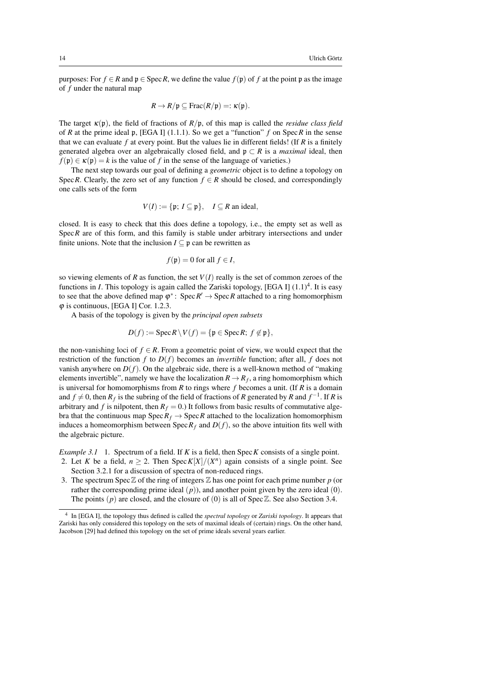purposes: For  $f \in R$  and  $p \in \text{Spec } R$ , we define the value  $f(p)$  of  $f$  at the point p as the image of *f* under the natural map

$$
R \to R/\mathfrak{p} \subseteq \text{Frac}(R/\mathfrak{p}) =: \kappa(\mathfrak{p}).
$$

The target  $\kappa(\mathfrak{p})$ , the field of fractions of  $R/\mathfrak{p}$ , of this map is called the *residue class field* of *R* at the prime ideal p, [EGA I] (1.1.1). So we get a "function" *f* on Spec*R* in the sense that we can evaluate  $f$  at every point. But the values lie in different fields! (If  $R$  is a finitely generated algebra over an algebraically closed field, and p ⊂ *R* is a *maximal* ideal, then  $f(\mathfrak{p}) \in \kappa(\mathfrak{p}) = k$  is the value of *f* in the sense of the language of varieties.)

The next step towards our goal of defining a *geometric* object is to define a topology on Spec *R*. Clearly, the zero set of any function  $f \in R$  should be closed, and correspondingly one calls sets of the form

$$
V(I) := \{ \mathfrak{p}; I \subseteq \mathfrak{p} \}, \quad I \subseteq R \text{ an ideal},
$$

closed. It is easy to check that this does define a topology, i.e., the empty set as well as  $Spec R$  are of this form, and this family is stable under arbitrary intersections and under finite unions. Note that the inclusion  $I \subseteq \mathfrak{p}$  can be rewritten as

$$
f(\mathfrak{p}) = 0 \text{ for all } f \in I,
$$

so viewing elements of *R* as function, the set  $V(I)$  really is the set of common zeroes of the functions in *I*. This topology is again called the Zariski topology, [EGA I] (1.1)<sup>4</sup>. It is easy to see that the above defined map  $\varphi^*$ : Spec  $R' \to \text{Spec } R$  attached to a ring homomorphism  $\varphi$  is continuous, [EGA I] Cor. 1.2.3.

A basis of the topology is given by the *principal open subsets*

$$
D(f) := \operatorname{Spec} R \setminus V(f) = \{ \mathfrak{p} \in \operatorname{Spec} R; f \notin \mathfrak{p} \},
$$

the non-vanishing loci of  $f \in R$ . From a geometric point of view, we would expect that the restriction of the function  $f$  to  $D(f)$  becomes an *invertible* function; after all,  $f$  does not vanish anywhere on  $D(f)$ . On the algebraic side, there is a well-known method of "making" elements invertible", namely we have the localization  $R \to R_f$ , a ring homomorphism which is universal for homomorphisms from *R* to rings where *f* becomes a unit. (If *R* is a domain and  $f \neq 0$ , then  $R_f$  is the subring of the field of fractions of *R* generated by *R* and  $f^{-1}$ . If *R* is arbitrary and *f* is nilpotent, then  $R_f = 0$ .) It follows from basic results of commutative algebra that the continuous map  $\text{Spec } R_f \to \text{Spec } R$  attached to the localization homomorphism induces a homeomorphism between  $\text{Spec } R_f$  and  $D(f)$ , so the above intuition fits well with the algebraic picture.

*Example 3.1* 1. Spectrum of a field. If *K* is a field, then Spec*K* consists of a single point.

- 2. Let *K* be a field,  $n \ge 2$ . Then Spec  $K[X]/(X^n)$  again consists of a single point. See Section 3.2.1 for a discussion of spectra of non-reduced rings.
- 3. The spectrum Spec  $\mathbb Z$  of the ring of integers  $\mathbb Z$  has one point for each prime number *p* (or rather the corresponding prime ideal  $(p)$ ), and another point given by the zero ideal  $(0)$ . The points  $(p)$  are closed, and the closure of  $(0)$  is all of Spec  $\mathbb{Z}$ . See also Section 3.4.

<sup>4</sup> In [EGA I], the topology thus defined is called the *spectral topology* or *Zariski topology*. It appears that Zariski has only considered this topology on the sets of maximal ideals of (certain) rings. On the other hand, Jacobson [29] had defined this topology on the set of prime ideals several years earlier.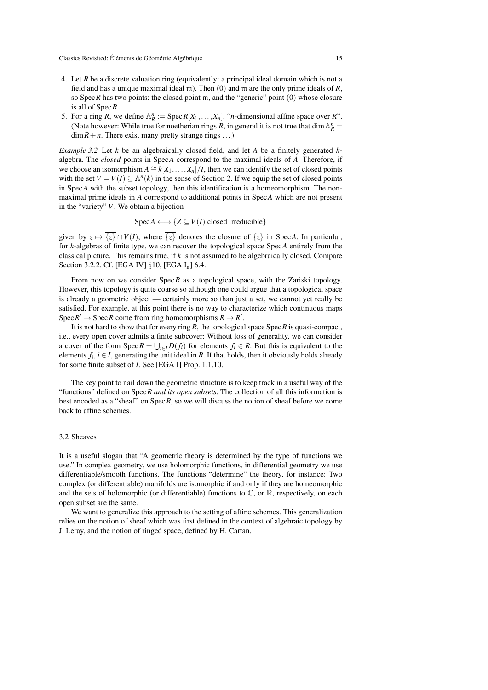- 4. Let *R* be a discrete valuation ring (equivalently: a principal ideal domain which is not a field and has a unique maximal ideal m). Then (0) and m are the only prime ideals of *R*, so Spec  $R$  has two points: the closed point  $m$ , and the "generic" point  $(0)$  whose closure is all of Spec*R*.
- 5. For a ring *R*, we define  $\mathbb{A}_R^n := \text{Spec } R[X_1, \ldots, X_n]$ , "*n*-dimensional affine space over *R*". (Note however: While true for noetherian rings *R*, in general it is not true that dim  $\mathbb{A}_R^n =$  $\dim R + n$ . There exist many pretty strange rings ...)

*Example 3.2* Let *k* be an algebraically closed field, and let *A* be a finitely generated *k*algebra. The *closed* points in Spec*A* correspond to the maximal ideals of *A*. Therefore, if we choose an isomorphism  $A \cong k[X_1,\ldots,X_n]/I$ , then we can identify the set of closed points with the set  $V = V(I) \subseteq \mathbb{A}^n(k)$  in the sense of Section 2. If we equip the set of closed points in Spec*A* with the subset topology, then this identification is a homeomorphism. The nonmaximal prime ideals in *A* correspond to additional points in Spec*A* which are not present in the "variety" *V*. We obtain a bijection

 $Spec A \longleftrightarrow \{Z \subseteq V(I) \text{ closed irreducible}\}$ 

given by  $z \mapsto \overline{\{z\}} \cap V(I)$ , where  $\overline{\{z\}}$  denotes the closure of  $\{z\}$  in Spec*A*. In particular, for *k*-algebras of finite type, we can recover the topological space Spec*A* entirely from the classical picture. This remains true, if *k* is not assumed to be algebraically closed. Compare Section 3.2.2. Cf. [EGA IV] §10, [EGA I<sub>n</sub>] 6.4.

From now on we consider  $Spec R$  as a topological space, with the Zariski topology. However, this topology is quite coarse so although one could argue that a topological space is already a geometric object — certainly more so than just a set, we cannot yet really be satisfied. For example, at this point there is no way to characterize which continuous maps Spec  $R' \to \text{Spec } R$  come from ring homomorphisms  $R \to R'$ .

It is not hard to show that for every ring *R*, the topological space Spec*R* is quasi-compact, i.e., every open cover admits a finite subcover: Without loss of generality, we can consider a cover of the form  $\text{Spec } R = \bigcup_{i \in I} D(f_i)$  for elements  $f_i \in R$ . But this is equivalent to the elements  $f_i$ ,  $i \in I$ , generating the unit ideal in  $R$ . If that holds, then it obviously holds already for some finite subset of *I*. See [EGA I] Prop. 1.1.10.

The key point to nail down the geometric structure is to keep track in a useful way of the "functions" defined on Spec*R and its open subsets*. The collection of all this information is best encoded as a "sheaf" on Spec*R*, so we will discuss the notion of sheaf before we come back to affine schemes.

# 3.2 Sheaves

It is a useful slogan that "A geometric theory is determined by the type of functions we use." In complex geometry, we use holomorphic functions, in differential geometry we use differentiable/smooth functions. The functions "determine" the theory, for instance: Two complex (or differentiable) manifolds are isomorphic if and only if they are homeomorphic and the sets of holomorphic (or differentiable) functions to  $\mathbb{C}$ , or  $\mathbb{R}$ , respectively, on each open subset are the same.

We want to generalize this approach to the setting of affine schemes. This generalization relies on the notion of sheaf which was first defined in the context of algebraic topology by J. Leray, and the notion of ringed space, defined by H. Cartan.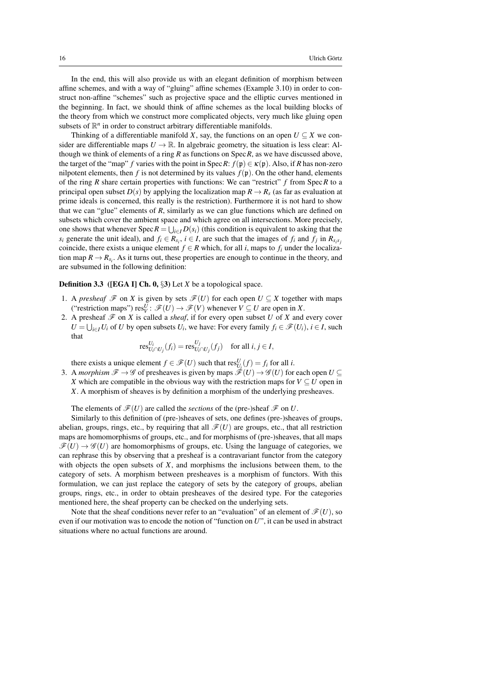In the end, this will also provide us with an elegant definition of morphism between affine schemes, and with a way of "gluing" affine schemes (Example 3.10) in order to construct non-affine "schemes" such as projective space and the elliptic curves mentioned in the beginning. In fact, we should think of affine schemes as the local building blocks of the theory from which we construct more complicated objects, very much like gluing open subsets of  $\mathbb{R}^n$  in order to construct arbitrary differentiable manifolds.

Thinking of a differentiable manifold *X*, say, the functions on an open  $U \subseteq X$  we consider are differentiable maps  $U \to \mathbb{R}$ . In algebraic geometry, the situation is less clear: Although we think of elements of a ring *R* as functions on Spec*R*, as we have discussed above, the target of the "map" *f* varies with the point in Spec *R*:  $f(\mathfrak{p}) \in \kappa(\mathfrak{p})$ . Also, if *R* has non-zero nilpotent elements, then  $f$  is not determined by its values  $f(\mathfrak{p})$ . On the other hand, elements of the ring *R* share certain properties with functions: We can "restrict" *f* from Spec*R* to a principal open subset  $D(s)$  by applying the localization map  $R \to R_s$  (as far as evaluation at prime ideals is concerned, this really is the restriction). Furthermore it is not hard to show that we can "glue" elements of *R*, similarly as we can glue functions which are defined on subsets which cover the ambient space and which agree on all intersections. More precisely, one shows that whenever  $\text{Spec } R = \bigcup_{i \in I} D(s_i)$  (this condition is equivalent to asking that the *s*<sup>*i*</sup> generate the unit ideal), and  $f_i \in R_{s_i}$ ,  $i \in I$ , are such that the images of  $f_i$  and  $f_j$  in  $R_{s_i s_j}$ coincide, there exists a unique element  $f \in R$  which, for all *i*, maps to  $f_i$  under the localization map  $R \to R_{s_i}$ . As it turns out, these properties are enough to continue in the theory, and are subsumed in the following definition:

Definition 3.3 ([EGA I] Ch. 0, §3) Let *X* be a topological space.

- 1. A *presheaf*  $\mathcal F$  on *X* is given by sets  $\mathcal F(U)$  for each open  $U \subseteq X$  together with maps ("restriction maps") res<sup>*U*</sup>:  $\mathscr{F}(U) \to \mathscr{F}(V)$  whenever  $V \subseteq U$  are open in *X*.
- 2. A presheaf  $\mathcal F$  on *X* is called a *sheaf*, if for every open subset *U* of *X* and every cover  $U = \bigcup_{i \in I} U_i$  of *U* by open subsets  $U_i$ , we have: For every family  $f_i \in \mathcal{F}(U_i)$ ,  $i \in I$ , such that

$$
\operatorname{res}_{U_i \cap U_j}^{U_i}(f_i) = \operatorname{res}_{U_i \cap U_j}^{U_j}(f_j) \quad \text{for all } i, j \in I,
$$

there exists a unique element  $f \in \mathcal{F}(U)$  such that  $res_{U_i}^U(f) = f_i$  for all *i*.

3. A *morphism*  $\mathcal{F} \to \mathcal{G}$  of presheaves is given by maps  $\mathcal{F}(U) \to \mathcal{G}(U)$  for each open  $U \subseteq$ *X* which are compatible in the obvious way with the restriction maps for  $V \subseteq U$  open in *X*. A morphism of sheaves is by definition a morphism of the underlying presheaves.

The elements of  $\mathcal{F}(U)$  are called the *sections* of the (pre-)sheaf  $\mathcal{F}$  on *U*.

Similarly to this definition of (pre-)sheaves of sets, one defines (pre-)sheaves of groups, abelian, groups, rings, etc., by requiring that all  $\mathscr{F}(U)$  are groups, etc., that all restriction maps are homomorphisms of groups, etc., and for morphisms of (pre-)sheaves, that all maps  $\mathscr{F}(U) \to \mathscr{G}(U)$  are homomorphisms of groups, etc. Using the language of categories, we can rephrase this by observing that a presheaf is a contravariant functor from the category with objects the open subsets of *X*, and morphisms the inclusions between them, to the category of sets. A morphism between presheaves is a morphism of functors. With this formulation, we can just replace the category of sets by the category of groups, abelian groups, rings, etc., in order to obtain presheaves of the desired type. For the categories mentioned here, the sheaf property can be checked on the underlying sets.

Note that the sheaf conditions never refer to an "evaluation" of an element of  $\mathcal{F}(U)$ , so even if our motivation was to encode the notion of "function on *U*", it can be used in abstract situations where no actual functions are around.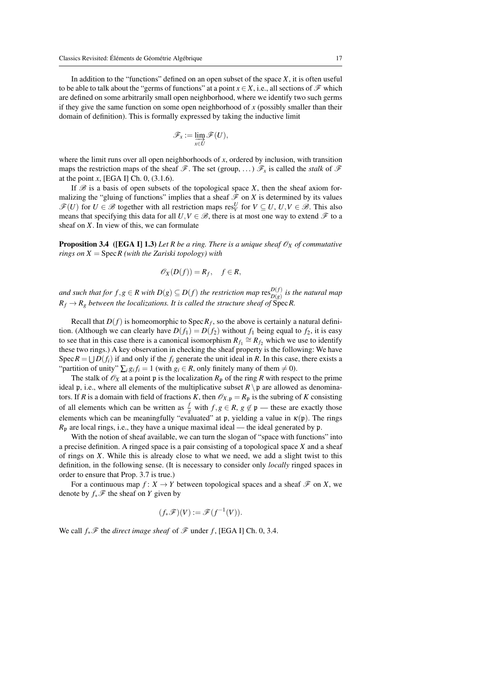In addition to the "functions" defined on an open subset of the space *X*, it is often useful to be able to talk about the "germs of functions" at a point  $x \in X$ , i.e., all sections of  $\mathscr F$  which are defined on some arbitrarily small open neighborhood, where we identify two such germs if they give the same function on some open neighborhood of *x* (possibly smaller than their domain of definition). This is formally expressed by taking the inductive limit

$$
\mathscr{F}_x := \varinjlim_{x \in U} \mathscr{F}(U),
$$

where the limit runs over all open neighborhoods of *x*, ordered by inclusion, with transition maps the restriction maps of the sheaf  $\mathscr{F}$ . The set (group, ...)  $\mathscr{F}_x$  is called the *stalk* of  $\mathscr{F}$ at the point *x*, [EGA I] Ch. 0, (3.1.6).

If  $\mathscr B$  is a basis of open subsets of the topological space  $X$ , then the sheaf axiom formalizing the "gluing of functions" implies that a sheaf  $\mathcal F$  on *X* is determined by its values  $\mathscr{F}(U)$  for *U* ∈  $\mathscr{B}$  together with all restriction maps res<sup>*U*</sup> for *V* ⊆ *U*, *U*, *V* ∈  $\mathscr{B}$ . This also means that specifying this data for all  $U, V \in \mathcal{B}$ , there is at most one way to extend  $\mathcal{F}$  to a sheaf on *X*. In view of this, we can formulate

**Proposition 3.4** ([EGA I] 1.3) Let R be a ring. There is a unique sheaf  $\mathcal{O}_X$  of commutative *rings on X* = Spec*R (with the Zariski topology) with*

$$
\mathscr{O}_X(D(f)) = R_f, \quad f \in R,
$$

*and such that for*  $f, g \in R$  *with*  $D(g) \subseteq D(f)$  *the restriction map*  $\text{res}_{D(g)}^{D(f)}$  $\frac{D(j)}{D(g)}$  is the natural map  $R_f \rightarrow R_g$  *between the localizations. It is called the structure sheaf of* Spec*R*.

Recall that  $D(f)$  is homeomorphic to Spec  $R_f$ , so the above is certainly a natural definition. (Although we can clearly have  $D(f_1) = D(f_2)$  without  $f_1$  being equal to  $f_2$ , it is easy to see that in this case there is a canonical isomorphism  $R_{f_1} \cong R_{f_2}$  which we use to identify these two rings.) A key observation in checking the sheaf property is the following: We have Spec  $R = \bigcup D(f_i)$  if and only if the  $f_i$  generate the unit ideal in R. In this case, there exists a "partition of unity"  $\sum_i g_i f_i = 1$  (with  $g_i \in R$ , only finitely many of them  $\neq 0$ ).

The stalk of  $\mathcal{O}_X$  at a point p is the localization  $R_p$  of the ring R with respect to the prime ideal  $\mathfrak p$ , i.e., where all elements of the multiplicative subset  $R \setminus \mathfrak p$  are allowed as denominators. If *R* is a domain with field of fractions *K*, then  $\mathcal{O}_{X,\mathfrak{p}} = R_{\mathfrak{p}}$  is the subring of *K* consisting of all elements which can be written as  $\frac{f}{g}$  with  $f, g \in R$ ,  $g \notin \mathfrak{p}$  — these are exactly those elements which can be meaningfully "evaluated" at p, yielding a value in  $\kappa(\mathfrak{p})$ . The rings  $R<sub>p</sub>$  are local rings, i.e., they have a unique maximal ideal — the ideal generated by p.

With the notion of sheaf available, we can turn the slogan of "space with functions" into a precise definition. A ringed space is a pair consisting of a topological space *X* and a sheaf of rings on *X*. While this is already close to what we need, we add a slight twist to this definition, in the following sense. (It is necessary to consider only *locally* ringed spaces in order to ensure that Prop. 3.7 is true.)

For a continuous map  $f: X \to Y$  between topological spaces and a sheaf  $\mathcal F$  on X, we denote by  $f_*\mathscr{F}$  the sheaf on *Y* given by

$$
(f_*\mathscr{F})(V):=\mathscr{F}(f^{-1}(V)).
$$

We call *f*<sup>∗</sup> $\mathcal F$  the *direct image sheaf* of  $\mathcal F$  under *f*, [EGA I] Ch. 0, 3.4.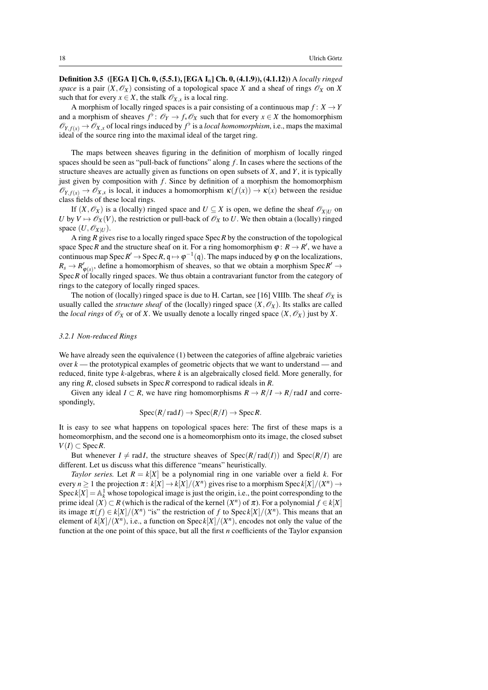Definition 3.5 ([EGA I] Ch. 0, (5.5.1), [EGA In] Ch. 0, (4.1.9)), (4.1.12)) A *locally ringed space* is a pair  $(X, \mathcal{O}_X)$  consisting of a topological space X and a sheaf of rings  $\mathcal{O}_X$  on X such that for every  $x \in X$ , the stalk  $\mathcal{O}_{X,x}$  is a local ring.

A morphism of locally ringed spaces is a pair consisting of a continuous map  $f: X \to Y$ and a morphism of sheaves  $f^{\flat}$ :  $\mathscr{O}_Y \to f_* \mathscr{O}_X$  such that for every  $x \in X$  the homomorphism  $\mathscr{O}_{Y,f(x)} \to \mathscr{O}_{X,x}$  of local rings induced by  $f^{\flat}$  is a *local homomorphism*, i.e., maps the maximal ideal of the source ring into the maximal ideal of the target ring.

The maps between sheaves figuring in the definition of morphism of locally ringed spaces should be seen as "pull-back of functions" along *f* . In cases where the sections of the structure sheaves are actually given as functions on open subsets of *X*, and *Y*, it is typically just given by composition with *f* . Since by definition of a morphism the homomorphism  $\mathcal{O}_{Y,f(x)} \to \mathcal{O}_{X,x}$  is local, it induces a homomorphism  $\kappa(f(x)) \to \kappa(x)$  between the residue class fields of these local rings.

If  $(X, \mathcal{O}_X)$  is a (locally) ringed space and  $U \subseteq X$  is open, we define the sheaf  $\mathcal{O}_{X|U}$  on *U* by  $V \mapsto \mathcal{O}_X(V)$ , the restriction or pull-back of  $\mathcal{O}_X$  to *U*. We then obtain a (locally) ringed space  $(U, \mathscr{O}_{X|U})$ .

A ring *R* gives rise to a locally ringed space Spec*R* by the construction of the topological space Spec *R* and the structure sheaf on it. For a ring homomorphism  $\varphi : R \to R'$ , we have a continuous map Spec  $R' \to \text{Spec } R$ ,  $\mathfrak{q} \mapsto \varphi^{-1}(\mathfrak{q})$ . The maps induced by  $\varphi$  on the localizations,  $R_s \to R'_{\varphi(s)}$ , define a homomorphism of sheaves, so that we obtain a morphism Spec $R' \to$ Spec R of locally ringed spaces. We thus obtain a contravariant functor from the category of rings to the category of locally ringed spaces.

The notion of (locally) ringed space is due to H. Cartan, see [16] VIIIb. The sheaf  $\mathcal{O}_X$  is usually called the *structure sheaf* of the (locally) ringed space  $(X, \mathcal{O}_X)$ . Its stalks are called the *local rings* of  $\mathcal{O}_X$  or of *X*. We usually denote a locally ringed space  $(X, \mathcal{O}_X)$  just by *X*.

# *3.2.1 Non-reduced Rings*

We have already seen the equivalence (1) between the categories of affine algebraic varieties over  $k$  — the prototypical examples of geometric objects that we want to understand — and reduced, finite type *k*-algebras, where *k* is an algebraically closed field. More generally, for any ring *R*, closed subsets in Spec*R* correspond to radical ideals in *R*.

Given any ideal  $I \subset R$ , we have ring homomorphisms  $R \to R/I \to R/radI$  and correspondingly,

$$
Spec(R/radI) \to Spec(R/I) \to SpecR.
$$

It is easy to see what happens on topological spaces here: The first of these maps is a homeomorphism, and the second one is a homeomorphism onto its image, the closed subset  $V(I)$  ⊂ Spec *R*.

But whenever  $I \neq \text{rad}I$ , the structure sheaves of  $\text{Spec}(R/\text{rad}(I))$  and  $\text{Spec}(R/I)$  are different. Let us discuss what this difference "means" heuristically.

*Taylor series.* Let  $R = k[X]$  be a polynomial ring in one variable over a field k. For every  $n \geq 1$  the projection  $\pi : k[X] \to k[X]/(X^n)$  gives rise to a morphism Spec $k[X]/(X^n) \to$  $Spec k[X] = \mathbb{A}^1_k$  whose topological image is just the origin, i.e., the point corresponding to the prime ideal  $(X) \subset R$  (which is the radical of the kernel  $(X^n)$  of  $\pi$ ). For a polynomial  $f \in k[X]$ its image  $\pi(f) \in k[X]/(X^n)$  "is" the restriction of *f* to Spec  $k[X]/(X^n)$ . This means that an element of  $k[X]/(X^n)$ , i.e., a function on Spec  $k[X]/(X^n)$ , encodes not only the value of the function at the one point of this space, but all the first *n* coefficients of the Taylor expansion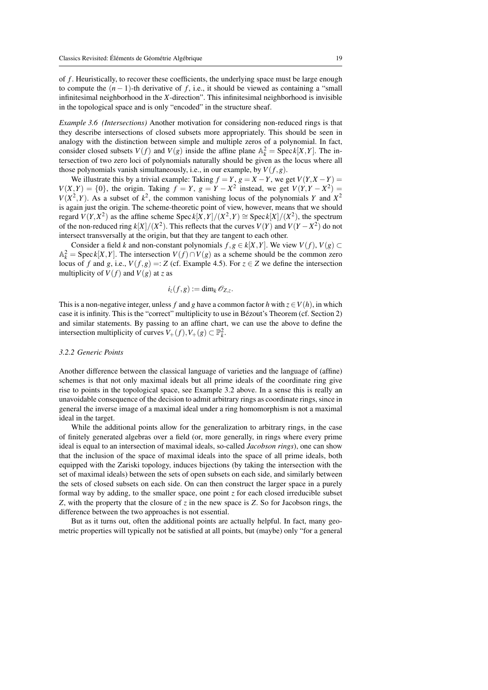of *f* . Heuristically, to recover these coefficients, the underlying space must be large enough to compute the  $(n-1)$ -th derivative of f, i.e., it should be viewed as containing a "small" infinitesimal neighborhood in the *X*-direction". This infinitesimal neighborhood is invisible in the topological space and is only "encoded" in the structure sheaf.

*Example 3.6 (Intersections)* Another motivation for considering non-reduced rings is that they describe intersections of closed subsets more appropriately. This should be seen in analogy with the distinction between simple and multiple zeros of a polynomial. In fact, consider closed subsets  $V(f)$  and  $V(g)$  inside the affine plane  $\mathbb{A}_k^2 = \text{Spec } k[X, Y]$ . The intersection of two zero loci of polynomials naturally should be given as the locus where all those polynomials vanish simultaneously, i.e., in our example, by  $V(f, g)$ .

We illustrate this by a trivial example: Taking  $f = Y$ ,  $g = X - Y$ , we get  $V(Y, X - Y) =$  $V(X,Y) = \{0\}$ , the origin. Taking  $f = Y$ ,  $g = Y - X^2$  instead, we get  $V(Y,Y - X^2) =$  $V(X^2, Y)$ . As a subset of  $k^2$ , the common vanishing locus of the polynomials *Y* and  $X^2$ is again just the origin. The scheme-theoretic point of view, however, means that we should regard  $V(Y, X^2)$  as the affine scheme Spec $k[X, Y]/(X^2, Y) \cong$  Spec $k[X]/(X^2)$ , the spectrum of the non-reduced ring  $k[X]/(X^2)$ . This reflects that the curves  $V(Y)$  and  $V(Y - X^2)$  do not intersect transversally at the origin, but that they are tangent to each other.

Consider a field *k* and non-constant polynomials  $f, g \in k[X, Y]$ . We view  $V(f)$ ,  $V(g) \subset$  $A_k^2 = \text{Spec } k[X, Y]$ . The intersection  $V(f) \cap V(g)$  as a scheme should be the common zero locus of *f* and *g*, i.e.,  $V(f, g) =: Z$  (cf. Example 4.5). For  $z \in Z$  we define the intersection multiplicity of  $V(f)$  and  $V(g)$  at *z* as

$$
i_z(f,g):=\dim_k \mathscr{O}_{Z,z}.
$$

This is a non-negative integer, unless *f* and *g* have a common factor *h* with  $z \in V(h)$ , in which case it is infinity. This is the "correct" multiplicity to use in Bezout's Theorem (cf. Section 2) ´ and similar statements. By passing to an affine chart, we can use the above to define the intersection multiplicity of curves  $V_+(f)$ ,  $V_+(g) \subset \mathbb{P}_k^2$ .

# *3.2.2 Generic Points*

Another difference between the classical language of varieties and the language of (affine) schemes is that not only maximal ideals but all prime ideals of the coordinate ring give rise to points in the topological space, see Example 3.2 above. In a sense this is really an unavoidable consequence of the decision to admit arbitrary rings as coordinate rings, since in general the inverse image of a maximal ideal under a ring homomorphism is not a maximal ideal in the target.

While the additional points allow for the generalization to arbitrary rings, in the case of finitely generated algebras over a field (or, more generally, in rings where every prime ideal is equal to an intersection of maximal ideals, so-called *Jacobson rings*), one can show that the inclusion of the space of maximal ideals into the space of all prime ideals, both equipped with the Zariski topology, induces bijections (by taking the intersection with the set of maximal ideals) between the sets of open subsets on each side, and similarly between the sets of closed subsets on each side. On can then construct the larger space in a purely formal way by adding, to the smaller space, one point *z* for each closed irreducible subset *Z*, with the property that the closure of *z* in the new space is *Z*. So for Jacobson rings, the difference between the two approaches is not essential.

But as it turns out, often the additional points are actually helpful. In fact, many geometric properties will typically not be satisfied at all points, but (maybe) only "for a general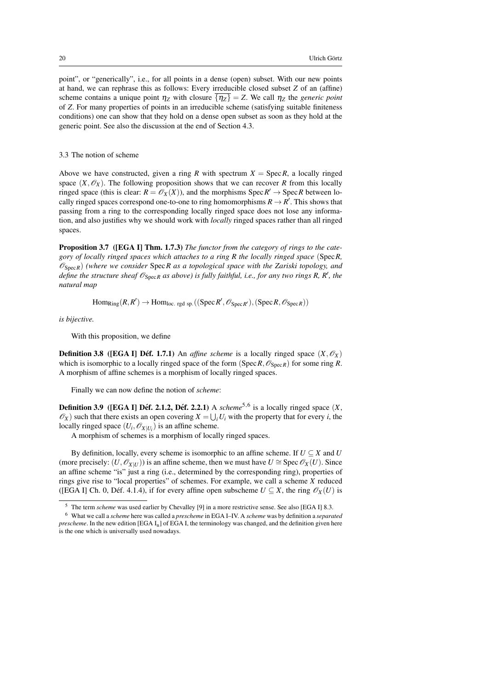point", or "generically", i.e., for all points in a dense (open) subset. With our new points at hand, we can rephrase this as follows: Every irreducible closed subset *Z* of an (affine) scheme contains a unique point  $\eta_Z$  with closure  $\overline{\{\eta_Z\}} = Z$ . We call  $\eta_Z$  the *generic point* of *Z*. For many properties of points in an irreducible scheme (satisfying suitable finiteness conditions) one can show that they hold on a dense open subset as soon as they hold at the generic point. See also the discussion at the end of Section 4.3.

## 3.3 The notion of scheme

Above we have constructed, given a ring *R* with spectrum  $X = \text{Spec } R$ , a locally ringed space  $(X, \mathcal{O}_X)$ . The following proposition shows that we can recover *R* from this locally ringed space (this is clear:  $R = \mathcal{O}_X(X)$ ), and the morphisms Spec  $R' \to \text{Spec } R$  between locally ringed spaces correspond one-to-one to ring homomorphisms  $R \to R'$ . This shows that passing from a ring to the corresponding locally ringed space does not lose any information, and also justifies why we should work with *locally* ringed spaces rather than all ringed spaces.

Proposition 3.7 ([EGA I] Thm. 1.7.3) *The functor from the category of rings to the category of locally ringed spaces which attaches to a ring R the locally ringed space* (Spec*R,* OSpec*R*) *(where we consider* Spec*R as a topological space with the Zariski topology, and* define the structure sheaf  $\mathscr{O}_{\mathsf{Spec} R}$  as above) is fully faithful, i.e., for any two rings R, R', the *natural map*

 $\text{Hom}_{\text{Ring}}(R, R') \to \text{Hom}_{\text{loc.~rgd sp.}}((\text{Spec } R', \mathscr{O}_{\text{Spec } R'}), (\text{Spec } R, \mathscr{O}_{\text{Spec } R}))$ 

*is bijective.*

With this proposition, we define

**Definition 3.8** ([EGA I] Déf. 1.7.1) An *affine scheme* is a locally ringed space  $(X, \mathcal{O}_X)$ which is isomorphic to a locally ringed space of the form  $(Spec R, \mathcal{O}_{Spec R})$  for some ring *R*. A morphism of affine schemes is a morphism of locally ringed spaces.

Finally we can now define the notion of *scheme*:

**Definition 3.9** ([EGA I] Déf. 2.1.2, Déf. 2.2.1) A *scheme*<sup>5,6</sup> is a locally ringed space  $(X,$  $\mathcal{O}_X$ ) such that there exists an open covering  $X = \bigcup_i U_i$  with the property that for every *i*, the locally ringed space  $(U_i, \mathcal{O}_{X|U_i})$  is an affine scheme.

A morphism of schemes is a morphism of locally ringed spaces.

By definition, locally, every scheme is isomorphic to an affine scheme. If  $U \subseteq X$  and  $U$ (more precisely:  $(U, \mathcal{O}_{X|U})$ ) is an affine scheme, then we must have  $U \cong \text{Spec } \mathcal{O}_X(U)$ . Since an affine scheme "is" just a ring (i.e., determined by the corresponding ring), properties of rings give rise to "local properties" of schemes. For example, we call a scheme *X* reduced ([EGA I] Ch. 0, Déf. 4.1.4), if for every affine open subscheme  $U \subseteq X$ , the ring  $\mathcal{O}_X(U)$  is

<sup>5</sup> The term *scheme* was used earlier by Chevalley [9] in a more restrictive sense. See also [EGA I] 8.3.

<sup>6</sup> What we call a *scheme* here was called a *prescheme* in EGA I–IV. A *scheme* was by definition a *separated prescheme*. In the new edition [EGA I<sub>n</sub>] of EGA I, the terminology was changed, and the definition given here is the one which is universally used nowadays.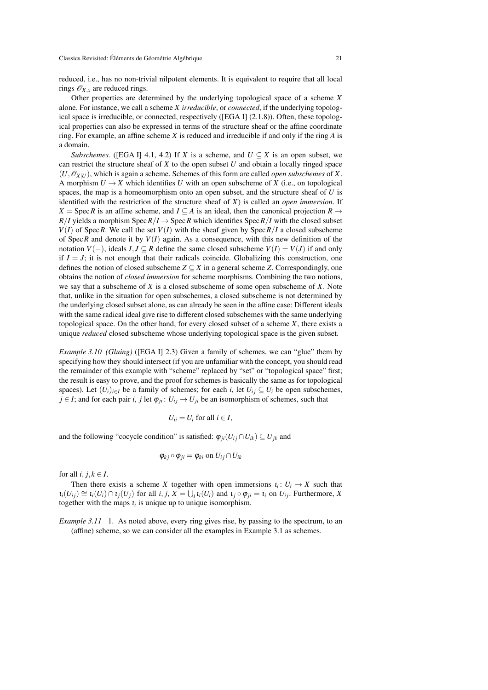reduced, i.e., has no non-trivial nilpotent elements. It is equivalent to require that all local rings  $\mathcal{O}_{X,x}$  are reduced rings.

Other properties are determined by the underlying topological space of a scheme *X* alone. For instance, we call a scheme *X irreducible*, or *connected*, if the underlying topological space is irreducible, or connected, respectively ([EGA I]  $(2.1.8)$ ). Often, these topological properties can also be expressed in terms of the structure sheaf or the affine coordinate ring. For example, an affine scheme *X* is reduced and irreducible if and only if the ring *A* is a domain.

*Subschemes.* ([EGA I] 4.1, 4.2) If *X* is a scheme, and  $U \subseteq X$  is an open subset, we can restrict the structure sheaf of  $X$  to the open subset  $U$  and obtain a locally ringed space  $(U, \mathcal{O}_{X|U})$ , which is again a scheme. Schemes of this form are called *open subschemes* of *X*. A morphism  $U \rightarrow X$  which identifies U with an open subscheme of X (i.e., on topological spaces, the map is a homeomorphism onto an open subset, and the structure sheaf of *U* is identified with the restriction of the structure sheaf of *X*) is called an *open immersion*. If *X* = Spec*R* is an affine scheme, and *I* ⊆ *A* is an ideal, then the canonical projection  $R \rightarrow$  $R/I$  yields a morphism Spec $R/I \rightarrow$  Spec*R* which identifies Spec*R*/*I* with the closed subset  $V(I)$  of Spec*R*. We call the set  $V(I)$  with the sheaf given by Spec*R*/*I* a closed subscheme of Spec*R* and denote it by  $V(I)$  again. As a consequence, with this new definition of the notation *V*(−), ideals *I*, *J* ⊆ *R* define the same closed subscheme *V*(*I*) = *V*(*J*) if and only if  $I = J$ ; it is not enough that their radicals coincide. Globalizing this construction, one defines the notion of closed subscheme  $Z \subseteq X$  in a general scheme *Z*. Correspondingly, one obtains the notion of *closed immersion* for scheme morphisms. Combining the two notions, we say that a subscheme of *X* is a closed subscheme of some open subscheme of *X*. Note that, unlike in the situation for open subschemes, a closed subscheme is not determined by the underlying closed subset alone, as can already be seen in the affine case: Different ideals with the same radical ideal give rise to different closed subschemes with the same underlying topological space. On the other hand, for every closed subset of a scheme *X*, there exists a unique *reduced* closed subscheme whose underlying topological space is the given subset.

*Example 3.10 (Gluing)* ([EGA I] 2.3) Given a family of schemes, we can "glue" them by specifying how they should intersect (if you are unfamiliar with the concept, you should read the remainder of this example with "scheme" replaced by "set" or "topological space" first; the result is easy to prove, and the proof for schemes is basically the same as for topological spaces). Let  $(U_i)_{i \in I}$  be a family of schemes; for each *i*, let  $U_i \subseteq U_i$  be open subschemes,  $j \in I$ ; and for each pair *i*, *j* let  $\varphi_{ii}$ :  $U_{ij} \to U_{ji}$  be an isomorphism of schemes, such that

$$
U_{ii}=U_i \text{ for all } i\in I,
$$

and the following "cocycle condition" is satisfied:  $\varphi_{ii}(U_i \cap U_k) \subseteq U_{ik}$  and

$$
\varphi_{kj} \circ \varphi_{ji} = \varphi_{ki} \text{ on } U_{ij} \cap U_{ik}
$$

for all  $i, j, k \in I$ .

Then there exists a scheme *X* together with open immersions  $\iota_i: U_i \to X$  such that  $u_i(U_{ij}) \cong u_i(U_i) \cap u_j(U_j)$  for all  $i, j, X = \bigcup_i u_i(U_i)$  and  $u_j \circ \varphi_{ji} = u_i$  on  $U_{ij}$ . Furthermore, X together with the maps  $t_i$  is unique up to unique isomorphism.

*Example 3.11* 1. As noted above, every ring gives rise, by passing to the spectrum, to an (affine) scheme, so we can consider all the examples in Example 3.1 as schemes.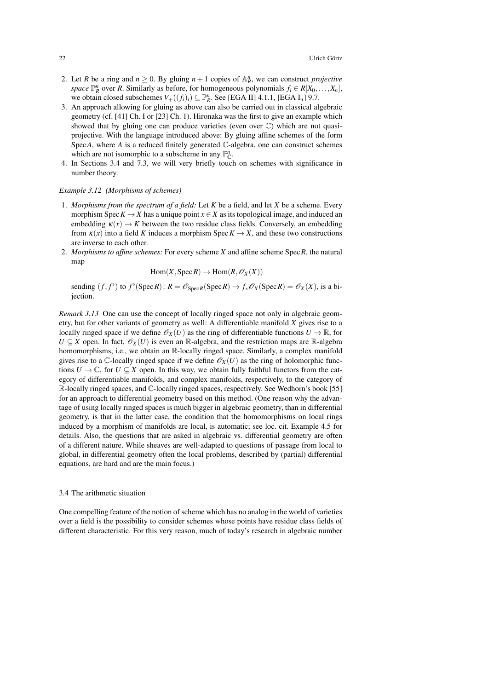- 2. Let *R* be a ring and  $n \ge 0$ . By gluing  $n + 1$  copies of  $\mathbb{A}_R^n$ , we can construct *projective space*  $\mathbb{P}_R^n$  over *R*. Similarly as before, for homogeneous polynomials  $f_i \in R[X_0, \ldots, X_n]$ , we obtain closed subschemes  $V_+((f_i)_i) \subseteq \mathbb{P}_R^n$ . See [EGA II] 4.1.1, [EGA I<sub>n</sub>] 9.7.
- 3. An approach allowing for gluing as above can also be carried out in classical algebraic geometry (cf. [41] Ch. I or [23] Ch. 1). Hironaka was the first to give an example which showed that by gluing one can produce varieties (even over  $\mathbb{C}$ ) which are not quasiprojective. With the language introduced above: By gluing affine schemes of the form Spec*A*, where *A* is a reduced finitely generated C-algebra, one can construct schemes which are not isomorphic to a subscheme in any  $\mathbb{P}^n_{\mathbb{C}}$ .
- 4. In Sections 3.4 and 7.3, we will very briefly touch on schemes with significance in number theory.

## *Example 3.12 (Morphisms of schemes)*

- 1. *Morphisms from the spectrum of a field:* Let *K* be a field, and let *X* be a scheme. Every morphism Spec  $K \to X$  has a unique point  $x \in X$  as its topological image, and induced an embedding  $\kappa(x) \to K$  between the two residue class fields. Conversely, an embedding from  $\kappa(x)$  into a field *K* induces a morphism Spec  $K \to X$ , and these two constructions are inverse to each other.
- 2. *Morphisms to affine schemes:* For every scheme *X* and affine scheme Spec*R*, the natural map

 $\text{Hom}(X, \text{Spec } R) \to \text{Hom}(R, \mathcal{O}_X(X))$ 

sending  $(f, f^{\flat})$  to  $f^{\flat}(\text{Spec } R)$ :  $R = \mathscr{O}_{\text{Spec } R}(\text{Spec } R) \to f_*\mathscr{O}_X(\text{Spec } R) = \mathscr{O}_X(X)$ , is a bijection.

*Remark 3.13* One can use the concept of locally ringed space not only in algebraic geometry, but for other variants of geometry as well: A differentiable manifold *X* gives rise to a locally ringed space if we define  $\mathcal{O}_X(U)$  as the ring of differentiable functions  $U \to \mathbb{R}$ , for  $U \subseteq X$  open. In fact,  $\mathcal{O}_X(U)$  is even an R-algebra, and the restriction maps are R-algebra homomorphisms, i.e., we obtain an  $\mathbb R$ -locally ringed space. Similarly, a complex manifold gives rise to a  $\mathbb{C}$ -locally ringed space if we define  $\mathscr{O}_X(U)$  as the ring of holomorphic functions  $U \to \mathbb{C}$ , for  $U \subseteq X$  open. In this way, we obtain fully faithful functors from the category of differentiable manifolds, and complex manifolds, respectively, to the category of R-locally ringed spaces, and C-locally ringed spaces, respectively. See Wedhorn's book [55] for an approach to differential geometry based on this method. (One reason why the advantage of using locally ringed spaces is much bigger in algebraic geometry, than in differential geometry, is that in the latter case, the condition that the homomorphisms on local rings induced by a morphism of manifolds are local, is automatic; see loc. cit. Example 4.5 for details. Also, the questions that are asked in algebraic vs. differential geometry are often of a different nature. While sheaves are well-adapted to questions of passage from local to global, in differential geometry often the local problems, described by (partial) differential equations, are hard and are the main focus.)

#### 3.4 The arithmetic situation

One compelling feature of the notion of scheme which has no analog in the world of varieties over a field is the possibility to consider schemes whose points have residue class fields of different characteristic. For this very reason, much of today's research in algebraic number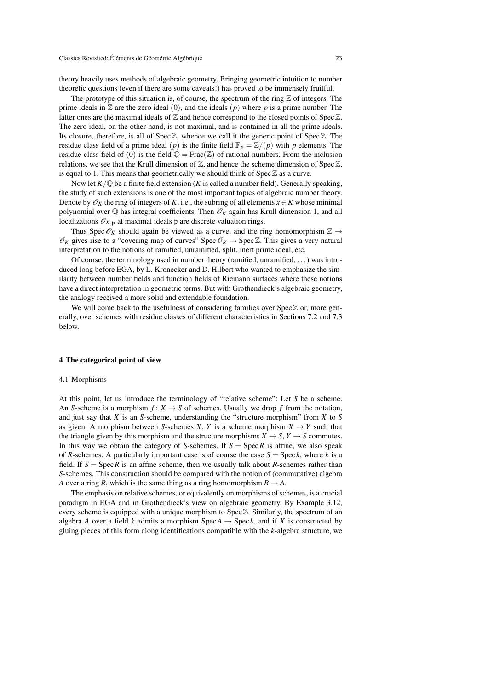theory heavily uses methods of algebraic geometry. Bringing geometric intuition to number theoretic questions (even if there are some caveats!) has proved to be immensely fruitful.

The prototype of this situation is, of course, the spectrum of the ring  $\mathbb Z$  of integers. The prime ideals in  $\mathbb Z$  are the zero ideal (0), and the ideals (*p*) where *p* is a prime number. The latter ones are the maximal ideals of  $\mathbb Z$  and hence correspond to the closed points of Spec  $\mathbb Z$ . The zero ideal, on the other hand, is not maximal, and is contained in all the prime ideals. Its closure, therefore, is all of Spec $\mathbb{Z}$ , whence we call it the generic point of Spec $\mathbb{Z}$ . The residue class field of a prime ideal (*p*) is the finite field  $\mathbb{F}_p = \mathbb{Z}/(p)$  with *p* elements. The residue class field of (0) is the field  $\mathbb{Q} = \text{Frac}(\mathbb{Z})$  of rational numbers. From the inclusion relations, we see that the Krull dimension of  $\mathbb{Z}$ , and hence the scheme dimension of Spec $\mathbb{Z}$ , is equal to 1. This means that geometrically we should think of  $Spec \mathbb{Z}$  as a curve.

Now let  $K/\mathbb{Q}$  be a finite field extension (*K* is called a number field). Generally speaking, the study of such extensions is one of the most important topics of algebraic number theory. Denote by  $\mathcal{O}_K$  the ring of integers of *K*, i.e., the subring of all elements *x* ∈ *K* whose minimal polynomial over  $\mathbb Q$  has integral coefficients. Then  $\mathscr O_K$  again has Krull dimension 1, and all localizations  $\mathcal{O}_{K,p}$  at maximal ideals  $p$  are discrete valuation rings.

Thus Spec  $\mathcal{O}_K$  should again be viewed as a curve, and the ring homomorphism  $\mathbb{Z} \rightarrow$  $\mathscr{O}_K$  gives rise to a "covering map of curves" Spec  $\mathscr{O}_K \to \text{Spec } \mathbb{Z}$ . This gives a very natural interpretation to the notions of ramified, unramified, split, inert prime ideal, etc.

Of course, the terminology used in number theory (ramified, unramified,  $\dots$ ) was introduced long before EGA, by L. Kronecker and D. Hilbert who wanted to emphasize the similarity between number fields and function fields of Riemann surfaces where these notions have a direct interpretation in geometric terms. But with Grothendieck's algebraic geometry, the analogy received a more solid and extendable foundation.

We will come back to the usefulness of considering families over  $Spec\ Z$  or, more generally, over schemes with residue classes of different characteristics in Sections 7.2 and 7.3 below.

#### 4 The categorical point of view

#### 4.1 Morphisms

At this point, let us introduce the terminology of "relative scheme": Let *S* be a scheme. An *S*-scheme is a morphism  $f: X \to S$  of schemes. Usually we drop f from the notation, and just say that *X* is an *S*-scheme, understanding the "structure morphism" from *X* to *S* as given. A morphism between *S*-schemes *X*, *Y* is a scheme morphism  $X \rightarrow Y$  such that the triangle given by this morphism and the structure morphisms  $X \to S$ ,  $Y \to S$  commutes. In this way we obtain the category of *S*-schemes. If  $S = \text{Spec } R$  is affine, we also speak of *R*-schemes. A particularly important case is of course the case  $S = \text{Spec } k$ , where *k* is a field. If  $S = \text{Spec } R$  is an affine scheme, then we usually talk about R-schemes rather than *S*-schemes. This construction should be compared with the notion of (commutative) algebra *A* over a ring *R*, which is the same thing as a ring homomorphism  $R \rightarrow A$ .

The emphasis on relative schemes, or equivalently on morphisms of schemes, is a crucial paradigm in EGA and in Grothendieck's view on algebraic geometry. By Example 3.12, every scheme is equipped with a unique morphism to Spec  $\mathbb{Z}$ . Similarly, the spectrum of an algebra *A* over a field *k* admits a morphism  $\text{Spec} A \to \text{Spec} k$ , and if *X* is constructed by gluing pieces of this form along identifications compatible with the *k*-algebra structure, we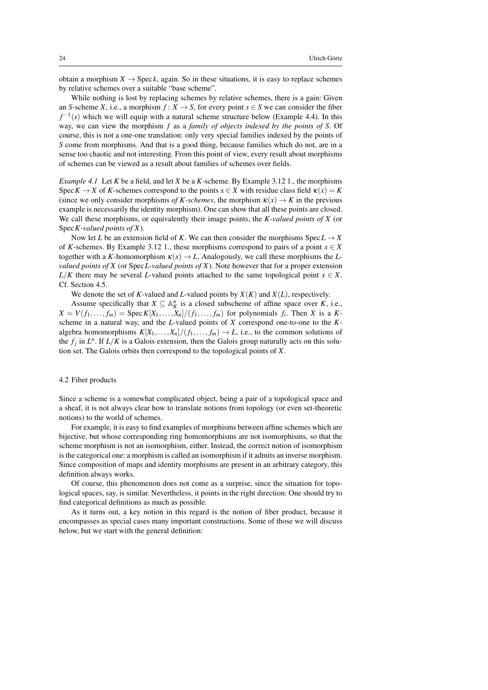obtain a morphism  $X \to \text{Spec } k$ , again. So in these situations, it is easy to replace schemes by relative schemes over a suitable "base scheme".

While nothing is lost by replacing schemes by relative schemes, there is a gain: Given an *S*-scheme *X*, i.e., a morphism  $f: X \to S$ , for every point  $s \in S$  we can consider the fiber  $f^{-1}(s)$  which we will equip with a natural scheme structure below (Example 4.4). In this way, we can view the morphism *f* as a *family of objects indexed by the points of S*. Of course, this is not a one-one translation: only very special families indexed by the points of *S* come from morphisms. And that is a good thing, because families which do not, are in a sense too chaotic and not interesting. From this point of view, every result about morphisms of schemes can be viewed as a result about families of schemes over fields.

*Example 4.1* Let *K* be a field, and let *X* be a *K*-scheme. By Example 3.12 1., the morphisms Spec  $K \to X$  of K-schemes correspond to the points  $x \in X$  with residue class field  $\kappa(x) = K$ (since we only consider morphisms *of K-schemes*, the morphism  $\kappa(x) \to K$  in the previous example is necessarily the identity morphism). One can show that all these points are closed. We call these morphisms, or equivalently their image points, the *K-valued points of X* (or Spec*K-valued points of X*).

Now let *L* be an extension field of *K*. We can then consider the morphisms  $Spec L \rightarrow X$ of *K*-schemes. By Example 3.12 1., these morphisms correspond to pairs of a point  $x \in X$ together with a *K*-homomorphism  $\kappa(x) \to L$ . Analogously, we call these morphisms the *Lvalued points of X* (or Spec*L-valued points of X*). Note however that for a proper extension  $L/K$  there may be several *L*-valued points attached to the same topological point  $x \in X$ . Cf. Section 4.5.

We denote the set of *K*-valued and *L*-valued points by  $X(K)$  and  $X(L)$ , respectively.

Assume specifically that  $X \subseteq \mathbb{A}^n$  is a closed subscheme of affine space over *K*, i.e.,  $X = V(f_1, \ldots, f_m) = \text{Spec } K[X_1, \ldots, X_n]/(f_1, \ldots, f_m)$  for polynomials  $f_i$ . Then *X* is a *K*scheme in a natural way, and the *L*-valued points of *X* correspond one-to-one to the *K*algebra homomorphisms  $K[X_1, \ldots, X_n]/(f_1, \ldots, f_m) \to L$ , i.e., to the common solutions of the  $f_j$  in  $L^n$ . If  $L/K$  is a Galois extension, then the Galois group naturally acts on this solution set. The Galois orbits then correspond to the topological points of *X*.

# 4.2 Fiber products

Since a scheme is a somewhat complicated object, being a pair of a topological space and a sheaf, it is not always clear how to translate notions from topology (or even set-theoretic notions) to the world of schemes.

For example, it is easy to find examples of morphisms between affine schemes which are bijective, but whose corresponding ring homomorphisms are not isomorphisms, so that the scheme morphism is not an isomorphism, either. Instead, the correct notion of isomorphism is the categorical one: a morphism is called an isomorphism if it admits an inverse morphism. Since composition of maps and identity morphisms are present in an arbitrary category, this definition always works.

Of course, this phenomenon does not come as a surprise, since the situation for topological spaces, say, is similar. Nevertheless, it points in the right direction: One should try to find categorical definitions as much as possible.

As it turns out, a key notion in this regard is the notion of fiber product, because it encompasses as special cases many important constructions. Some of those we will discuss below, but we start with the general definition: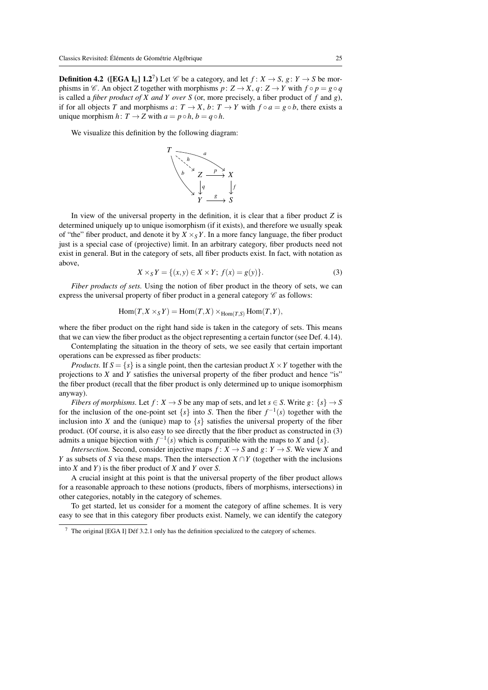**Definition 4.2** ([EGA I<sub>n</sub>] 1.2<sup>7</sup>) Let  $\mathscr C$  be a category, and let  $f: X \to S$ ,  $g: Y \to S$  be morphisms in  $\mathscr{C}$ . An object *Z* together with morphisms  $p: Z \to X$ ,  $q: Z \to Y$  with  $f \circ p = g \circ q$ is called a *fiber product of X and Y over S* (or, more precisely, a fiber product of *f* and *g*), if for all objects *T* and morphisms *a*:  $T \rightarrow X$ , *b*:  $T \rightarrow Y$  with  $f \circ a = g \circ b$ , there exists a unique morphism  $h: T \to Z$  with  $a = p \circ h, b = q \circ h$ .

We visualize this definition by the following diagram:



In view of the universal property in the definition, it is clear that a fiber product *Z* is determined uniquely up to unique isomorphism (if it exists), and therefore we usually speak of "the" fiber product, and denote it by  $X \times_S Y$ . In a more fancy language, the fiber product just is a special case of (projective) limit. In an arbitrary category, fiber products need not exist in general. But in the category of sets, all fiber products exist. In fact, with notation as above,

$$
X \times_S Y = \{(x, y) \in X \times Y; f(x) = g(y)\}.
$$
\n
$$
(3)
$$

*Fiber products of sets.* Using the notion of fiber product in the theory of sets, we can express the universal property of fiber product in a general category  $\mathscr C$  as follows:

$$
Hom(T, X \times_S Y) = Hom(T, X) \times_{Hom(T, S)} Hom(T, Y),
$$

where the fiber product on the right hand side is taken in the category of sets. This means that we can view the fiber product as the object representing a certain functor (see Def. 4.14).

Contemplating the situation in the theory of sets, we see easily that certain important operations can be expressed as fiber products:

*Products.* If  $S = \{s\}$  is a single point, then the cartesian product  $X \times Y$  together with the projections to *X* and *Y* satisfies the universal property of the fiber product and hence "is" the fiber product (recall that the fiber product is only determined up to unique isomorphism anyway).

*Fibers of morphisms.* Let  $f: X \to S$  be any map of sets, and let  $s \in S$ . Write  $g: \{s\} \to S$ for the inclusion of the one-point set  $\{s\}$  into *S*. Then the fiber  $f^{-1}(s)$  together with the inclusion into *X* and the (unique) map to  $\{s\}$  satisfies the universal property of the fiber product. (Of course, it is also easy to see directly that the fiber product as constructed in (3) admits a unique bijection with  $f^{-1}(s)$  which is compatible with the maps to *X* and  $\{s\}$ .

*Intersection.* Second, consider injective maps  $f: X \to S$  and  $g: Y \to S$ . We view *X* and *Y* as subsets of *S* via these maps. Then the intersection *X* ∩ *Y* (together with the inclusions into *X* and *Y*) is the fiber product of *X* and *Y* over *S*.

A crucial insight at this point is that the universal property of the fiber product allows for a reasonable approach to these notions (products, fibers of morphisms, intersections) in other categories, notably in the category of schemes.

To get started, let us consider for a moment the category of affine schemes. It is very easy to see that in this category fiber products exist. Namely, we can identify the category

 $7$  The original [EGA I] Déf 3.2.1 only has the definition specialized to the category of schemes.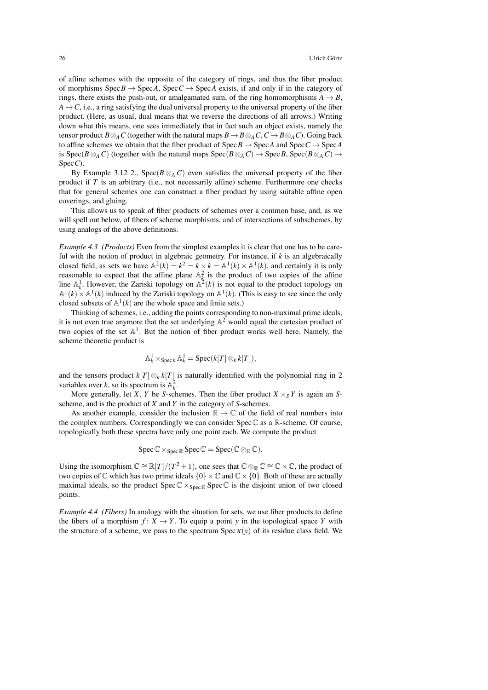of affine schemes with the opposite of the category of rings, and thus the fiber product of morphisms  $\text{Spec } B \to \text{Spec } A$ ,  $\text{Spec } C \to \text{Spec } A$  exists, if and only if in the category of rings, there exists the push-out, or amalgamated sum, of the ring homomorphisms  $A \rightarrow B$ ,  $A \rightarrow C$ , i.e., a ring satisfying the dual universal property to the universal property of the fiber product. (Here, as usual, dual means that we reverse the directions of all arrows.) Writing down what this means, one sees immediately that in fact such an object exists, namely the tensor product  $B \otimes_A C$  (together with the natural maps  $B \to B \otimes_A C$ ,  $C \to B \otimes_A C$ ). Going back to affine schemes we obtain that the fiber product of  $\text{Spec } B \to \text{Spec } A$  and  $\text{Spec } C \to \text{Spec } A$ is  $Spec(B \otimes_A C)$  (together with the natural maps  $Spec(B \otimes_A C) \rightarrow Spec(B \otimes_A C) \rightarrow$ Spec*C*).

By Example 3.12 2.,  $Spec(B \otimes_A C)$  even satisfies the universal property of the fiber product if *T* is an arbitrary (i.e., not necessarily affine) scheme. Furthermore one checks that for general schemes one can construct a fiber product by using suitable affine open coverings, and gluing.

This allows us to speak of fiber products of schemes over a common base, and, as we will spell out below, of fibers of scheme morphisms, and of intersections of subschemes, by using analogs of the above definitions.

*Example 4.3 (Products)* Even from the simplest examples it is clear that one has to be careful with the notion of product in algebraic geometry. For instance, if *k* is an algebraically closed field, as sets we have  $\mathbb{A}^2(k) = k^2 = k \times k = \mathbb{A}^1(k) \times \mathbb{A}^1(k)$ , and certainly it is only reasonable to expect that the affine plane  $\mathbb{A}_{k}^{2}$  is the product of two copies of the affine line  $\mathbb{A}^1_k$ . However, the Zariski topology on  $\mathbb{A}^2(k)$  is not equal to the product topology on  $\mathbb{A}^1(k) \times \mathbb{A}^1(k)$  induced by the Zariski topology on  $\mathbb{A}^1(k)$ . (This is easy to see since the only closed subsets of  $\mathbb{A}^1(k)$  are the whole space and finite sets.)

Thinking of schemes, i.e., adding the points corresponding to non-maximal prime ideals, it is not even true anymore that the set underlying  $\mathbb{A}^2$  would equal the cartesian product of two copies of the set  $A^1$ . But the notion of fiber product works well here. Namely, the scheme theoretic product is

$$
\mathbb{A}_k^1 \times_{\operatorname{Spec} k} \mathbb{A}_k^1 = \operatorname{Spec}(k[T] \otimes_k k[T]),
$$

and the tensors product  $k[T] \otimes_k k[T]$  is naturally identified with the polynomial ring in 2 variables over *k*, so its spectrum is  $\mathbb{A}_k^2$ .

More generally, let *X*, *Y* be *S*-schemes. Then the fiber product  $X \times_S Y$  is again an *S*scheme, and is the product of *X* and *Y* in the category of *S*-schemes.

As another example, consider the inclusion  $\mathbb{R} \to \mathbb{C}$  of the field of real numbers into the complex numbers. Correspondingly we can consider  $\text{Spec } \mathbb{C}$  as a  $\mathbb{R}$ -scheme. Of course, topologically both these spectra have only one point each. We compute the product

$$
\operatorname{Spec} \mathbb{C} \times_{\operatorname{Spec} \mathbb{R}} \operatorname{Spec} \mathbb{C} = \operatorname{Spec} (\mathbb{C} \otimes_{\mathbb{R}} \mathbb{C}).
$$

Using the isomorphism  $\mathbb{C} \cong \mathbb{R}[T]/(T^2+1)$ , one sees that  $\mathbb{C} \otimes_{\mathbb{R}} \mathbb{C} \cong \mathbb{C} \times \mathbb{C}$ , the product of two copies of  $\mathbb C$  which has two prime ideals  $\{0\} \times \mathbb C$  and  $\mathbb C \times \{0\}$ . Both of these are actually maximal ideals, so the product  $Spec \mathbb{C} \times_{Spec \mathbb{R}} Spec \mathbb{C}$  is the disjoint union of two closed points.

*Example 4.4 (Fibers)* In analogy with the situation for sets, we use fiber products to define the fibers of a morphism  $f: X \to Y$ . To equip a point *y* in the topological space *Y* with the structure of a scheme, we pass to the spectrum Spec  $\kappa(y)$  of its residue class field. We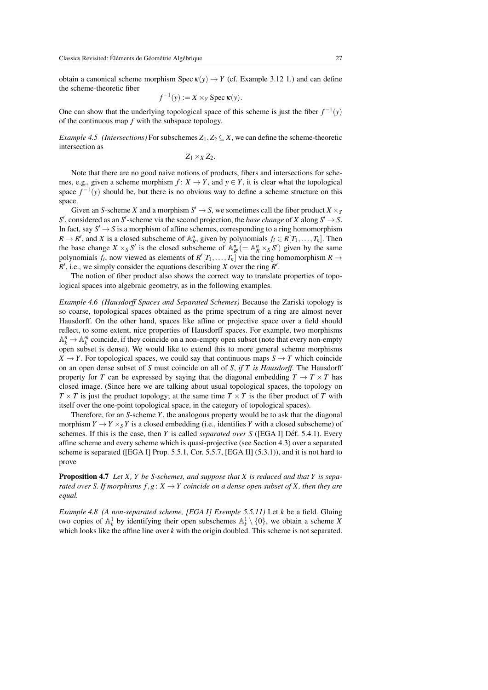obtain a canonical scheme morphism Spec  $\kappa(y) \to Y$  (cf. Example 3.12 1.) and can define the scheme-theoretic fiber

$$
f^{-1}(y) := X \times_Y \text{Spec } \kappa(y).
$$

One can show that the underlying topological space of this scheme is just the fiber  $f^{-1}(y)$ of the continuous map *f* with the subspace topology.

*Example 4.5 (Intersections)* For subschemes  $Z_1, Z_2 \subseteq X$ , we can define the scheme-theoretic intersection as

 $Z_1 \times_X Z_2$ .

Note that there are no good naive notions of products, fibers and intersections for schemes, e.g., given a scheme morphism  $f: X \to Y$ , and  $y \in Y$ , it is clear what the topological space  $f^{-1}$  $(x<sup>1</sup>(y))$  should be, but there is no obvious way to define a scheme structure on this space.

Given an *S*-scheme *X* and a morphism  $S' \to S$ , we sometimes call the fiber product  $X \times_S S$  $S'$ , considered as an  $S'$ -scheme via the second projection, the *base change* of *X* along  $S' \rightarrow S$ . In fact, say  $S' \rightarrow S$  is a morphism of affine schemes, corresponding to a ring homomorphism  $R \to R'$ , and *X* is a closed subscheme of  $\mathbb{A}_R^n$ , given by polynomials  $f_i \in R[T_1, \ldots, T_n]$ . Then the base change  $X \times_S S'$  is the closed subscheme of  $\mathbb{A}_{R'}^n (= \mathbb{A}_R^n \times_S S')$  given by the same polynomials  $f_i$ , now viewed as elements of  $R'[T_1, \ldots, T_n]$  via the ring homomorphism  $R \to$  $R'$ , i.e., we simply consider the equations describing *X* over the ring  $R'$ .

The notion of fiber product also shows the correct way to translate properties of topological spaces into algebraic geometry, as in the following examples.

*Example 4.6 (Hausdorff Spaces and Separated Schemes)* Because the Zariski topology is so coarse, topological spaces obtained as the prime spectrum of a ring are almost never Hausdorff. On the other hand, spaces like affine or projective space over a field should reflect, to some extent, nice properties of Hausdorff spaces. For example, two morphisms  $\mathbb{A}_k^n \to \mathbb{A}_k^m$  coincide, if they coincide on a non-empty open subset (note that every non-empty open subset is dense). We would like to extend this to more general scheme morphisms  $X \rightarrow Y$ . For topological spaces, we could say that continuous maps  $S \rightarrow T$  which coincide on an open dense subset of *S* must coincide on all of *S*, *if T is Hausdorff*. The Hausdorff property for *T* can be expressed by saying that the diagonal embedding  $T \rightarrow T \times T$  has closed image. (Since here we are talking about usual topological spaces, the topology on  $T \times T$  is just the product topology; at the same time  $T \times T$  is the fiber product of *T* with itself over the one-point topological space, in the category of topological spaces).

Therefore, for an *S*-scheme *Y*, the analogous property would be to ask that the diagonal morphism  $Y \to Y \times_S Y$  is a closed embedding (i.e., identifies *Y* with a closed subscheme) of schemes. If this is the case, then *Y* is called *separated over S* ([EGA I] Déf. 5.4.1). Every affine scheme and every scheme which is quasi-projective (see Section 4.3) over a separated scheme is separated ([EGA I] Prop. 5.5.1, Cor. 5.5.7, [EGA II] (5.3.1)), and it is not hard to prove

Proposition 4.7 *Let X, Y be S-schemes, and suppose that X is reduced and that Y is separated over S. If morphisms*  $f, g: X \to Y$  *coincide on a dense open subset of X, then they are equal.*

*Example 4.8 (A non-separated scheme, [EGA I] Exemple 5.5.11)* Let *k* be a field. Gluing two copies of  $\mathbb{A}_k^1$  by identifying their open subschemes  $\mathbb{A}_k^1 \setminus \{0\}$ , we obtain a scheme X which looks like the affine line over *k* with the origin doubled. This scheme is not separated.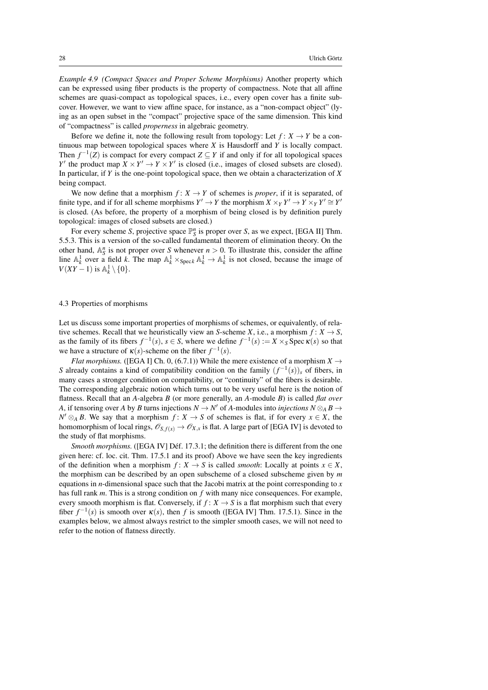*Example 4.9 (Compact Spaces and Proper Scheme Morphisms)* Another property which can be expressed using fiber products is the property of compactness. Note that all affine schemes are quasi-compact as topological spaces, i.e., every open cover has a finite subcover. However, we want to view affine space, for instance, as a "non-compact object" (lying as an open subset in the "compact" projective space of the same dimension. This kind of "compactness" is called *properness* in algebraic geometry.

Before we define it, note the following result from topology: Let  $f: X \to Y$  be a continuous map between topological spaces where *X* is Hausdorff and *Y* is locally compact. Then  $f^{-1}(Z)$  is compact for every compact  $Z \subseteq Y$  if and only if for all topological spaces *Y*<sup> $\prime$ </sup> the product map  $X \times Y' \rightarrow Y \times Y'$  is closed (i.e., images of closed subsets are closed). In particular, if *Y* is the one-point topological space, then we obtain a characterization of *X* being compact.

We now define that a morphism  $f: X \to Y$  of schemes is *proper*, if it is separated, of finite type, and if for all scheme morphisms  $Y' \to Y$  the morphism  $X \times_Y Y' \to Y \times_Y Y' \cong Y'$ is closed. (As before, the property of a morphism of being closed is by definition purely topological: images of closed subsets are closed.)

For every scheme *S*, projective space  $\mathbb{P}_{S}^{n}$  is proper over *S*, as we expect, [EGA II] Thm. 5.5.3. This is a version of the so-called fundamental theorem of elimination theory. On the other hand,  $\mathbb{A}_{S}^{n}$  is not proper over *S* whenever  $n > 0$ . To illustrate this, consider the affine line  $\mathbb{A}_k^1$  over a field *k*. The map  $\mathbb{A}_k^1 \times_{\text{Spec } k} \mathbb{A}_k^1 \to \mathbb{A}_k^1$  is not closed, because the image of  $V(XY - 1)$  is  $\mathbb{A}_k^1 \setminus \{0\}.$ 

# 4.3 Properties of morphisms

Let us discuss some important properties of morphisms of schemes, or equivalently, of relative schemes. Recall that we heuristically view an *S*-scheme *X*, i.e., a morphism  $f: X \to S$ , as the family of its fibers  $f^{-1}(s)$ ,  $s \in S$ , where we define  $f^{-1}(s) := X \times_S S$  pec $\kappa(s)$  so that we have a structure of  $\kappa(s)$ -scheme on the fiber  $f^{-1}(s)$ .

*Flat morphisms.* ([EGA I] Ch. 0, (6.7.1)) While the mere existence of a morphism  $X \rightarrow$ *S* already contains a kind of compatibility condition on the family  $(f^{-1}(s))_s$  of fibers, in many cases a stronger condition on compatibility, or "continuity" of the fibers is desirable. The corresponding algebraic notion which turns out to be very useful here is the notion of flatness. Recall that an *A*-algebra *B* (or more generally, an *A*-module *B*) is called *flat over A*, if tensoring over *A* by *B* turns injections  $N \to N'$  of *A*-modules into *injections*  $N \otimes_A B \to$  $N' \otimes_A B$ . We say that a morphism  $f: X \to S$  of schemes is flat, if for every  $x \in X$ , the homomorphism of local rings,  $\mathcal{O}_{S, f(x)} \to \mathcal{O}_{X,x}$  is flat. A large part of [EGA IV] is devoted to the study of flat morphisms.

*Smooth morphisms.* ([EGA IV] Déf. 17.3.1; the definition there is different from the one given here: cf. loc. cit. Thm. 17.5.1 and its proof) Above we have seen the key ingredients of the definition when a morphism  $f: X \to S$  is called *smooth*: Locally at points  $x \in X$ , the morphism can be described by an open subscheme of a closed subscheme given by *m* equations in *n*-dimensional space such that the Jacobi matrix at the point corresponding to *x* has full rank *m*. This is a strong condition on *f* with many nice consequences. For example, every smooth morphism is flat. Conversely, if  $f: X \to S$  is a flat morphism such that every fiber  $f^{-1}(s)$  is smooth over  $\kappa(s)$ , then *f* is smooth ([EGA IV] Thm. 17.5.1). Since in the examples below, we almost always restrict to the simpler smooth cases, we will not need to refer to the notion of flatness directly.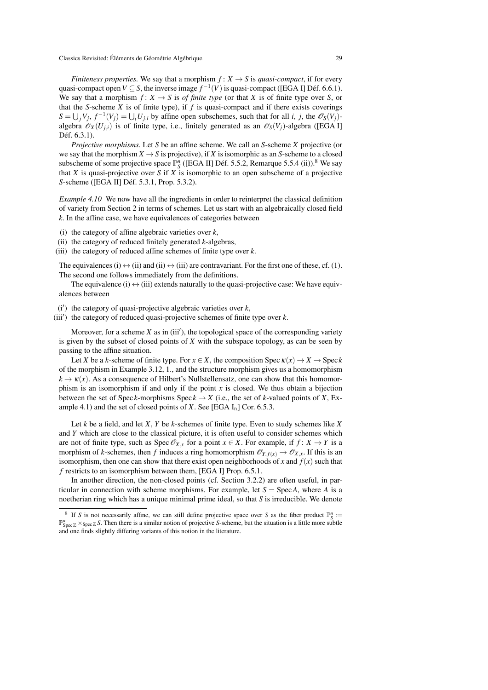*Finiteness properties.* We say that a morphism  $f: X \rightarrow S$  is *quasi-compact*, if for every quasi-compact open  $V \subseteq S$ , the inverse image  $f^{-1}(V)$  is quasi-compact ([EGA I] Déf. 6.6.1). We say that a morphism  $f: X \to S$  is *of finite type* (or that *X* is of finite type over *S*, or that the *S*-scheme *X* is of finite type), if  $f$  is quasi-compact and if there exists coverings  $S = \bigcup_j V_j$ ,  $f^{-1}(V_j) = \bigcup_i U_{j,i}$  by affine open subschemes, such that for all *i*, *j*, the  $\mathcal{O}_S(V_j)$ algebra  $\mathcal{O}_X(U_{i,i})$  is of finite type, i.e., finitely generated as an  $\mathcal{O}_S(V_i)$ -algebra ([EGA I] Déf. 6.3.1).

*Projective morphisms.* Let *S* be an affine scheme. We call an *S*-scheme *X* projective (or we say that the morphism  $X \to S$  is projective), if X is isomorphic as an *S*-scheme to a closed subscheme of some projective space  $\mathbb{P}_{S}^{n}$  ([EGA II] Déf. 5.5.2, Remarque 5.5.4 (ii)).<sup>8</sup> We say that *X* is quasi-projective over *S* if *X* is isomorphic to an open subscheme of a projective *S*-scheme ([EGA II] Déf. 5.3.1, Prop. 5.3.2).

*Example 4.10* We now have all the ingredients in order to reinterpret the classical definition of variety from Section 2 in terms of schemes. Let us start with an algebraically closed field *k*. In the affine case, we have equivalences of categories between

- (i) the category of affine algebraic varieties over *k*,
- (ii) the category of reduced finitely generated *k*-algebras,
- (iii) the category of reduced affine schemes of finite type over *k*.

The equivalences (i)  $\leftrightarrow$  (ii) and (ii)  $\leftrightarrow$  (iii) are contravariant. For the first one of these, cf. (1). The second one follows immediately from the definitions.

The equivalence (i)  $\leftrightarrow$  (iii) extends naturally to the quasi-projective case: We have equivalences between

 $(i')$  the category of quasi-projective algebraic varieties over  $k$ ,

(iii') the category of reduced quasi-projective schemes of finite type over *k*.

Moreover, for a scheme  $X$  as in (iii'), the topological space of the corresponding variety is given by the subset of closed points of *X* with the subspace topology, as can be seen by passing to the affine situation.

Let *X* be a *k*-scheme of finite type. For  $x \in X$ , the composition Spec  $\kappa(x) \to X \to \text{Spec } k$ of the morphism in Example 3.12, 1., and the structure morphism gives us a homomorphism  $k \to \kappa(x)$ . As a consequence of Hilbert's Nullstellensatz, one can show that this homomorphism is an isomorphism if and only if the point *x* is closed. We thus obtain a bijection between the set of Spec *k*-morphisms Spec  $k \to X$  (i.e., the set of *k*-valued points of *X*, Example 4.1) and the set of closed points of *X*. See [EGA  $I_n$ ] Cor. 6.5.3.

Let *k* be a field, and let *X*, *Y* be *k*-schemes of finite type. Even to study schemes like *X* and *Y* which are close to the classical picture, it is often useful to consider schemes which are not of finite type, such as Spec  $\mathcal{O}_{X,x}$  for a point  $x \in X$ . For example, if  $f: X \to Y$  is a morphism of *k*-schemes, then *f* induces a ring homomorphism  $\mathscr{O}_{Y, f(x)} \to \mathscr{O}_{X, x}$ . If this is an isomorphism, then one can show that there exist open neighborhoods of *x* and  $f(x)$  such that *f* restricts to an isomorphism between them, [EGA I] Prop. 6.5.1.

In another direction, the non-closed points (cf. Section 3.2.2) are often useful, in particular in connection with scheme morphisms. For example, let  $S = \text{Spec} A$ , where *A* is a noetherian ring which has a unique minimal prime ideal, so that *S* is irreducible. We denote

<sup>&</sup>lt;sup>8</sup> If *S* is not necessarily affine, we can still define projective space over *S* as the fiber product  $\mathbb{P}_{S}^{n}$  :=  $\mathbb{P}_{\text{Spec } \mathbb{Z}}^n \times_{\text{Spec } \mathbb{Z}} S$ . Then there is a similar notion of projective *S*-scheme, but the situation is a little more subtle and one finds slightly differing variants of this notion in the literature.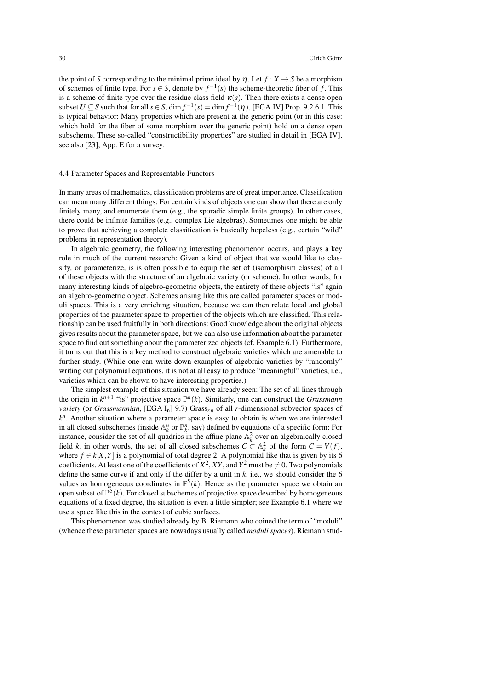the point of *S* corresponding to the minimal prime ideal by  $\eta$ . Let  $f: X \to S$  be a morphism of schemes of finite type. For  $s \in S$ , denote by  $f^{-1}(s)$  the scheme-theoretic fiber of *f*. This is a scheme of finite type over the residue class field  $\kappa(s)$ . Then there exists a dense open subset  $U \subseteq S$  such that for all  $s \in S$ ,  $\dim f^{-1}(s) = \dim f^{-1}(\eta)$ , [EGA IV] Prop. 9.2.6.1. This is typical behavior: Many properties which are present at the generic point (or in this case: which hold for the fiber of some morphism over the generic point) hold on a dense open subscheme. These so-called "constructibility properties" are studied in detail in [EGA IV], see also [23], App. E for a survey.

#### 4.4 Parameter Spaces and Representable Functors

In many areas of mathematics, classification problems are of great importance. Classification can mean many different things: For certain kinds of objects one can show that there are only finitely many, and enumerate them (e.g., the sporadic simple finite groups). In other cases, there could be infinite families (e.g., complex Lie algebras). Sometimes one might be able to prove that achieving a complete classification is basically hopeless (e.g., certain "wild" problems in representation theory).

In algebraic geometry, the following interesting phenomenon occurs, and plays a key role in much of the current research: Given a kind of object that we would like to classify, or parameterize, is is often possible to equip the set of (isomorphism classes) of all of these objects with the structure of an algebraic variety (or scheme). In other words, for many interesting kinds of algebro-geometric objects, the entirety of these objects "is" again an algebro-geometric object. Schemes arising like this are called parameter spaces or moduli spaces. This is a very enriching situation, because we can then relate local and global properties of the parameter space to properties of the objects which are classified. This relationship can be used fruitfully in both directions: Good knowledge about the original objects gives results about the parameter space, but we can also use information about the parameter space to find out something about the parameterized objects (cf. Example 6.1). Furthermore, it turns out that this is a key method to construct algebraic varieties which are amenable to further study. (While one can write down examples of algebraic varieties by "randomly" writing out polynomial equations, it is not at all easy to produce "meaningful" varieties, i.e., varieties which can be shown to have interesting properties.)

The simplest example of this situation we have already seen: The set of all lines through the origin in  $k^{n+1}$  "is" projective space  $\mathbb{P}^n(k)$ . Similarly, one can construct the *Grassmann variety* (or *Grassmannian*, [EGA  $I_n$ ] 9.7) Grass<sub>*r<sub>n</sub>*</sub> of all *r*-dimensional subvector spaces of  $k<sup>n</sup>$ . Another situation where a parameter space is easy to obtain is when we are interested in all closed subschemes (inside  $\mathbb{A}_k^n$  or  $\mathbb{P}_k^n$ , say) defined by equations of a specific form: For instance, consider the set of all quadrics in the affine plane  $\mathbb{A}_k^2$  over an algebraically closed field *k*, in other words, the set of all closed subschemes  $C \subset \mathbb{A}_{k}^{2}$  of the form  $C = V(f)$ , where  $f \in k[X, Y]$  is a polynomial of total degree 2. A polynomial like that is given by its 6 coefficients. At least one of the coefficients of  $X^2$ , XY, and  $Y^2$  must be  $\neq 0$ . Two polynomials define the same curve if and only if the differ by a unit in *k*, i.e., we should consider the 6 values as homogeneous coordinates in  $\mathbb{P}^5(k)$ . Hence as the parameter space we obtain an open subset of  $\mathbb{P}^5(k)$ . For closed subschemes of projective space described by homogeneous equations of a fixed degree, the situation is even a little simpler; see Example 6.1 where we use a space like this in the context of cubic surfaces.

This phenomenon was studied already by B. Riemann who coined the term of "moduli" (whence these parameter spaces are nowadays usually called *moduli spaces*). Riemann stud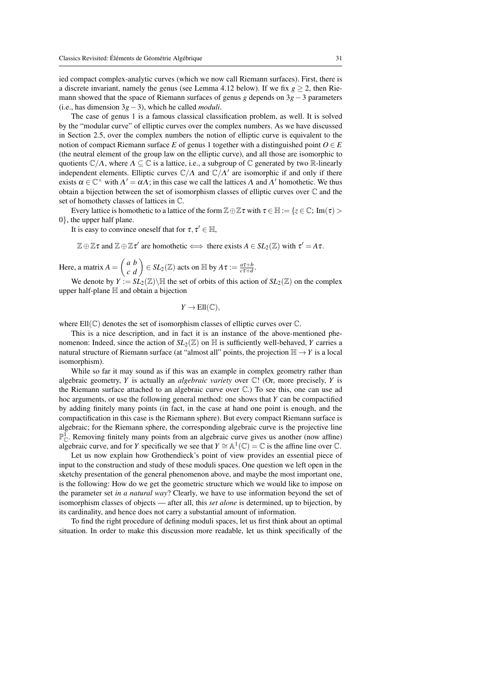ied compact complex-analytic curves (which we now call Riemann surfaces). First, there is a discrete invariant, namely the genus (see Lemma 4.12 below). If we fix  $g \ge 2$ , then Riemann showed that the space of Riemann surfaces of genus *g* depends on 3*g*−3 parameters (i.e., has dimension 3*g*−3), which he called *moduli*.

The case of genus 1 is a famous classical classification problem, as well. It is solved by the "modular curve" of elliptic curves over the complex numbers. As we have discussed in Section 2.5, over the complex numbers the notion of elliptic curve is equivalent to the notion of compact Riemann surface *E* of genus 1 together with a distinguished point  $O \in E$ (the neutral element of the group law on the elliptic curve), and all those are isomorphic to quotients  $\mathbb{C}/\Lambda$ , where  $\Lambda \subseteq \mathbb{C}$  is a lattice, i.e., a subgroup of  $\mathbb{C}$  generated by two R-linearly independent elements. Elliptic curves  $\mathbb{C}/\Lambda$  and  $\mathbb{C}/\Lambda'$  are isomorphic if and only if there exists  $\alpha \in \mathbb{C}^\times$  with  $\Lambda' = \alpha \Lambda$ ; in this case we call the lattices  $\Lambda$  and  $\Lambda'$  homothetic. We thus obtain a bijection between the set of isomorphism classes of elliptic curves over C and the set of homothety classes of lattices in C.

Every lattice is homothetic to a lattice of the form  $\mathbb{Z} \oplus \mathbb{Z} \tau$  with  $\tau \in \mathbb{H} := \{z \in \mathbb{C}; \text{ Im}(\tau) > \tau \}$ 0}, the upper half plane.

It is easy to convince oneself that for  $\tau, \tau' \in \mathbb{H}$ ,

 $\mathbb{Z} \oplus \mathbb{Z} \tau$  and  $\mathbb{Z} \oplus \mathbb{Z} \tau'$  are homothetic  $\iff$  there exists  $A \in SL_2(\mathbb{Z})$  with  $\tau' = A \tau$ .

Here, a matrix  $A = \begin{pmatrix} a & b \\ c & d \end{pmatrix} \in SL_2(\mathbb{Z})$  acts on  $\mathbb{H}$  by  $A\tau := \frac{a\tau+b}{c\tau+d}$ .

We denote by  $Y := S L_2(\mathbb{Z}) \backslash \mathbb{H}$  the set of orbits of this action of  $SL_2(\mathbb{Z})$  on the complex upper half-plane H and obtain a bijection

$$
Y \to \mathrm{Ell}(\mathbb{C}),
$$

where  $Ell(\mathbb{C})$  denotes the set of isomorphism classes of elliptic curves over  $\mathbb{C}$ .

This is a nice description, and in fact it is an instance of the above-mentioned phenomenon: Indeed, since the action of  $SL_2(\mathbb{Z})$  on  $\mathbb{H}$  is sufficiently well-behaved, *Y* carries a natural structure of Riemann surface (at "almost all" points, the projection  $\mathbb{H} \to Y$  is a local isomorphism).

While so far it may sound as if this was an example in complex geometry rather than algebraic geometry, *Y* is actually an *algebraic variety* over C! (Or, more precisely, *Y* is the Riemann surface attached to an algebraic curve over C.) To see this, one can use ad hoc arguments, or use the following general method: one shows that *Y* can be compactified by adding finitely many points (in fact, in the case at hand one point is enough, and the compactification in this case is the Riemann sphere). But every compact Riemann surface is algebraic; for the Riemann sphere, the corresponding algebraic curve is the projective line  $\mathbb{P}_{\mathbb{C}}^{\mathbb{I}}$ . Removing finitely many points from an algebraic curve gives us another (now affine) algebraic curve, and for *Y* specifically we see that  $Y \cong \mathbb{A}^1(\mathbb{C}) = \mathbb{C}$  is the affine line over  $\mathbb{C}$ .

Let us now explain how Grothendieck's point of view provides an essential piece of input to the construction and study of these moduli spaces. One question we left open in the sketchy presentation of the general phenomenon above, and maybe the most important one, is the following: How do we get the geometric structure which we would like to impose on the parameter set *in a natural way*? Clearly, we have to use information beyond the set of isomorphism classes of objects — after all, this *set alone* is determined, up to bijection, by its cardinality, and hence does not carry a substantial amount of information.

To find the right procedure of defining moduli spaces, let us first think about an optimal situation. In order to make this discussion more readable, let us think specifically of the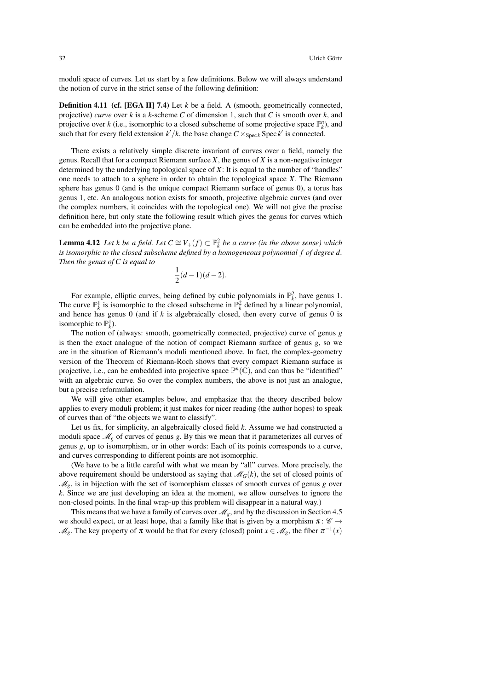moduli space of curves. Let us start by a few definitions. Below we will always understand the notion of curve in the strict sense of the following definition:

**Definition 4.11 (cf. [EGA II] 7.4)** Let  $k$  be a field. A (smooth, geometrically connected, projective) *curve* over *k* is a *k*-scheme *C* of dimension 1, such that *C* is smooth over *k*, and projective over *k* (i.e., isomorphic to a closed subscheme of some projective space  $\mathbb{P}_k^n$ ), and such that for every field extension  $k'/k$ , the base change  $C \times_{Spec k} Spec k'$  is connected.

There exists a relatively simple discrete invariant of curves over a field, namely the genus. Recall that for a compact Riemann surface *X*, the genus of *X* is a non-negative integer determined by the underlying topological space of *X*: It is equal to the number of "handles" one needs to attach to a sphere in order to obtain the topological space *X*. The Riemann sphere has genus 0 (and is the unique compact Riemann surface of genus 0), a torus has genus 1, etc. An analogous notion exists for smooth, projective algebraic curves (and over the complex numbers, it coincides with the topological one). We will not give the precise definition here, but only state the following result which gives the genus for curves which can be embedded into the projective plane.

**Lemma 4.12** Let k be a field. Let  $C \cong V_+(f) \subset \mathbb{P}^2_k$  be a curve (in the above sense) which *is isomorphic to the closed subscheme defined by a homogeneous polynomial f of degree d. Then the genus of C is equal to*

$$
\frac{1}{2}(d-1)(d-2).
$$

For example, elliptic curves, being defined by cubic polynomials in  $\mathbb{P}_k^2$ , have genus 1. The curve  $\mathbb{P}_k^1$  is isomorphic to the closed subscheme in  $\mathbb{P}_k^2$  defined by a linear polynomial, and hence has genus  $0$  (and if  $k$  is algebraically closed, then every curve of genus  $0$  is isomorphic to  $\mathbb{P}_{k}^{\bar{1}}$ ).

The notion of (always: smooth, geometrically connected, projective) curve of genus *g* is then the exact analogue of the notion of compact Riemann surface of genus *g*, so we are in the situation of Riemann's moduli mentioned above. In fact, the complex-geometry version of the Theorem of Riemann-Roch shows that every compact Riemann surface is projective, i.e., can be embedded into projective space  $\mathbb{P}^n(\mathbb{C})$ , and can thus be "identified" with an algebraic curve. So over the complex numbers, the above is not just an analogue, but a precise reformulation.

We will give other examples below, and emphasize that the theory described below applies to every moduli problem; it just makes for nicer reading (the author hopes) to speak of curves than of "the objects we want to classify".

Let us fix, for simplicity, an algebraically closed field *k*. Assume we had constructed a moduli space  $\mathcal{M}_g$  of curves of genus *g*. By this we mean that it parameterizes all curves of genus *g*, up to isomorphism, or in other words: Each of its points corresponds to a curve, and curves corresponding to different points are not isomorphic.

(We have to be a little careful with what we mean by "all" curves. More precisely, the above requirement should be understood as saying that  $\mathcal{M}_G(k)$ , the set of closed points of  $\mathcal{M}_g$ , is in bijection with the set of isomorphism classes of smooth curves of genus *g* over *k*. Since we are just developing an idea at the moment, we allow ourselves to ignore the non-closed points. In the final wrap-up this problem will disappear in a natural way.)

This means that we have a family of curves over  $\mathcal{M}_g$ , and by the discussion in Section 4.5 we should expect, or at least hope, that a family like that is given by a morphism  $\pi$ :  $\mathscr{C} \rightarrow$  $\mathcal{M}_g$ . The key property of  $\pi$  would be that for every (closed) point  $x \in \mathcal{M}_g$ , the fiber  $\pi^{-1}(x)$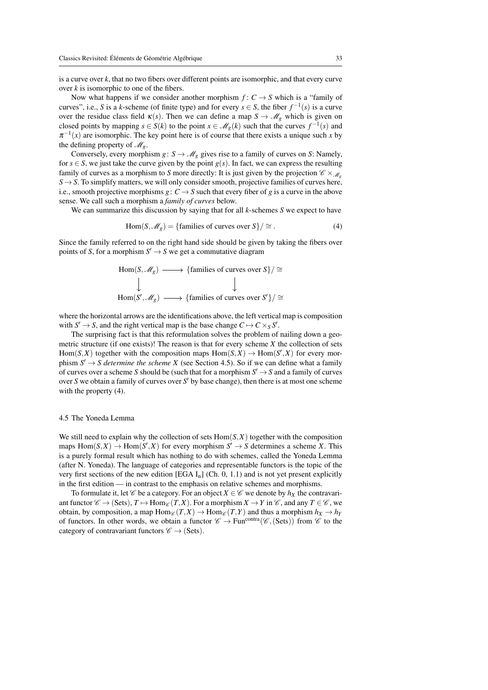is a curve over *k*, that no two fibers over different points are isomorphic, and that every curve over *k* is isomorphic to one of the fibers.

Now what happens if we consider another morphism  $f: C \rightarrow S$  which is a "family of curves", i.e., *S* is a *k*-scheme (of finite type) and for every  $s \in S$ , the fiber  $f^{-1}(s)$  is a curve over the residue class field  $\kappa(s)$ . Then we can define a map  $S \to \mathcal{M}_g$  which is given on closed points by mapping  $s \in S(k)$  to the point  $x \in \mathcal{M}_g(k)$  such that the curves  $f^{-1}(s)$  and  $\pi^{-1}(x)$  are isomorphic. The key point here is of course that there exists a unique such *x* by the defining property of  $\mathcal{M}_g$ .

Conversely, every morphism  $g: S \to \mathcal{M}_g$  gives rise to a family of curves on *S*: Namely, for  $s \in S$ , we just take the curve given by the point  $g(s)$ . In fact, we can express the resulting family of curves as a morphism to *S* more directly: It is just given by the projection  $\mathscr{C} \times \mathscr{M}_{\varphi}$  $S \rightarrow S$ . To simplify matters, we will only consider smooth, projective families of curves here, i.e., smooth projective morphisms  $g: C \rightarrow S$  such that every fiber of g is a curve in the above sense. We call such a morphism a *family of curves* below.

We can summarize this discussion by saying that for all *k*-schemes *S* we expect to have

$$
Hom(S, \mathcal{M}_g) = \{ \text{families of curves over } S \} / \cong . \tag{4}
$$

Since the family referred to on the right hand side should be given by taking the fibers over points of *S*, for a morphism  $S' \to S$  we get a commutative diagram

Hom
$$
(S, \mathcal{M}_g)
$$
  $\longrightarrow$  {families of curves over  $S$ }/ $\cong$   
 $\downarrow$   
Hom $(S', \mathcal{M}_g)$   $\longrightarrow$  {families of curves over  $S'\}$ /  $\cong$ 

where the horizontal arrows are the identifications above, the left vertical map is composition with  $S' \to S$ , and the right vertical map is the base change  $C \mapsto C \times_S S'$ .

The surprising fact is that this reformulation solves the problem of nailing down a geometric structure (if one exists)! The reason is that for every scheme *X* the collection of sets Hom(*S*,*X*) together with the composition maps  $Hom(S, X) \to Hom(S', X)$  for every morphism  $S' \rightarrow S$  *determine the scheme X* (see Section 4.5). So if we can define what a family of curves over a scheme *S* should be (such that for a morphism  $S' \to S$  and a family of curves over *S* we obtain a family of curves over *S*' by base change), then there is at most one scheme with the property  $(4)$ .

# 4.5 The Yoneda Lemma

We still need to explain why the collection of sets  $Hom(S, X)$  together with the composition maps  $Hom(S, X) \to Hom(S', X)$  for every morphism  $S' \to S$  determines a scheme X. This is a purely formal result which has nothing to do with schemes, called the Yoneda Lemma (after N. Yoneda). The language of categories and representable functors is the topic of the very first sections of the new edition  $[EGA I_n]$  (Ch. 0, 1.1) and is not yet present explicitly in the first edition — in contrast to the emphasis on relative schemes and morphisms.

To formulate it, let  $\mathscr C$  be a category. For an object  $X \in \mathscr C$  we denote by  $h_X$  the contravariant functor  $\mathscr{C} \to (\mathsf{Sets}), T \mapsto \text{Hom}_{\mathscr{C}}(T,X)$ . For a morphism  $X \to Y$  in  $\mathscr{C}$ , and any  $T \in \mathscr{C}$ , we obtain, by composition, a map  $\text{Hom}_{\mathscr{C}}(T,X) \to \text{Hom}_{\mathscr{C}}(T,Y)$  and thus a morphism  $h_X \to h_Y$ of functors. In other words, we obtain a functor  $\mathscr{C} \to \text{Fun}^{\text{contra}}(\mathscr{C}, Sets)$  from  $\mathscr{C}$  to the category of contravariant functors  $\mathscr{C} \rightarrow$  (Sets).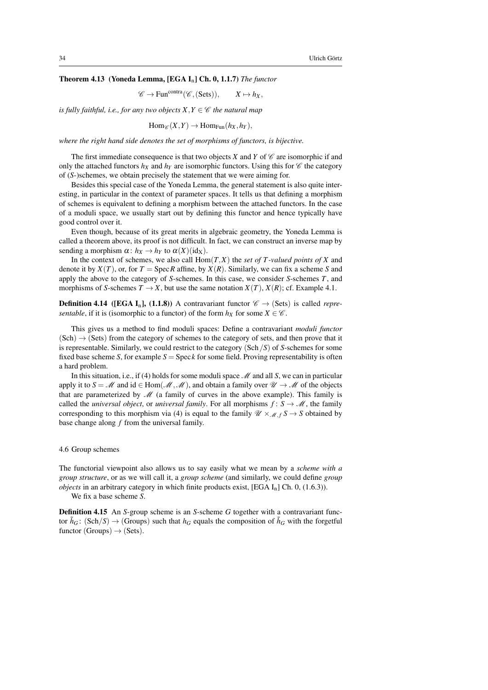# Theorem 4.13 (Yoneda Lemma, [EGA In] Ch. 0, 1.1.7) *The functor*

$$
\mathscr{C} \to \text{Fun}^{\text{contra}}(\mathscr{C}, (\text{Sets})), \qquad X \mapsto h_X,
$$

*is fully faithful, i.e., for any two objects*  $X, Y \in \mathscr{C}$  *the natural map* 

$$
Hom_{\mathscr{C}}(X,Y)\to Hom_{Fun}(h_X,h_Y),
$$

*where the right hand side denotes the set of morphisms of functors, is bijective.*

The first immediate consequence is that two objects  $X$  and  $Y$  of  $\mathscr C$  are isomorphic if and only the attached functors  $h_X$  and  $h_Y$  are isomorphic functors. Using this for  $\mathscr C$  the category of (*S*-)schemes, we obtain precisely the statement that we were aiming for.

Besides this special case of the Yoneda Lemma, the general statement is also quite interesting, in particular in the context of parameter spaces. It tells us that defining a morphism of schemes is equivalent to defining a morphism between the attached functors. In the case of a moduli space, we usually start out by defining this functor and hence typically have good control over it.

Even though, because of its great merits in algebraic geometry, the Yoneda Lemma is called a theorem above, its proof is not difficult. In fact, we can construct an inverse map by sending a morphism  $\alpha$ :  $h_X \to h_Y$  to  $\alpha(X)(\mathrm{id}_X)$ .

In the context of schemes, we also call Hom(*T*,*X*) the *set of T -valued points of X* and denote it by  $X(T)$ , or, for  $T = \text{Spec } R$  affine, by  $X(R)$ . Similarly, we can fix a scheme *S* and apply the above to the category of *S*-schemes. In this case, we consider *S*-schemes *T*, and morphisms of *S*-schemes  $T \to X$ , but use the same notation  $X(T)$ ,  $X(R)$ ; cf. Example 4.1.

**Definition 4.14** ([EGA I<sub>n</sub>], (1.1.8)) A contravariant functor  $\mathcal{C} \rightarrow$  (Sets) is called *representable*, if it is (isomorphic to a functor) of the form  $h_X$  for some  $X \in \mathcal{C}$ .

This gives us a method to find moduli spaces: Define a contravariant *moduli functor*  $(Sch) \rightarrow (Sets)$  from the category of schemes to the category of sets, and then prove that it is representable. Similarly, we could restrict to the category (Sch/*S*) of *S*-schemes for some fixed base scheme *S*, for example  $S = \text{Spec } k$  for some field. Proving representability is often a hard problem.

In this situation, i.e., if (4) holds for some moduli space  $\mathcal M$  and all *S*, we can in particular apply it to  $S = M$  and id  $\in$  Hom( $M$ ,  $M$ ), and obtain a family over  $\mathcal{U} \to M$  of the objects that are parameterized by  $M$  (a family of curves in the above example). This family is called the *universal object*, or *universal family*. For all morphisms  $f: S \to \mathcal{M}$ , the family corresponding to this morphism via (4) is equal to the family  $\mathcal{U} \times \mathcal{M}, f \in S \rightarrow S$  obtained by base change along *f* from the universal family.

#### 4.6 Group schemes

The functorial viewpoint also allows us to say easily what we mean by a *scheme with a group structure*, or as we will call it, a *group scheme* (and similarly, we could define *group objects* in an arbitrary category in which finite products exist,  $[EGA I_n] Ch. 0, (1.6.3)$ .

We fix a base scheme *S*.

**Definition 4.15** An *S*-group scheme is an *S*-scheme *G* together with a contravariant functor  $h_G$ : (Sch/*S*)  $\rightarrow$  (Groups) such that  $h_G$  equals the composition of  $h_G$  with the forgetful functor (Groups)  $\rightarrow$  (Sets).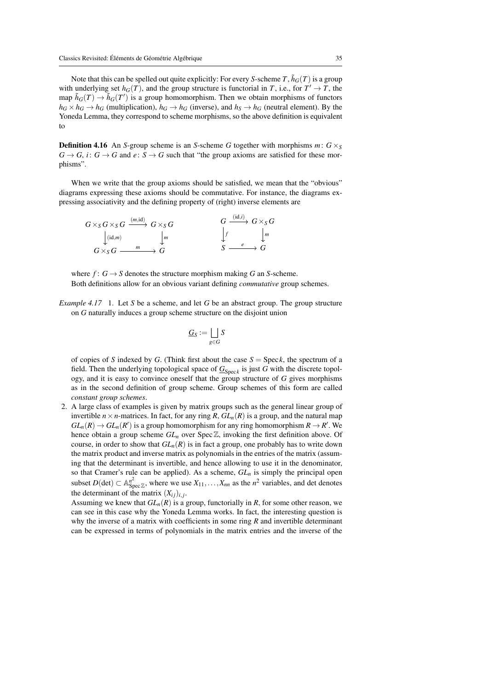Note that this can be spelled out quite explicitly: For every *S*-scheme  $T$ ,  $\tilde{h}_G(T)$  is a group with underlying set  $h_G(T)$ , and the group structure is functorial in *T*, i.e., for  $T' \to T$ , the map  $\tilde{h}_G(T) \to \tilde{h}_G(T')$  is a group homomorphism. Then we obtain morphisms of functors  $h_G \times h_G \rightarrow h_G$  (multiplication),  $h_G \rightarrow h_G$  (inverse), and  $h_S \rightarrow h_G$  (neutral element). By the Yoneda Lemma, they correspond to scheme morphisms, so the above definition is equivalent to

**Definition 4.16** An *S*-group scheme is an *S*-scheme *G* together with morphisms  $m: G \times_S$  $G \rightarrow G$ , *i*:  $G \rightarrow G$  and  $e: S \rightarrow G$  such that "the group axioms are satisfied for these morphisms".

When we write that the group axioms should be satisfied, we mean that the "obvious" diagrams expressing these axioms should be commutative. For instance, the diagrams expressing associativity and the defining property of (right) inverse elements are

| $G \times_S G \times_S G \xrightarrow{(m, \text{id})} G \times_S G$ | $G \xrightarrow{(\mathrm{id},i)} G \times_S G$ |  |
|---------------------------------------------------------------------|------------------------------------------------|--|
| $\int (id,m)$<br>m<br>$G \times_S G \frac{m}{\sqrt{m}}$             | $\Big  m$                                      |  |

where  $f: G \to S$  denotes the structure morphism making *G* an *S*-scheme. Both definitions allow for an obvious variant defining *commutative* group schemes.

*Example 4.17* 1. Let *S* be a scheme, and let *G* be an abstract group. The group structure on *G* naturally induces a group scheme structure on the disjoint union

$$
\underline{G}_S:=\bigsqcup_{g\in G}S
$$

of copies of *S* indexed by *G*. (Think first about the case  $S = \text{Spec } k$ , the spectrum of a field. Then the underlying topological space of  $G_{\text{Spec }k}$  is just *G* with the discrete topology, and it is easy to convince oneself that the group structure of *G* gives morphisms as in the second definition of group scheme. Group schemes of this form are called *constant group schemes*.

2. A large class of examples is given by matrix groups such as the general linear group of invertible  $n \times n$ -matrices. In fact, for any ring *R*,  $GL_n(R)$  is a group, and the natural map  $GL_n(R) \to GL_n(R')$  is a group homomorphism for any ring homomorphism  $R \to R'$ . We hence obtain a group scheme  $GL_n$  over  $Spec \mathbb{Z}$ , invoking the first definition above. Of course, in order to show that  $GL_n(R)$  is in fact a group, one probably has to write down the matrix product and inverse matrix as polynomials in the entries of the matrix (assuming that the determinant is invertible, and hence allowing to use it in the denominator, so that Cramer's rule can be applied). As a scheme, *GL<sup>n</sup>* is simply the principal open subset  $D(\det) \subset \mathbb{A}_{Spec \mathbb{Z}}^{n^2}$ , where we use  $X_{11}, \ldots, X_{nn}$  as the  $n^2$  variables, and det denotes the determinant of the matrix  $(X_{ij})_{i,j}$ .

Assuming we knew that  $GL_n(R)$  is a group, functorially in  $R$ , for some other reason, we can see in this case why the Yoneda Lemma works. In fact, the interesting question is why the inverse of a matrix with coefficients in some ring *R* and invertible determinant can be expressed in terms of polynomials in the matrix entries and the inverse of the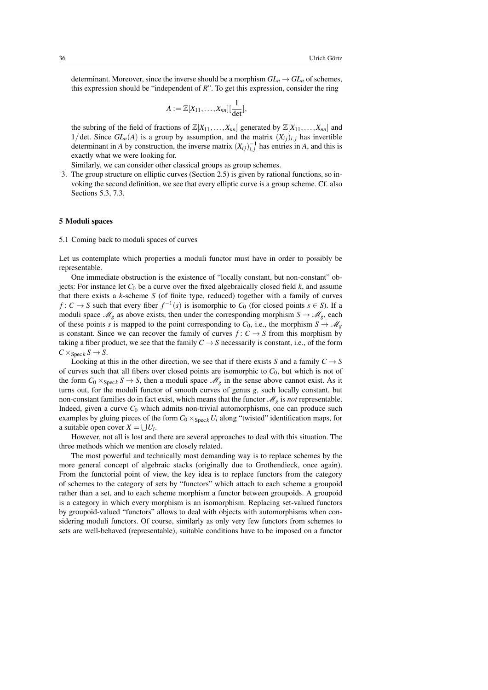determinant. Moreover, since the inverse should be a morphism  $GL_n \to GL_n$  of schemes, this expression should be "independent of *R*". To get this expression, consider the ring

$$
A:=\mathbb{Z}[X_{11},\ldots,X_{nn}][\frac{1}{\det}],
$$

the subring of the field of fractions of  $\mathbb{Z}[X_{11},...,X_{nn}]$  generated by  $\mathbb{Z}[X_{11},...,X_{nn}]$  and 1/det. Since  $GL_n(A)$  is a group by assumption, and the matrix  $(X_i)_{i,j}$  has invertible determinant in *A* by construction, the inverse matrix  $(X_i)_{i,j}^{-1}$  has entries in *A*, and this is exactly what we were looking for.

Similarly, we can consider other classical groups as group schemes.

3. The group structure on elliptic curves (Section 2.5) is given by rational functions, so invoking the second definition, we see that every elliptic curve is a group scheme. Cf. also Sections 5.3, 7.3.

# 5 Moduli spaces

# 5.1 Coming back to moduli spaces of curves

Let us contemplate which properties a moduli functor must have in order to possibly be representable.

One immediate obstruction is the existence of "locally constant, but non-constant" objects: For instance let  $C_0$  be a curve over the fixed algebraically closed field  $k$ , and assume that there exists a *k*-scheme *S* (of finite type, reduced) together with a family of curves *f* : *C* → *S* such that every fiber  $f^{-1}(s)$  is isomorphic to  $C_0$  (for closed points  $s \in S$ ). If a moduli space  $\mathcal{M}_g$  as above exists, then under the corresponding morphism  $S \to \mathcal{M}_g$ , each of these points *s* is mapped to the point corresponding to  $C_0$ , i.e., the morphism  $S \to M_g$ is constant. Since we can recover the family of curves  $f: C \rightarrow S$  from this morphism by taking a fiber product, we see that the family  $C \rightarrow S$  necessarily is constant, i.e., of the form  $C \times_{\text{Spec } k} S \to S$ .

Looking at this in the other direction, we see that if there exists *S* and a family  $C \rightarrow S$ of curves such that all fibers over closed points are isomorphic to  $C_0$ , but which is not of the form  $C_0 \times_{Spec k} S \to S$ , then a moduli space  $\mathcal{M}_g$  in the sense above cannot exist. As it turns out, for the moduli functor of smooth curves of genus *g*, such locally constant, but non-constant families do in fact exist, which means that the functor  $\mathcal{M}_g$  is *not* representable. Indeed, given a curve  $C_0$  which admits non-trivial automorphisms, one can produce such examples by gluing pieces of the form  $C_0 \times_{Spec k} U_i$  along "twisted" identification maps, for a suitable open cover  $X = \bigcup U_i$ .

However, not all is lost and there are several approaches to deal with this situation. The three methods which we mention are closely related.

The most powerful and technically most demanding way is to replace schemes by the more general concept of algebraic stacks (originally due to Grothendieck, once again). From the functorial point of view, the key idea is to replace functors from the category of schemes to the category of sets by "functors" which attach to each scheme a groupoid rather than a set, and to each scheme morphism a functor between groupoids. A groupoid is a category in which every morphism is an isomorphism. Replacing set-valued functors by groupoid-valued "functors" allows to deal with objects with automorphisms when considering moduli functors. Of course, similarly as only very few functors from schemes to sets are well-behaved (representable), suitable conditions have to be imposed on a functor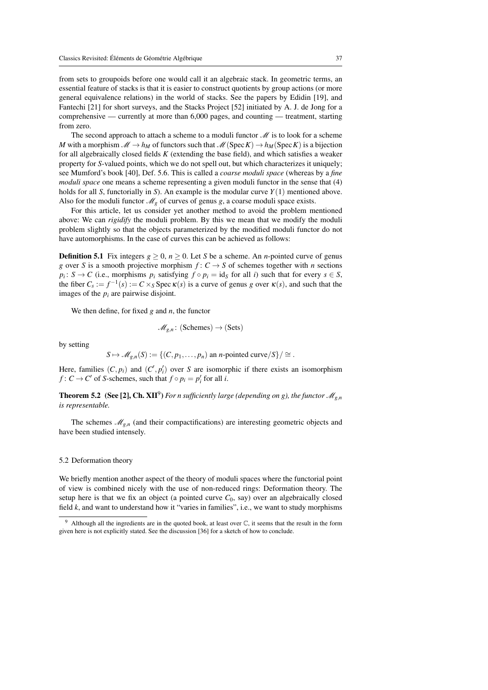from sets to groupoids before one would call it an algebraic stack. In geometric terms, an essential feature of stacks is that it is easier to construct quotients by group actions (or more general equivalence relations) in the world of stacks. See the papers by Edidin [19], and Fantechi [21] for short surveys, and the Stacks Project [52] initiated by A. J. de Jong for a comprehensive — currently at more than 6,000 pages, and counting — treatment, starting from zero.

The second approach to attach a scheme to a moduli functor  $\mathcal M$  is to look for a scheme *M* with a morphism  $M \rightarrow h_M$  of functors such that  $M(Spec K) \rightarrow h_M(Spec K)$  is a bijection for all algebraically closed fields *K* (extending the base field), and which satisfies a weaker property for *S*-valued points, which we do not spell out, but which characterizes it uniquely; see Mumford's book [40], Def. 5.6. This is called a *coarse moduli space* (whereas by a *fine moduli space* one means a scheme representing a given moduli functor in the sense that (4) holds for all *S*, functorially in *S*). An example is the modular curve *Y*(1) mentioned above. Also for the moduli functor  $\mathcal{M}_g$  of curves of genus *g*, a coarse moduli space exists.

For this article, let us consider yet another method to avoid the problem mentioned above: We can *rigidify* the moduli problem. By this we mean that we modify the moduli problem slightly so that the objects parameterized by the modified moduli functor do not have automorphisms. In the case of curves this can be achieved as follows:

**Definition 5.1** Fix integers  $g \ge 0$ ,  $n \ge 0$ . Let *S* be a scheme. An *n*-pointed curve of genus *g* over *S* is a smooth projective morphism  $f: C \rightarrow S$  of schemes together with *n* sections  $p_i$ :  $S \to C$  (i.e., morphisms  $p_i$  satisfying  $f \circ p_i = id_S$  for all *i*) such that for every  $s \in S$ , the fiber  $C_s := f^{-1}(s) := C \times_S \text{Spec } \kappa(s)$  is a curve of genus *g* over  $\kappa(s)$ , and such that the images of the *p<sup>i</sup>* are pairwise disjoint.

We then define, for fixed *g* and *n*, the functor

$$
\mathcal{M}_{g,n} \colon (\text{Schemes}) \to (\text{Sets})
$$

by setting

$$
S \mapsto \mathscr{M}_{g,n}(S) := \{ (C, p_1, \dots, p_n) \text{ an } n\text{-pointed curve}/S \} / \cong.
$$

Here, families  $(C, p_i)$  and  $(C', p'_i)$  over *S* are isomorphic if there exists an isomorphism *f* : *C* → *C*<sup> $\prime$ </sup> of *S*-schemes, such that  $f \circ p_i = p'_i$  for all *i*.

**Theorem 5.2** (See [2], Ch. XII<sup>9</sup>) *For n sufficiently large (depending on g), the functor*  $\mathcal{M}_{g,n}$ *is representable.*

The schemes  $\mathcal{M}_{g,n}$  (and their compactifications) are interesting geometric objects and have been studied intensely.

# 5.2 Deformation theory

We briefly mention another aspect of the theory of moduli spaces where the functorial point of view is combined nicely with the use of non-reduced rings: Deformation theory. The setup here is that we fix an object (a pointed curve  $C_0$ , say) over an algebraically closed field *k*, and want to understand how it "varies in families", i.e., we want to study morphisms

<sup>9</sup> Although all the ingredients are in the quoted book, at least over C, it seems that the result in the form given here is not explicitly stated. See the discussion [36] for a sketch of how to conclude.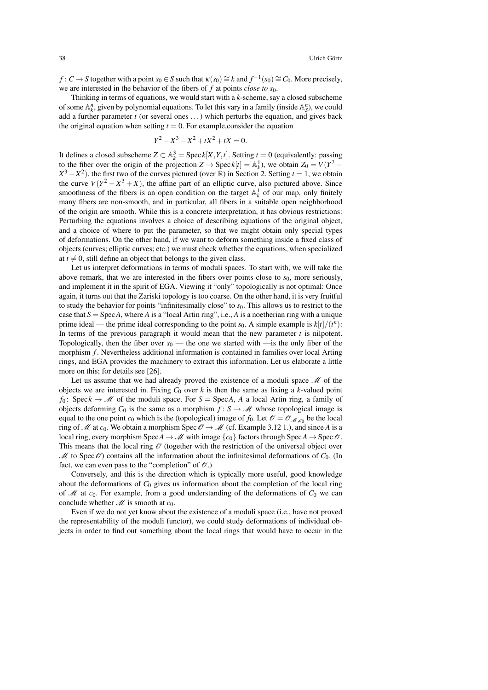*f* : *C* → *S* together with a point  $s_0 \in S$  such that  $\kappa(s_0) \cong k$  and  $f^{-1}(s_0) \cong C_0$ . More precisely, we are interested in the behavior of the fibers of *f* at points *close to s*0.

Thinking in terms of equations, we would start with a *k*-scheme, say a closed subscheme of some  $\mathbb{A}_k^n$ , given by polynomial equations. To let this vary in a family (inside  $\mathbb{A}_S^n$ ), we could add a further parameter *t* (or several ones . . . ) which perturbs the equation, and gives back the original equation when setting  $t = 0$ . For example, consider the equation

$$
Y^2 - X^3 - X^2 + tX^2 + tX = 0.
$$

It defines a closed subscheme  $Z \subset \mathbb{A}_k^3$  = Spec  $k[X, Y, t]$ . Setting  $t = 0$  (equivalently: passing to the fiber over the origin of the projection  $Z \to \text{Spec } k[t] = \mathbb{A}^1_k$ , we obtain  $Z_0 = V(Y^2 (X^3 - X^2)$ , the first two of the curves pictured (over R) in Section 2. Setting  $t = 1$ , we obtain the curve  $V(Y^2 - X^3 + X)$ , the affine part of an elliptic curve, also pictured above. Since smoothness of the fibers is an open condition on the target  $\mathbb{A}^1_k$  of our map, only finitely many fibers are non-smooth, and in particular, all fibers in a suitable open neighborhood of the origin are smooth. While this is a concrete interpretation, it has obvious restrictions: Perturbing the equations involves a choice of describing equations of the original object, and a choice of where to put the parameter, so that we might obtain only special types of deformations. On the other hand, if we want to deform something inside a fixed class of objects (curves; elliptic curves; etc.) we must check whether the equations, when specialized at  $t \neq 0$ , still define an object that belongs to the given class.

Let us interpret deformations in terms of moduli spaces. To start with, we will take the above remark, that we are interested in the fibers over points close to  $s<sub>0</sub>$ , more seriously, and implement it in the spirit of EGA. Viewing it "only" topologically is not optimal: Once again, it turns out that the Zariski topology is too coarse. On the other hand, it is very fruitful to study the behavior for points "infinitesimally close" to  $s<sub>0</sub>$ . This allows us to restrict to the case that  $S = \text{Spec } A$ , where *A* is a "local Artin ring", i.e., *A* is a noetherian ring with a unique prime ideal — the prime ideal corresponding to the point  $s_0$ . A simple example is  $k[t]/(t^n)$ : In terms of the previous paragraph it would mean that the new parameter *t* is nilpotent. Topologically, then the fiber over  $s_0$  — the one we started with —is the only fiber of the morphism *f*. Nevertheless additional information is contained in families over local Arting rings, and EGA provides the machinery to extract this information. Let us elaborate a little more on this; for details see [26].

Let us assume that we had already proved the existence of a moduli space  $\mathcal M$  of the objects we are interested in. Fixing  $C_0$  over  $k$  is then the same as fixing a  $k$ -valued point *f*<sub>0</sub>: Spec*k*  $\rightarrow$  *M* of the moduli space. For *S* = Spec*A*, *A* a local Artin ring, a family of objects deforming  $C_0$  is the same as a morphism  $f: S \to \mathcal{M}$  whose topological image is equal to the one point  $c_0$  which is the (topological) image of  $f_0$ . Let  $\mathscr{O} = \mathscr{O}_{\mathscr{M},c_0}$  be the local ring of M at  $c_0$ . We obtain a morphism Spec  $\mathcal{O} \rightarrow \mathcal{M}$  (cf. Example 3.12 1.), and since A is a local ring, every morphism  $\text{Spec } A \to \mathcal{M}$  with image  $\{c_0\}$  factors through  $\text{Spec } A \to \text{Spec } \mathcal{O}$ . This means that the local ring  $\mathcal O$  (together with the restriction of the universal object over M to Spec  $\mathcal{O}$ ) contains all the information about the infinitesimal deformations of  $C_0$ . (In fact, we can even pass to the "completion" of  $\mathcal{O}$ .)

Conversely, and this is the direction which is typically more useful, good knowledge about the deformations of *C*<sup>0</sup> gives us information about the completion of the local ring of  $M$  at  $c_0$ . For example, from a good understanding of the deformations of  $C_0$  we can conclude whether  $M$  is smooth at  $c_0$ .

Even if we do not yet know about the existence of a moduli space (i.e., have not proved the representability of the moduli functor), we could study deformations of individual objects in order to find out something about the local rings that would have to occur in the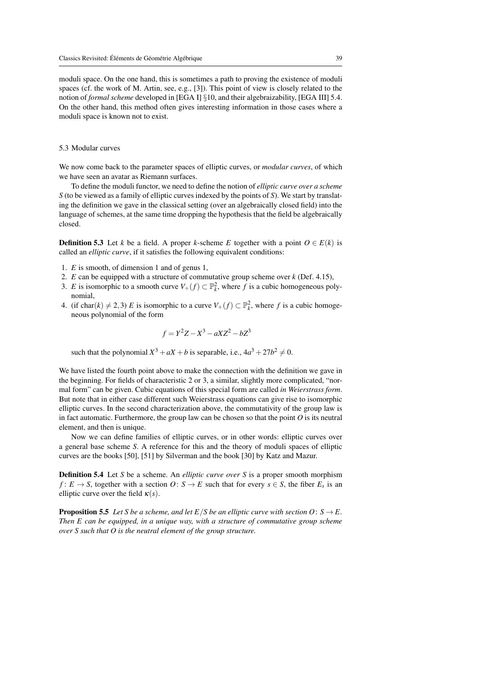moduli space. On the one hand, this is sometimes a path to proving the existence of moduli spaces (cf. the work of M. Artin, see, e.g., [3]). This point of view is closely related to the notion of *formal scheme* developed in [EGA I] §10, and their algebraizability, [EGA III] 5.4. On the other hand, this method often gives interesting information in those cases where a moduli space is known not to exist.

# 5.3 Modular curves

We now come back to the parameter spaces of elliptic curves, or *modular curves*, of which we have seen an avatar as Riemann surfaces.

To define the moduli functor, we need to define the notion of *elliptic curve over a scheme S* (to be viewed as a family of elliptic curves indexed by the points of *S*). We start by translating the definition we gave in the classical setting (over an algebraically closed field) into the language of schemes, at the same time dropping the hypothesis that the field be algebraically closed.

**Definition 5.3** Let *k* be a field. A proper *k*-scheme *E* together with a point  $O \in E(k)$  is called an *elliptic curve*, if it satisfies the following equivalent conditions:

- 1. *E* is smooth, of dimension 1 and of genus 1,
- 2. *E* can be equipped with a structure of commutative group scheme over *k* (Def. 4.15),
- 3. *E* is isomorphic to a smooth curve  $V_+(f) \subset \mathbb{P}_k^2$ , where *f* is a cubic homogeneous polynomial,
- 4. (if char( $k$ )  $\neq$  2,3) *E* is isomorphic to a curve  $V_+(f) \subset \mathbb{P}_k^2$ , where *f* is a cubic homogeneous polynomial of the form

$$
f = Y^2Z - X^3 - aXZ^2 - bZ^3
$$

such that the polynomial  $X^3 + aX + b$  is separable, i.e.,  $4a^3 + 27b^2 \neq 0$ .

We have listed the fourth point above to make the connection with the definition we gave in the beginning. For fields of characteristic 2 or 3, a similar, slightly more complicated, "normal form" can be given. Cubic equations of this special form are called *in Weierstrass form*. But note that in either case different such Weierstrass equations can give rise to isomorphic elliptic curves. In the second characterization above, the commutativity of the group law is in fact automatic. Furthermore, the group law can be chosen so that the point  $O$  is its neutral element, and then is unique.

Now we can define families of elliptic curves, or in other words: elliptic curves over a general base scheme *S*. A reference for this and the theory of moduli spaces of elliptic curves are the books [50], [51] by Silverman and the book [30] by Katz and Mazur.

Definition 5.4 Let *S* be a scheme. An *elliptic curve over S* is a proper smooth morphism *f* :  $E \rightarrow S$ , together with a section *O*:  $S \rightarrow E$  such that for every  $s \in S$ , the fiber  $E_s$  is an elliptic curve over the field  $\kappa(s)$ .

**Proposition 5.5** *Let S be a scheme, and let E/S be an elliptic curve with section O:*  $S \rightarrow E$ *. Then E can be equipped, in a unique way, with a structure of commutative group scheme over S such that O is the neutral element of the group structure.*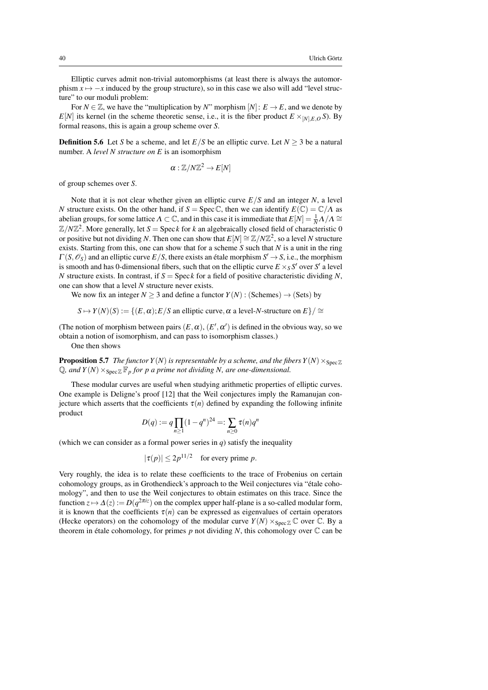Elliptic curves admit non-trivial automorphisms (at least there is always the automorphism  $x \mapsto -x$  induced by the group structure), so in this case we also will add "level structure" to our moduli problem:

For  $N \in \mathbb{Z}$ , we have the "multiplication by *N*" morphism  $[N]: E \rightarrow E$ , and we denote by  $E[N]$  its kernel (in the scheme theoretic sense, i.e., it is the fiber product  $E \times_{[N],E,O} S$ ). By formal reasons, this is again a group scheme over *S*.

**Definition 5.6** Let *S* be a scheme, and let  $E/S$  be an elliptic curve. Let  $N > 3$  be a natural number. A *level N structure on E* is an isomorphism

$$
\alpha:\mathbb{Z}/N\mathbb{Z}^2\to E[N]
$$

of group schemes over *S*.

Note that it is not clear whether given an elliptic curve *E*/*S* and an integer *N*, a level *N* structure exists. On the other hand, if  $S = \text{Spec } \mathbb{C}$ , then we can identify  $E(\mathbb{C}) = \mathbb{C}/\Lambda$  as abelian groups, for some lattice  $\Lambda \subset \mathbb{C}$ , and in this case it is immediate that  $E[N] = \frac{1}{N} \Lambda/\Lambda \cong$  $\mathbb{Z}/N\mathbb{Z}^2$ . More generally, let  $S = \text{Spec } k$  for  $k$  an algebraically closed field of characteristic 0 or positive but not dividing *N*. Then one can show that  $E[N] \cong \mathbb{Z}/N\mathbb{Z}^2$ , so a level *N* structure exists. Starting from this, one can show that for a scheme *S* such that *N* is a unit in the ring  $\Gamma(S, \mathcal{O}_S)$  and an elliptic curve  $E/S$ , there exists an étale morphism  $S' \to S$ , i.e., the morphism is smooth and has 0-dimensional fibers, such that on the elliptic curve  $E \times_S S'$  over  $S'$  a level *N* structure exists. In contrast, if  $S = \text{Spec } k$  for a field of positive characteristic dividing *N*, one can show that a level *N* structure never exists.

We now fix an integer  $N \geq 3$  and define a functor  $Y(N)$  : (Schemes)  $\rightarrow$  (Sets) by

 $S \mapsto Y(N)(S) := \{(E, \alpha): E/S \text{ an elliptic curve, } \alpha \text{ a level-}N \text{-structure on } E\}/\simeq$ 

(The notion of morphism between pairs  $(E, \alpha)$ ,  $(E', \alpha')$  is defined in the obvious way, so we obtain a notion of isomorphism, and can pass to isomorphism classes.)

One then shows

**Proposition 5.7** *The functor Y(N) is representable by a scheme, and the fibers Y(N)* $\times$ <sub>Spec</sub><sub>Z</sub>  $\mathbb{Q}$ *, and Y(N)*  $\times_{\text{Spec } \mathbb{Z}} \mathbb{F}_p$  *for p a prime not dividing N, are one-dimensional.* 

These modular curves are useful when studying arithmetic properties of elliptic curves. One example is Deligne's proof [12] that the Weil conjectures imply the Ramanujan conjecture which asserts that the coefficients  $\tau(n)$  defined by expanding the following infinite product

$$
D(q) := q \prod_{n \ge 1} (1 - q^n)^{24} =: \sum_{n \ge 0} \tau(n) q^n
$$

(which we can consider as a formal power series in  $q$ ) satisfy the inequality

$$
|\tau(p)| \le 2p^{11/2} \quad \text{for every prime } p.
$$

Very roughly, the idea is to relate these coefficients to the trace of Frobenius on certain cohomology groups, as in Grothendieck's approach to the Weil conjectures via "étale cohomology", and then to use the Weil conjectures to obtain estimates on this trace. Since the function  $z \mapsto \Delta(z) := D(q^{2\pi i z})$  on the complex upper half-plane is a so-called modular form, it is known that the coefficients  $\tau(n)$  can be expressed as eigenvalues of certain operators (Hecke operators) on the cohomology of the modular curve  $Y(N) \times_{\text{Spec } \mathbb{Z}} \mathbb{C}$  over  $\mathbb{C}$ . By a theorem in étale cohomology, for primes  $p$  not dividing  $N$ , this cohomology over  $\mathbb C$  can be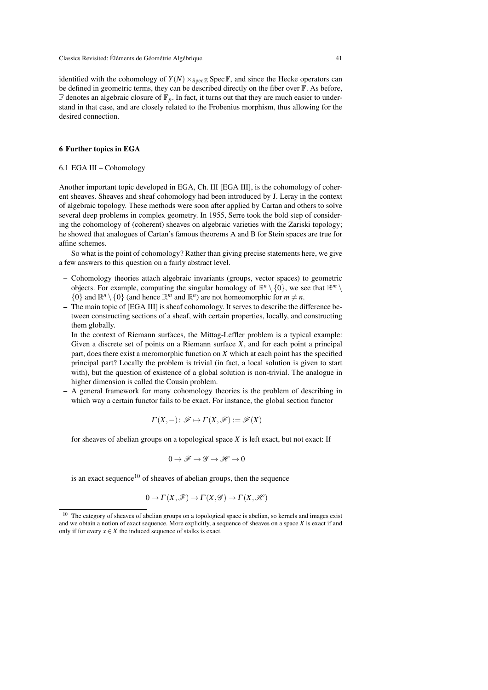identified with the cohomology of  $Y(N) \times_{Spec \mathbb{Z}} Spec \mathbb{F}$ , and since the Hecke operators can be defined in geometric terms, they can be described directly on the fiber over F. As before,  $\mathbb F$  denotes an algebraic closure of  $\mathbb F_p$ . In fact, it turns out that they are much easier to understand in that case, and are closely related to the Frobenius morphism, thus allowing for the desired connection.

## 6 Further topics in EGA

# 6.1 EGA III – Cohomology

Another important topic developed in EGA, Ch. III [EGA III], is the cohomology of coherent sheaves. Sheaves and sheaf cohomology had been introduced by J. Leray in the context of algebraic topology. These methods were soon after applied by Cartan and others to solve several deep problems in complex geometry. In 1955, Serre took the bold step of considering the cohomology of (coherent) sheaves on algebraic varieties with the Zariski topology; he showed that analogues of Cartan's famous theorems A and B for Stein spaces are true for affine schemes.

So what is the point of cohomology? Rather than giving precise statements here, we give a few answers to this question on a fairly abstract level.

- Cohomology theories attach algebraic invariants (groups, vector spaces) to geometric objects. For example, computing the singular homology of  $\mathbb{R}^n \setminus \{0\}$ , we see that  $\mathbb{R}^m \setminus$  $\{0\}$  and  $\mathbb{R}^n \setminus \{0\}$  (and hence  $\mathbb{R}^m$  and  $\mathbb{R}^n$ ) are not homeomorphic for  $m \neq n$ .
- The main topic of [EGA III] is sheaf cohomology. It serves to describe the difference between constructing sections of a sheaf, with certain properties, locally, and constructing them globally.

In the context of Riemann surfaces, the Mittag-Leffler problem is a typical example: Given a discrete set of points on a Riemann surface *X*, and for each point a principal part, does there exist a meromorphic function on *X* which at each point has the specified principal part? Locally the problem is trivial (in fact, a local solution is given to start with), but the question of existence of a global solution is non-trivial. The analogue in higher dimension is called the Cousin problem.

– A general framework for many cohomology theories is the problem of describing in which way a certain functor fails to be exact. For instance, the global section functor

$$
\Gamma(X,-)\colon \mathscr{F} \mapsto \Gamma(X,\mathscr{F}):=\mathscr{F}(X)
$$

for sheaves of abelian groups on a topological space *X* is left exact, but not exact: If

$$
0\to\mathscr{F}\to\mathscr{G}\to\mathscr{H}\to 0
$$

is an exact sequence $10$  of sheaves of abelian groups, then the sequence

$$
0 \to \Gamma(X, \mathcal{F}) \to \Gamma(X, \mathcal{G}) \to \Gamma(X, \mathcal{H})
$$

 $10$  The category of sheaves of abelian groups on a topological space is abelian, so kernels and images exist and we obtain a notion of exact sequence. More explicitly, a sequence of sheaves on a space *X* is exact if and only if for every  $x \in X$  the induced sequence of stalks is exact.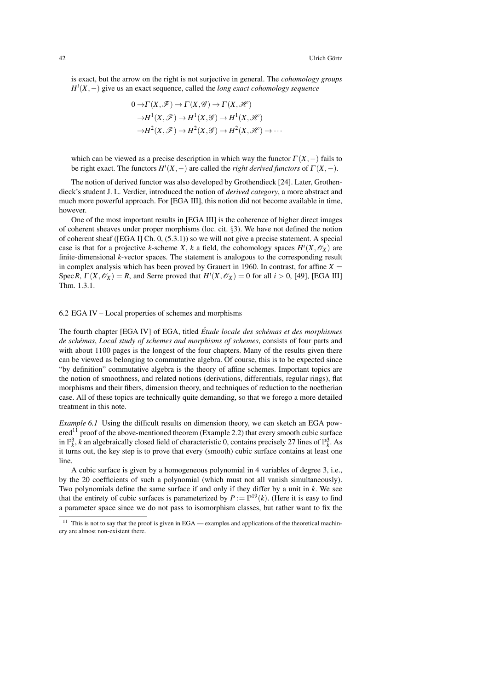is exact, but the arrow on the right is not surjective in general. The *cohomology groups H i* (*X*,−) give us an exact sequence, called the *long exact cohomology sequence*

$$
0 \to \Gamma(X, \mathscr{F}) \to \Gamma(X, \mathscr{G}) \to \Gamma(X, \mathscr{H})
$$
  
\n
$$
\to H^1(X, \mathscr{F}) \to H^1(X, \mathscr{G}) \to H^1(X, \mathscr{H})
$$
  
\n
$$
\to H^2(X, \mathscr{F}) \to H^2(X, \mathscr{G}) \to H^2(X, \mathscr{H}) \to \cdots
$$

which can be viewed as a precise description in which way the functor  $\Gamma(X, -)$  fails to be right exact. The functors  $H^i(X, -)$  are called the *right derived functors* of  $\Gamma(X, -)$ .

The notion of derived functor was also developed by Grothendieck [24]. Later, Grothendieck's student J. L. Verdier, introduced the notion of *derived category*, a more abstract and much more powerful approach. For [EGA III], this notion did not become available in time, however.

One of the most important results in [EGA III] is the coherence of higher direct images of coherent sheaves under proper morphisms (loc. cit.  $\S$ 3). We have not defined the notion of coherent sheaf ([EGA I] Ch. 0, (5.3.1)) so we will not give a precise statement. A special case is that for a projective *k*-scheme *X*, *k* a field, the cohomology spaces  $H^{i}(X, \mathcal{O}_X)$  are finite-dimensional *k*-vector spaces. The statement is analogous to the corresponding result in complex analysis which has been proved by Grauert in 1960. In contrast, for affine  $X =$ Spec *R*,  $\Gamma(X, \mathcal{O}_X) = R$ , and Serre proved that  $H^i(X, \mathcal{O}_X) = 0$  for all  $i > 0$ , [49], [EGA III] Thm. 1.3.1.

# 6.2 EGA IV – Local properties of schemes and morphisms

The fourth chapter [EGA IV] of EGA, titled *Étude locale des schémas et des morphismes de schemas ´* , *Local study of schemes and morphisms of schemes*, consists of four parts and with about 1100 pages is the longest of the four chapters. Many of the results given there can be viewed as belonging to commutative algebra. Of course, this is to be expected since "by definition" commutative algebra is the theory of affine schemes. Important topics are the notion of smoothness, and related notions (derivations, differentials, regular rings), flat morphisms and their fibers, dimension theory, and techniques of reduction to the noetherian case. All of these topics are technically quite demanding, so that we forego a more detailed treatment in this note.

*Example 6.1* Using the difficult results on dimension theory, we can sketch an EGA pow- $\text{ered}^{11}$  proof of the above-mentioned theorem (Example 2.2) that every smooth cubic surface in  $\mathbb{P}_k^3$ ,  $\vec{k}$  an algebraically closed field of characteristic 0, contains precisely 27 lines of  $\mathbb{P}_k^3$ . As it turns out, the key step is to prove that every (smooth) cubic surface contains at least one line.

A cubic surface is given by a homogeneous polynomial in 4 variables of degree 3, i.e., by the 20 coefficients of such a polynomial (which must not all vanish simultaneously). Two polynomials define the same surface if and only if they differ by a unit in *k*. We see that the entirety of cubic surfaces is parameterized by  $P := \mathbb{P}^{19}(k)$ . (Here it is easy to find a parameter space since we do not pass to isomorphism classes, but rather want to fix the

 $11$  This is not to say that the proof is given in EGA — examples and applications of the theoretical machinery are almost non-existent there.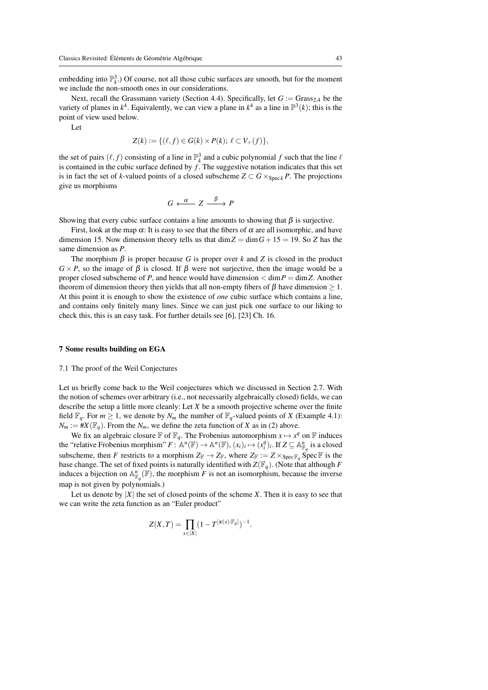embedding into  $\mathbb{P}_k^3$ .) Of course, not all those cubic surfaces are smooth, but for the moment we include the non-smooth ones in our considerations.

Next, recall the Grassmann variety (Section 4.4). Specifically, let  $G :=$  Grass<sub>2.4</sub> be the variety of planes in  $k^4$ . Equivalently, we can view a plane in  $k^4$  as a line in  $\mathbb{P}^3(k)$ ; this is the point of view used below.

Let

$$
Z(k) := \{ (\ell, f) \in G(k) \times P(k); \ \ell \subset V_+(f) \},
$$

the set of pairs  $(\ell, f)$  consisting of a line in  $\mathbb{P}^3_k$  and a cubic polynomial *f* such that the line  $\ell$ is contained in the cubic surface defined by  $f$ . The suggestive notation indicates that this set is in fact the set of *k*-valued points of a closed subscheme  $Z \subset G \times_{\text{Spec } k} P$ . The projections give us morphisms

$$
G \xleftarrow{\alpha} Z \xrightarrow{\beta} P
$$

Showing that every cubic surface contains a line amounts to showing that  $\beta$  is surjective.

First, look at the map  $\alpha$ : It is easy to see that the fibers of  $\alpha$  are all isomorphic, and have dimension 15. Now dimension theory tells us that dim $Z = \dim G + 15 = 19$ . So *Z* has the same dimension as *P*.

The morphism  $\beta$  is proper because G is proper over k and Z is closed in the product  $G \times P$ , so the image of  $\beta$  is closed. If  $\beta$  were not surjective, then the image would be a proper closed subscheme of *P*, and hence would have dimension < dim*P* = dim*Z*. Another theorem of dimension theory then yields that all non-empty fibers of  $\beta$  have dimension  $\geq 1$ . At this point it is enough to show the existence of *one* cubic surface which contains a line, and contains only finitely many lines. Since we can just pick one surface to our liking to check this, this is an easy task. For further details see [6], [23] Ch. 16.

# 7 Some results building on EGA

#### 7.1 The proof of the Weil Conjectures

Let us briefly come back to the Weil conjectures which we discussed in Section 2.7. With the notion of schemes over arbitrary (i.e., not necessarily algebraically closed) fields, we can describe the setup a little more cleanly: Let *X* be a smooth projective scheme over the finite field  $\mathbb{F}_q$ . For  $m \geq 1$ , we denote by  $N_m$  the number of  $\mathbb{F}_q$ -valued points of *X* (Example 4.1):  $N_m := #X(\mathbb{F}_q)$ . From the  $N_m$ , we define the zeta function of *X* as in (2) above.

We fix an algebraic closure  $\mathbb{F}$  of  $\mathbb{F}_q$ . The Frobenius automorphism  $x \mapsto x^q$  on  $\mathbb{F}$  induces the "relative Frobenius morphism"  $F: \mathbb{A}^n(\mathbb{F}) \to \mathbb{A}^n(\mathbb{F})$ ,  $(x_i)_i \mapsto (x_i^q)_i$ . If  $Z \subseteq \mathbb{A}^n_{\mathbb{F}_q}$  is a closed subscheme, then *F* restricts to a morphism  $Z_{\mathbb{F}} \to Z_{\mathbb{F}}$ , where  $Z_{\mathbb{F}} := Z \times_{Spec \mathbb{F}_q} Spec \mathbb{F}$  is the base change. The set of fixed points is naturally identified with  $Z(\mathbb{F}_q)$ . (Note that although *F* induces a bijection on  $\mathbb{A}^n_{\mathbb{F}_q}(\mathbb{F})$ , the morphism *F* is not an isomorphism, because the inverse map is not given by polynomials.)

Let us denote by  $|X|$  the set of closed points of the scheme X. Then it is easy to see that we can write the zeta function as an "Euler product"

$$
Z(X,T)=\prod_{x\in |X|}(1-T^{[\kappa(x):\mathbb{F}_q]})^{-1}.
$$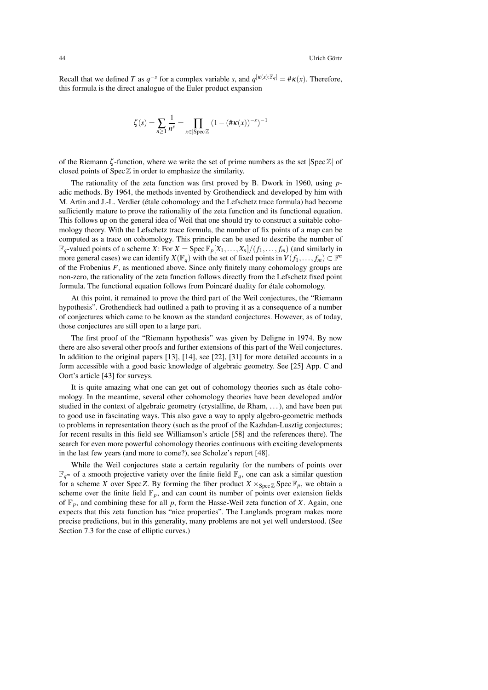Recall that we defined *T* as  $q^{-s}$  for a complex variable *s*, and  $q^{[\kappa(x):F_q]} = \#\kappa(x)$ . Therefore, this formula is the direct analogue of the Euler product expansion

$$
\zeta(s) = \sum_{n \ge 1} \frac{1}{n^s} = \prod_{x \in |\text{Spec } \mathbb{Z}|} (1 - (\# \kappa(x))^{-s})^{-1}
$$

of the Riemann ζ -function, where we write the set of prime numbers as the set |SpecZ| of closed points of  $Spec \mathbb{Z}$  in order to emphasize the similarity.

The rationality of the zeta function was first proved by B. Dwork in 1960, using *p*adic methods. By 1964, the methods invented by Grothendieck and developed by him with M. Artin and J.-L. Verdier (étale cohomology and the Lefschetz trace formula) had become sufficiently mature to prove the rationality of the zeta function and its functional equation. This follows up on the general idea of Weil that one should try to construct a suitable cohomology theory. With the Lefschetz trace formula, the number of fix points of a map can be computed as a trace on cohomology. This principle can be used to describe the number of  $\mathbb{F}_q$ -valued points of a scheme *X*: For *X* = Spec  $\mathbb{F}_p[X_1,\ldots,X_n]/(f_1,\ldots,f_m)$  (and similarly in more general cases) we can identify  $X(\mathbb{F}_q)$  with the set of fixed points in  $V(f_1,\ldots,f_m) \subset \mathbb{F}^n$ of the Frobenius *F*, as mentioned above. Since only finitely many cohomology groups are non-zero, the rationality of the zeta function follows directly from the Lefschetz fixed point formula. The functional equation follows from Poincaré duality for étale cohomology.

At this point, it remained to prove the third part of the Weil conjectures, the "Riemann hypothesis". Grothendieck had outlined a path to proving it as a consequence of a number of conjectures which came to be known as the standard conjectures. However, as of today, those conjectures are still open to a large part.

The first proof of the "Riemann hypothesis" was given by Deligne in 1974. By now there are also several other proofs and further extensions of this part of the Weil conjectures. In addition to the original papers [13], [14], see [22], [31] for more detailed accounts in a form accessible with a good basic knowledge of algebraic geometry. See [25] App. C and Oort's article [43] for surveys.

It is quite amazing what one can get out of cohomology theories such as étale cohomology. In the meantime, several other cohomology theories have been developed and/or studied in the context of algebraic geometry (crystalline, de Rham, . . . ), and have been put to good use in fascinating ways. This also gave a way to apply algebro-geometric methods to problems in representation theory (such as the proof of the Kazhdan-Lusztig conjectures; for recent results in this field see Williamson's article [58] and the references there). The search for even more powerful cohomology theories continuous with exciting developments in the last few years (and more to come?), see Scholze's report [48].

While the Weil conjectures state a certain regularity for the numbers of points over  $\mathbb{F}_{q^m}$  of a smooth projective variety over the finite field  $\mathbb{F}_q$ , one can ask a similar question for a scheme *X* over Spec *Z*. By forming the fiber product  $X \times_{Spec \mathbb{Z}} Spec \mathbb{F}_p$ , we obtain a scheme over the finite field  $\mathbb{F}_p$ , and can count its number of points over extension fields of F*p*, and combining these for all *p*, form the Hasse-Weil zeta function of *X*. Again, one expects that this zeta function has "nice properties". The Langlands program makes more precise predictions, but in this generality, many problems are not yet well understood. (See Section 7.3 for the case of elliptic curves.)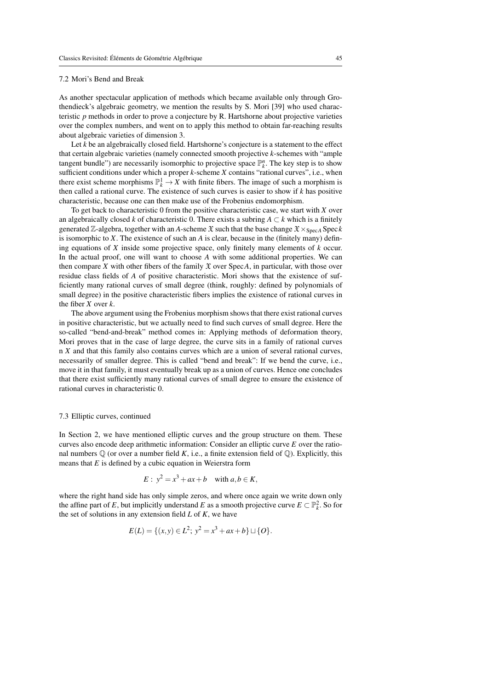#### 7.2 Mori's Bend and Break

As another spectacular application of methods which became available only through Grothendieck's algebraic geometry, we mention the results by S. Mori [39] who used characteristic *p* methods in order to prove a conjecture by R. Hartshorne about projective varieties over the complex numbers, and went on to apply this method to obtain far-reaching results about algebraic varieties of dimension 3.

Let *k* be an algebraically closed field. Hartshorne's conjecture is a statement to the effect that certain algebraic varieties (namely connected smooth projective *k*-schemes with "ample tangent bundle") are necessarily isomorphic to projective space  $\mathbb{P}_k^n$ . The key step is to show sufficient conditions under which a proper *k*-scheme *X* contains "rational curves", i.e., when there exist scheme morphisms  $\mathbb{P}_k^1 \to X$  with finite fibers. The image of such a morphism is then called a rational curve. The existence of such curves is easier to show if *k* has positive characteristic, because one can then make use of the Frobenius endomorphism.

To get back to characteristic 0 from the positive characteristic case, we start with *X* over an algebraically closed *k* of characteristic 0. There exists a subring  $A \subset k$  which is a finitely generated Z-algebra, together with an A-scheme  $\mathfrak X$  such that the base change  $\mathfrak X \times_{\text{Spec } A} \text{Spec } k$ is isomorphic to *X*. The existence of such an *A* is clear, because in the (finitely many) defining equations of *X* inside some projective space, only finitely many elements of *k* occur. In the actual proof, one will want to choose *A* with some additional properties. We can then compare X with other fibers of the family  $\mathfrak X$  over SpecA, in particular, with those over residue class fields of *A* of positive characteristic. Mori shows that the existence of sufficiently many rational curves of small degree (think, roughly: defined by polynomials of small degree) in the positive characteristic fibers implies the existence of rational curves in the fiber *X* over *k*.

The above argument using the Frobenius morphism shows that there exist rational curves in positive characteristic, but we actually need to find such curves of small degree. Here the so-called "bend-and-break" method comes in: Applying methods of deformation theory, Mori proves that in the case of large degree, the curve sits in a family of rational curves n *X* and that this family also contains curves which are a union of several rational curves, necessarily of smaller degree. This is called "bend and break": If we bend the curve, i.e., move it in that family, it must eventually break up as a union of curves. Hence one concludes that there exist sufficiently many rational curves of small degree to ensure the existence of rational curves in characteristic 0.

## 7.3 Elliptic curves, continued

In Section 2, we have mentioned elliptic curves and the group structure on them. These curves also encode deep arithmetic information: Consider an elliptic curve *E* over the rational numbers  $\mathbb Q$  (or over a number field *K*, i.e., a finite extension field of  $\mathbb Q$ ). Explicitly, this means that *E* is defined by a cubic equation in Weierstra form

$$
E: y^2 = x^3 + ax + b \quad \text{with } a, b \in K,
$$

where the right hand side has only simple zeros, and where once again we write down only the affine part of *E*, but implicitly understand *E* as a smooth projective curve  $E \subset \mathbb{P}_k^2$ . So for the set of solutions in any extension field *L* of *K*, we have

$$
E(L) = \{(x, y) \in L^2; \ y^2 = x^3 + ax + b\} \sqcup \{O\}.
$$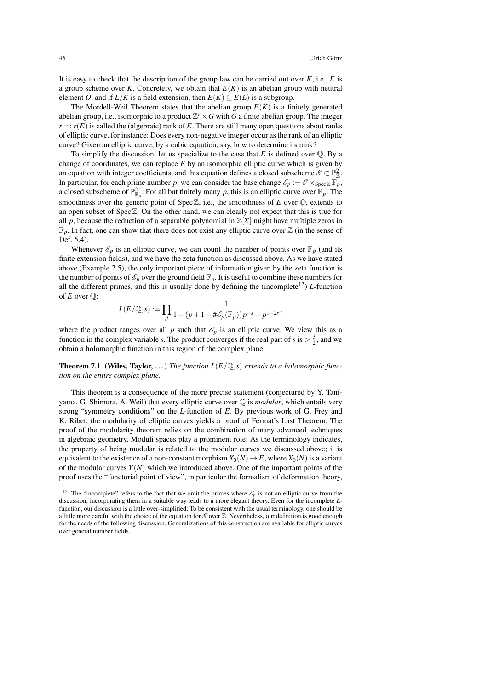It is easy to check that the description of the group law can be carried out over *K*, i.e., *E* is a group scheme over *K*. Concretely, we obtain that  $E(K)$  is an abelian group with neutral element *O*, and if  $L/K$  is a field extension, then  $E(K) \subseteq E(L)$  is a subgroup.

The Mordell-Weil Theorem states that the abelian group  $E(K)$  is a finitely generated abelian group, i.e., isomorphic to a product  $\mathbb{Z}^r \times G$  with  $G$  a finite abelian group. The integer  $r =: r(E)$  is called the (algebraic) rank of *E*. There are still many open questions about ranks of elliptic curve, for instance: Does every non-negative integer occur as the rank of an elliptic curve? Given an elliptic curve, by a cubic equation, say, how to determine its rank?

To simplify the discussion, let us specialize to the case that *E* is defined over Q. By a change of coordinates, we can replace *E* by an isomorphic elliptic curve which is given by an equation with integer coefficients, and this equation defines a closed subscheme  $\mathscr{E} \subset \mathbb{P}^2_{\mathbb{Z}}$ . In particular, for each prime number *p*, we can consider the base change  $\mathscr{E}_p := \mathscr{E} \times_{\text{Spec } \mathbb{Z}} \mathbb{F}_p$ , a closed subscheme of  $\mathbb{P}_{\mathbb{F}_p}^2$ . For all but finitely many *p*, this is an elliptic curve over  $\mathbb{F}_p$ : The smoothness over the generic point of Spec $\mathbb{Z}$ , i.e., the smoothness of *E* over  $\mathbb{Q}$ , extends to an open subset of  $Spec \mathbb{Z}$ . On the other hand, we can clearly not expect that this is true for all *p*, because the reduction of a separable polynomial in  $\mathbb{Z}[X]$  might have multiple zeros in  $\mathbb{F}_p$ . In fact, one can show that there does not exist any elliptic curve over  $\mathbb Z$  (in the sense of Def. 5.4).

Whenever  $\mathcal{E}_p$  is an elliptic curve, we can count the number of points over  $\mathbb{F}_p$  (and its finite extension fields), and we have the zeta function as discussed above. As we have stated above (Example 2.5), the only important piece of information given by the zeta function is the number of points of  $\mathcal{E}_p$  over the ground field  $\mathbb{F}_p$ . It is useful to combine these numbers for all the different primes, and this is usually done by defining the (incomplete<sup>12</sup>) *L*-function of *E* over Q:

$$
L(E/\mathbb{Q},s) := \prod_{p} \frac{1}{1 - (p+1 - \#\mathscr{E}_p(\mathbb{F}_p))p^{-s} + p^{1-2s}},
$$

where the product ranges over all  $p$  such that  $\mathcal{E}_p$  is an elliptic curve. We view this as a function in the complex variable *s*. The product converges if the real part of *s* is  $> \frac{3}{2}$ , and we obtain a holomorphic function in this region of the complex plane.

**Theorem 7.1** (Wiles, Taylor, ...) The function  $L(E/\mathbb{Q}, s)$  extends to a holomorphic func*tion on the entire complex plane.*

This theorem is a consequence of the more precise statement (conjectured by Y. Taniyama, G. Shimura, A. Weil) that every elliptic curve over Q is *modular*, which entails very strong "symmetry conditions" on the *L*-function of *E*. By previous work of G. Frey and K. Ribet, the modularity of elliptic curves yields a proof of Fermat's Last Theorem. The proof of the modularity theorem relies on the combination of many advanced techniques in algebraic geometry. Moduli spaces play a prominent role: As the terminology indicates, the property of being modular is related to the modular curves we discussed above; it is equivalent to the existence of a non-constant morphism  $X_0(N) \to E$ , where  $X_0(N)$  is a variant of the modular curves  $Y(N)$  which we introduced above. One of the important points of the proof uses the "functorial point of view", in particular the formalism of deformation theory,

<sup>&</sup>lt;sup>12</sup> The "incomplete" refers to the fact that we omit the primes where  $\mathcal{E}_p$  is not an elliptic curve from the discussion; incorporating them in a suitable way leads to a more elegant theory. Even for the incomplete *L*function, our discussion is a little over-simplified: To be consistent with the usual terminology, one should be a little more careful with the choice of the equation for  $\mathscr E$  over  $\mathbb Z$ . Nevertheless, our definition is good enough for the needs of the following discussion. Generalizations of this construction are available for elliptic curves over general number fields.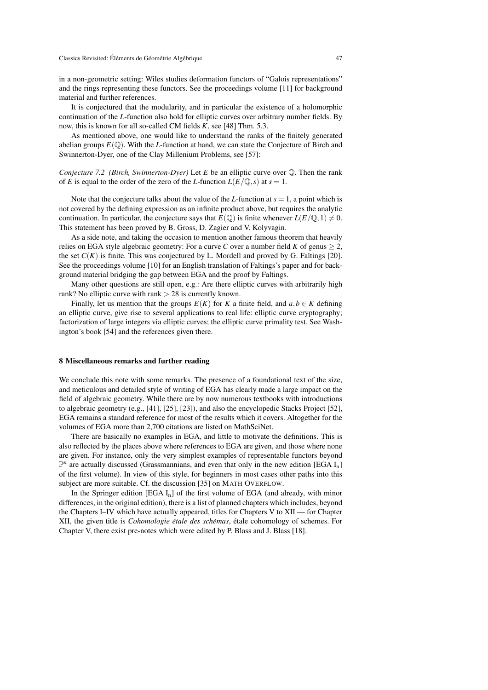in a non-geometric setting: Wiles studies deformation functors of "Galois representations" and the rings representing these functors. See the proceedings volume [11] for background material and further references.

It is conjectured that the modularity, and in particular the existence of a holomorphic continuation of the *L*-function also hold for elliptic curves over arbitrary number fields. By now, this is known for all so-called CM fields *K*, see [48] Thm. 5.3.

As mentioned above, one would like to understand the ranks of the finitely generated abelian groups  $E(\mathbb{Q})$ . With the *L*-function at hand, we can state the Conjecture of Birch and Swinnerton-Dyer, one of the Clay Millenium Problems, see [57]:

*Conjecture 7.2 (Birch, Swinnerton-Dyer)* Let *E* be an elliptic curve over Q. Then the rank of *E* is equal to the order of the zero of the *L*-function  $L(E/\mathbb{Q}, s)$  at  $s = 1$ .

Note that the conjecture talks about the value of the *L*-function at  $s = 1$ , a point which is not covered by the defining expression as an infinite product above, but requires the analytic continuation. In particular, the conjecture says that  $E(\mathbb{Q})$  is finite whenever  $L(E/\mathbb{Q},1) \neq 0$ . This statement has been proved by B. Gross, D. Zagier and V. Kolyvagin.

As a side note, and taking the occasion to mention another famous theorem that heavily relies on EGA style algebraic geometry: For a curve *C* over a number field *K* of genus  $> 2$ , the set  $C(K)$  is finite. This was conjectured by L. Mordell and proved by G. Faltings [20]. See the proceedings volume [10] for an English translation of Faltings's paper and for background material bridging the gap between EGA and the proof by Faltings.

Many other questions are still open, e.g.: Are there elliptic curves with arbitrarily high rank? No elliptic curve with rank  $> 28$  is currently known.

Finally, let us mention that the groups  $E(K)$  for *K* a finite field, and  $a, b \in K$  defining an elliptic curve, give rise to several applications to real life: elliptic curve cryptography; factorization of large integers via elliptic curves; the elliptic curve primality test. See Washington's book [54] and the references given there.

#### 8 Miscellaneous remarks and further reading

We conclude this note with some remarks. The presence of a foundational text of the size, and meticulous and detailed style of writing of EGA has clearly made a large impact on the field of algebraic geometry. While there are by now numerous textbooks with introductions to algebraic geometry (e.g., [41], [25], [23]), and also the encyclopedic Stacks Project [52], EGA remains a standard reference for most of the results which it covers. Altogether for the volumes of EGA more than 2,700 citations are listed on MathSciNet.

There are basically no examples in EGA, and little to motivate the definitions. This is also reflected by the places above where references to EGA are given, and those where none are given. For instance, only the very simplest examples of representable functors beyond P<sup>n</sup> are actually discussed (Grassmannians, and even that only in the new edition [EGA I<sub>n</sub>] of the first volume). In view of this style, for beginners in most cases other paths into this subject are more suitable. Cf. the discussion [35] on MATH OVERFLOW.

In the Springer edition  $[EGA I_n]$  of the first volume of EGA (and already, with minor differences, in the original edition), there is a list of planned chapters which includes, beyond the Chapters I–IV which have actually appeared, titles for Chapters V to XII — for Chapter XII, the given title is *Cohomologie étale des schémas*, étale cohomology of schemes. For Chapter V, there exist pre-notes which were edited by P. Blass and J. Blass [18].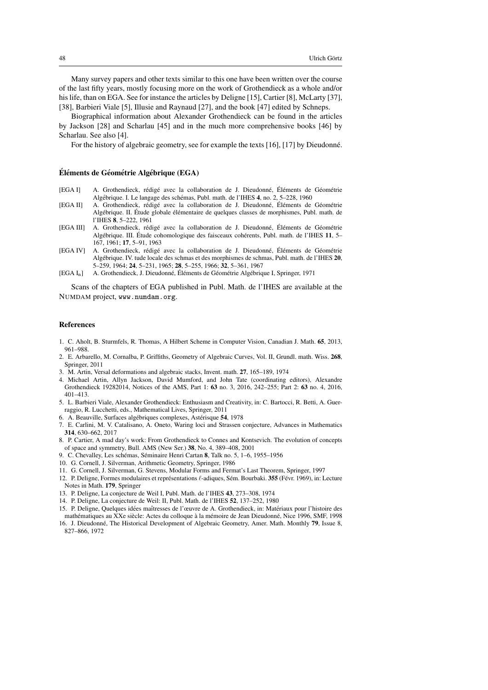Many survey papers and other texts similar to this one have been written over the course of the last fifty years, mostly focusing more on the work of Grothendieck as a whole and/or his life, than on EGA. See for instance the articles by Deligne [15], Cartier [8], McLarty [37], [38], Barbieri Viale [5], Illusie and Raynaud [27], and the book [47] edited by Schneps.

Biographical information about Alexander Grothendieck can be found in the articles by Jackson [28] and Scharlau [45] and in the much more comprehensive books [46] by Scharlau. See also [4].

For the history of algebraic geometry, see for example the texts  $[16]$ ,  $[17]$  by Dieudonné.

## Éléments de Géométrie Algébrique (EGA)

- [EGA I] A. Grothendieck, rédigé avec la collaboration de J. Dieudonné, Éléments de Géométrie Algébrique. I. Le langage des schémas, Publ. math. de l'IHES 4, no. 2, 5–228, 1960
- [EGA II] A. Grothendieck, rédigé avec la collaboration de J. Dieudonné, Éléments de Géométrie Algébrique. II. Étude globale élémentaire de quelques classes de morphismes, Publ. math. de l'IHES 8, 5–222, 1961
- [EGA III] A. Grothendieck, rédigé avec la collaboration de J. Dieudonné, Éléments de Géométrie Algébrique. III. Étude cohomologique des faisceaux cohérents, Publ. math. de l'IHES 11, 5-167, 1961; 17, 5–91, 1963
- [EGA IV] A. Grothendieck, rédigé avec la collaboration de J. Dieudonné, Éléments de Géométrie Algébrique. IV. tude locale des schmas et des morphismes de schmas. Publ. math. de l'IHES 20, 5–259, 1964; 24, 5–231, 1965; 28, 5–255, 1966; 32, 5–361, 1967
- [EGA I<sub>n</sub>] A. Grothendieck, J. Dieudonné, Éléments de Géométrie Algébrique I, Springer, 1971

Scans of the chapters of EGA published in Publ. Math. de l'IHES are available at the NUMDAM project, www.numdam.org.

## References

- 1. C. Aholt, B. Sturmfels, R. Thomas, A Hilbert Scheme in Computer Vision, Canadian J. Math. 65, 2013, 961–988.
- 2. E. Arbarello, M. Cornalba, P. Griffiths, Geometry of Algebraic Curves, Vol. II, Grundl. math. Wiss. 268, Springer, 2011
- 3. M. Artin, Versal deformations and algebraic stacks, Invent. math. 27, 165–189, 1974
- 4. Michael Artin, Allyn Jackson, David Mumford, and John Tate (coordinating editors), Alexandre Grothendieck 19282014, Notices of the AMS, Part 1: 63 no. 3, 2016, 242–255; Part 2: 63 no. 4, 2016, 401–413.
- 5. L. Barbieri Viale, Alexander Grothendieck: Enthusiasm and Creativity, in: C. Bartocci, R. Betti, A. Guerraggio, R. Lucchetti, eds., Mathematical Lives, Springer, 2011
- 6. A. Beauville, Surfaces algébriques complexes, Astérisque 54, 1978
- 7. E. Carlini, M. V. Catalisano, A. Oneto, Waring loci and Strassen conjecture, Advances in Mathematics 314, 630–662, 2017
- 8. P. Cartier, A mad day's work: From Grothendieck to Connes and Kontsevich. The evolution of concepts of space and symmetry, Bull. AMS (New Ser.) 38, No. 4, 389–408, 2001
- 9. C. Chevalley, Les schémas, Séminaire Henri Cartan 8, Talk no. 5, 1–6, 1955–1956
- 10. G. Cornell, J. Silverman, Arithmetic Geometry, Springer, 1986
- 11. G. Cornell, J. Silverman, G. Stevens, Modular Forms and Fermat's Last Theorem, Springer, 1997
- 12. P. Deligne, Formes modulaires et représentations  $\ell$ -adiques, Sém. Bourbaki. 355 (Févr. 1969), in: Lecture Notes in Math. 179, Springer
- 13. P. Deligne, La conjecture de Weil I, Publ. Math. de l'IHES 43, 273–308, 1974
- 14. P. Deligne, La conjecture de Weil: II, Publ. Math. de l'IHES 52, 137–252, 1980
- 15. P. Deligne, Quelques idées maîtresses de l'œuvre de A. Grothendieck, in: Matériaux pour l'histoire des mathématiques au XXe siècle: Actes du colloque à la mémoire de Jean Dieudonné, Nice 1996, SMF, 1998
- 16. J. Dieudonné, The Historical Development of Algebraic Geometry, Amer. Math. Monthly 79, Issue 8, 827–866, 1972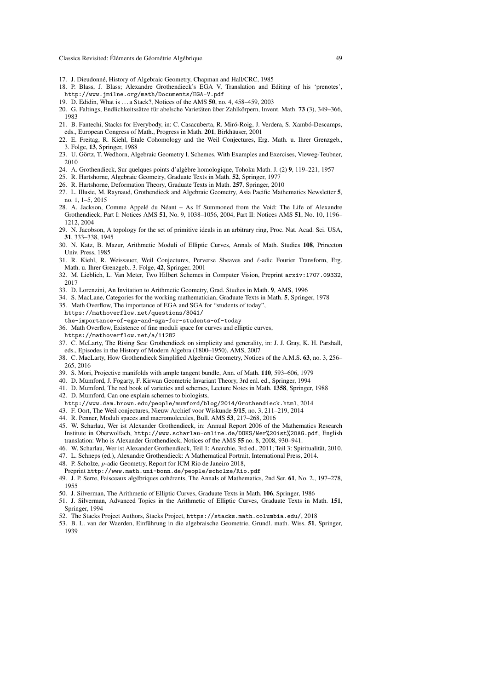- 17. J. Dieudonné, History of Algebraic Geometry, Chapman and Hall/CRC, 1985
- 18. P. Blass, J. Blass; Alexandre Grothendieck's EGA V, Translation and Editing of his 'prenotes', http://www.jmilne.org/math/Documents/EGA-V.pdf
- 19. D. Edidin, What is . . . a Stack?, Notices of the AMS 50, no. 4, 458–459, 2003
- 20. G. Faltings, Endlichkeitssätze für abelsche Varietäten über Zahlkörpern, Invent. Math. 73 (3), 349–366, 1983
- 21. B. Fantechi, Stacks for Everybody, in: C. Casacuberta, R. Miró-Roig, J. Verdera, S. Xambó-Descamps, eds., European Congress of Math., Progress in Math. 201, Birkhäuser, 2001
- 22. E. Freitag, R. Kiehl, Etale Cohomology and the Weil Conjectures, Erg. Math. u. Ihrer Grenzgeb., 3. Folge, 13, Springer, 1988
- 23. U. Görtz, T. Wedhorn, Algebraic Geometry I. Schemes, With Examples and Exercises, Vieweg-Teubner, 2010
- 24. A. Grothendieck, Sur quelques points d'algèbre homologique, Tohoku Math. J. (2) 9, 119–221, 1957
- 25. R. Hartshorne, Algebraic Geometry, Graduate Texts in Math. 52, Springer, 1977
- 26. R. Hartshorne, Deformation Theory, Graduate Texts in Math. 257, Springer, 2010
- 27. L. Illusie, M. Raynaud, Grothendieck and Algebraic Geometry, Asia Pacific Mathematics Newsletter 5, no. 1, 1–5, 2015
- 28. A. Jackson, Comme Appelé du Néant As If Summoned from the Void: The Life of Alexandre Grothendieck, Part I: Notices AMS 51, No. 9, 1038–1056, 2004, Part II: Notices AMS 51, No. 10, 1196– 1212, 2004
- 29. N. Jacobson, A topology for the set of primitive ideals in an arbitrary ring, Proc. Nat. Acad. Sci. USA, 31, 333–338, 1945
- 30. N. Katz, B. Mazur, Arithmetic Moduli of Elliptic Curves, Annals of Math. Studies 108, Princeton Univ. Press, 1985
- 31. R. Kiehl, R. Weissauer, Weil Conjectures, Perverse Sheaves and  $\ell$ -adic Fourier Transform, Erg. Math. u. Ihrer Grenzgeb., 3. Folge, 42, Springer, 2001
- 32. M. Lieblich, L. Van Meter, Two Hilbert Schemes in Computer Vision, Preprint arxiv:1707.09332, 2017
- 33. D. Lorenzini, An Invitation to Arithmetic Geometry, Grad. Studies in Math. 9, AMS, 1996
- 34. S. MacLane, Categories for the working mathematician, Graduate Texts in Math. 5, Springer, 1978 35. Math Overflow, The importance of EGA and SGA for "students of today",
- https://mathoverflow.net/questions/3041/
- the-importance-of-ega-and-sga-for-students-of-today
- 36. Math Overflow, Existence of fine moduli space for curves and elliptic curves, https://mathoverflow.net/a/11282
- 37. C. McLarty, The Rising Sea: Grothendieck on simplicity and generality, in: J. J. Gray, K. H. Parshall, eds., Episodes in the History of Modern Algebra (1800–1950), AMS, 2007
- 38. C. MacLarty, How Grothendieck Simplified Algebraic Geometry, Notices of the A.M.S. 63, no. 3, 256– 265, 2016
- 39. S. Mori, Projective manifolds with ample tangent bundle, Ann. of Math. 110, 593–606, 1979
- 40. D. Mumford, J. Fogarty, F. Kirwan Geometric Invariant Theory, 3rd enl. ed., Springer, 1994
- 41. D. Mumford, The red book of varieties and schemes, Lecture Notes in Math. 1358, Springer, 1988
- 42. D. Mumford, Can one explain schemes to biologists,
- http://www.dam.brown.edu/people/mumford/blog/2014/Grothendieck.html, 2014
- 43. F. Oort, The Weil conjectures, Nieuw Archief voor Wiskunde 5/15, no. 3, 211–219, 2014
- 44. R. Penner, Moduli spaces and macromolecules, Bull. AMS 53, 217–268, 2016
- 45. W. Scharlau, Wer ist Alexander Grothendieck, in: Annual Report 2006 of the Mathematics Research Institute in Oberwolfach, http://www.scharlau-online.de/DOKS/Wer%20ist%20AG.pdf, English translation: Who is Alexander Grothendieck, Notices of the AMS 55 no. 8, 2008, 930–941.
- 46. W. Scharlau, Wer ist Alexander Grothendieck, Teil 1: Anarchie, 3rd ed., 2011; Teil 3: Spiritualitat, 2010. ¨
- 47. L. Schneps (ed.), Alexandre Grothendieck: A Mathematical Portrait, International Press, 2014.
- 48. P. Scholze, *p*-adic Geometry, Report for ICM Rio de Janeiro 2018,
- Preprint http://www.math.uni-bonn.de/people/scholze/Rio.pdf
- 49. J. P. Serre, Faisceaux algébriques cohérents, The Annals of Mathematics, 2nd Ser. 61, No. 2., 197–278, 1955
- 50. J. Silverman, The Arithmetic of Elliptic Curves, Graduate Texts in Math. 106, Springer, 1986
- 51. J. Silverman, Advanced Topics in the Arithmetic of Elliptic Curves, Graduate Texts in Math. 151, Springer, 1994
- 52. The Stacks Project Authors, Stacks Project, https://stacks.math.columbia.edu/, 2018
- 53. B. L. van der Waerden, Einführung in die algebraische Geometrie, Grundl. math. Wiss. 51, Springer, 1939